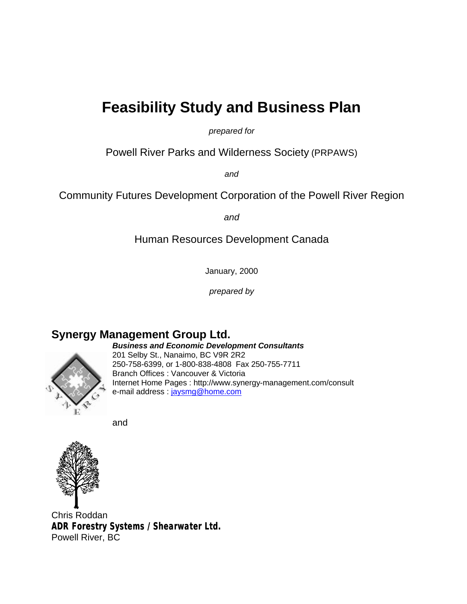# **Feasibility Study and Business Plan**

*prepared for*

Powell River Parks and Wilderness Society (PRPAWS)

*and*

Community Futures Development Corporation of the Powell River Region

*and*

Human Resources Development Canada

January, 2000

*prepared by* 

### **Synergy Management Group Ltd.**



*Business and Economic Development Consultants* 201 Selby St., Nanaimo, BC V9R 2R2 250-758-6399, or 1-800-838-4808 Fax 250-755-7711 Branch Offices : Vancouver & Victoria Internet Home Pages : http://www.synergy-management.com/consult e-mail address : jaysmg@home.com

and



Chris Roddan **ADR Forestry Systems / Shearwater Ltd.** Powell River, BC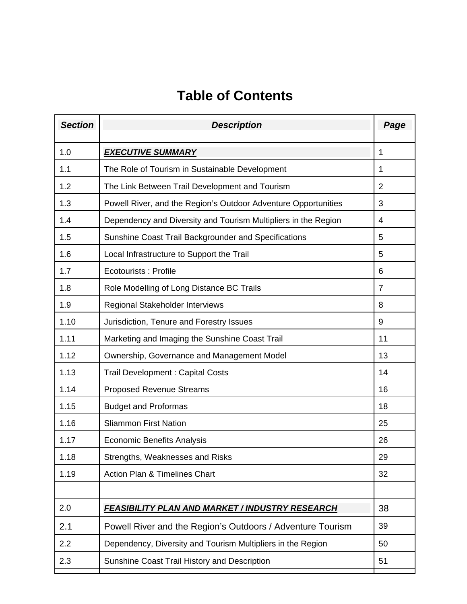# **Table of Contents**

| <b>Section</b> | <b>Description</b>                                             | Page           |
|----------------|----------------------------------------------------------------|----------------|
| 1.0            | <b>EXECUTIVE SUMMARY</b>                                       | 1              |
| 1.1            | The Role of Tourism in Sustainable Development                 | 1              |
| 1.2            | The Link Between Trail Development and Tourism                 | $\overline{2}$ |
| 1.3            | Powell River, and the Region's Outdoor Adventure Opportunities | 3              |
| 1.4            | Dependency and Diversity and Tourism Multipliers in the Region | 4              |
| 1.5            | Sunshine Coast Trail Backgrounder and Specifications           | 5              |
| 1.6            | Local Infrastructure to Support the Trail                      | 5              |
| 1.7            | Ecotourists: Profile                                           | 6              |
| 1.8            | Role Modelling of Long Distance BC Trails                      | 7              |
| 1.9            | Regional Stakeholder Interviews                                | 8              |
| 1.10           | Jurisdiction, Tenure and Forestry Issues                       | 9              |
| 1.11           | Marketing and Imaging the Sunshine Coast Trail                 | 11             |
| 1.12           | Ownership, Governance and Management Model                     | 13             |
| 1.13           | <b>Trail Development: Capital Costs</b>                        | 14             |
| 1.14           | <b>Proposed Revenue Streams</b>                                | 16             |
| 1.15           | <b>Budget and Proformas</b>                                    | 18             |
| 1.16           | <b>Sliammon First Nation</b>                                   | 25             |
| 1.17           | <b>Economic Benefits Analysis</b>                              | 26             |
| 1.18           | Strengths, Weaknesses and Risks                                | 29             |
| 1.19           | <b>Action Plan &amp; Timelines Chart</b>                       | 32             |
|                |                                                                |                |
| 2.0            | <b>FEASIBILITY PLAN AND MARKET / INDUSTRY RESEARCH</b>         | 38             |
| 2.1            | Powell River and the Region's Outdoors / Adventure Tourism     | 39             |
| 2.2            | Dependency, Diversity and Tourism Multipliers in the Region    | 50             |
| 2.3            | Sunshine Coast Trail History and Description                   | 51             |
|                |                                                                |                |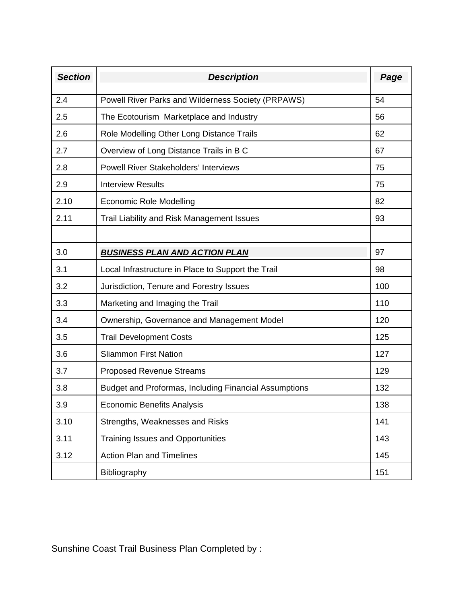| <b>Section</b> | <b>Description</b>                                    | Page |
|----------------|-------------------------------------------------------|------|
| 2.4            | Powell River Parks and Wilderness Society (PRPAWS)    | 54   |
| 2.5            | The Ecotourism Marketplace and Industry               | 56   |
| 2.6            | Role Modelling Other Long Distance Trails             | 62   |
| 2.7            | Overview of Long Distance Trails in B C               | 67   |
| 2.8            | <b>Powell River Stakeholders' Interviews</b>          | 75   |
| 2.9            | <b>Interview Results</b>                              | 75   |
| 2.10           | <b>Economic Role Modelling</b>                        | 82   |
| 2.11           | Trail Liability and Risk Management Issues            | 93   |
|                |                                                       |      |
| 3.0            | <b>BUSINESS PLAN AND ACTION PLAN</b>                  | 97   |
| 3.1            | Local Infrastructure in Place to Support the Trail    | 98   |
| 3.2            | Jurisdiction, Tenure and Forestry Issues              | 100  |
| 3.3            | Marketing and Imaging the Trail                       | 110  |
| 3.4            | Ownership, Governance and Management Model            | 120  |
| 3.5            | <b>Trail Development Costs</b>                        | 125  |
| 3.6            | <b>Sliammon First Nation</b>                          | 127  |
| 3.7            | <b>Proposed Revenue Streams</b>                       | 129  |
| 3.8            | Budget and Proformas, Including Financial Assumptions | 132  |
| 3.9            | <b>Economic Benefits Analysis</b>                     | 138  |
| 3.10           | Strengths, Weaknesses and Risks                       | 141  |
| 3.11           | <b>Training Issues and Opportunities</b>              | 143  |
| 3.12           | <b>Action Plan and Timelines</b>                      | 145  |
|                | Bibliography                                          | 151  |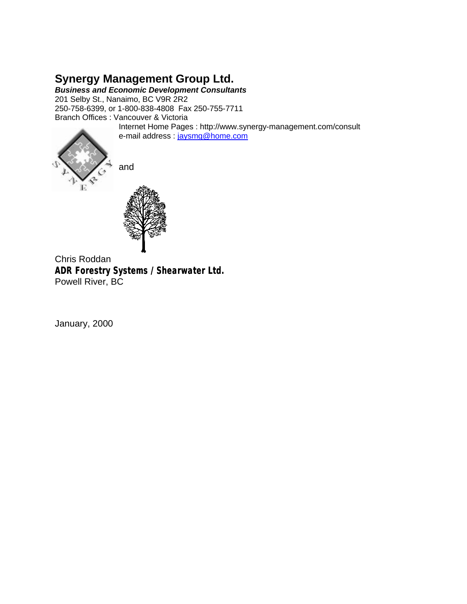### **Synergy Management Group Ltd.**

*Business and Economic Development Consultants* 201 Selby St., Nanaimo, BC V9R 2R2

250-758-6399, or 1-800-838-4808 Fax 250-755-7711 Branch Offices : Vancouver & Victoria

Internet Home Pages : http://www.synergy-management.com/consult e-mail address : jaysmg@home.com



and



Chris Roddan **ADR Forestry Systems / Shearwater Ltd.** Powell River, BC

January, 2000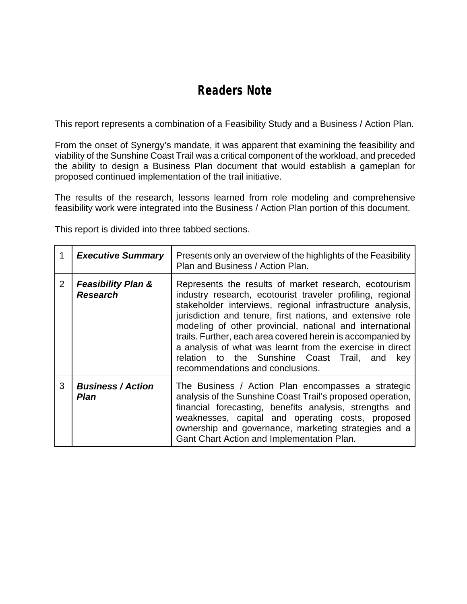## **Readers Note**

This report represents a combination of a Feasibility Study and a Business / Action Plan.

From the onset of Synergy's mandate, it was apparent that examining the feasibility and viability of the Sunshine Coast Trail was a critical component of the workload, and preceded the ability to design a Business Plan document that would establish a gameplan for proposed continued implementation of the trail initiative.

The results of the research, lessons learned from role modeling and comprehensive feasibility work were integrated into the Business / Action Plan portion of this document.

This report is divided into three tabbed sections.

| 1              | <b>Executive Summary</b>                         | Presents only an overview of the highlights of the Feasibility<br>Plan and Business / Action Plan.                                                                                                                                                                                                                                                                                                                                                                                                                             |
|----------------|--------------------------------------------------|--------------------------------------------------------------------------------------------------------------------------------------------------------------------------------------------------------------------------------------------------------------------------------------------------------------------------------------------------------------------------------------------------------------------------------------------------------------------------------------------------------------------------------|
| $\overline{2}$ | <b>Feasibility Plan &amp;</b><br><b>Research</b> | Represents the results of market research, ecotourism<br>industry research, ecotourist traveler profiling, regional<br>stakeholder interviews, regional infrastructure analysis,<br>jurisdiction and tenure, first nations, and extensive role<br>modeling of other provincial, national and international<br>trails. Further, each area covered herein is accompanied by<br>a analysis of what was learnt from the exercise in direct<br>relation to the Sunshine Coast Trail, and<br>key<br>recommendations and conclusions. |
| 3              | <b>Business / Action</b><br>Plan                 | The Business / Action Plan encompasses a strategic<br>analysis of the Sunshine Coast Trail's proposed operation,<br>financial forecasting, benefits analysis, strengths and<br>weaknesses, capital and operating costs, proposed<br>ownership and governance, marketing strategies and a<br>Gant Chart Action and Implementation Plan.                                                                                                                                                                                         |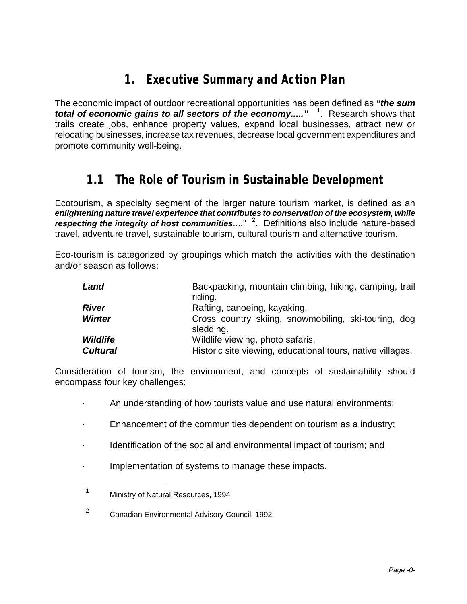## **1. Executive Summary and Action Plan**

The economic impact of outdoor recreational opportunities has been defined as *"the sum total of economic gains to all sectors of the economy.....*" <sup>1</sup>. Research shows that trails create jobs, enhance property values, expand local businesses, attract new or relocating businesses, increase tax revenues, decrease local government expenditures and promote community well-being.

## **1.1 The Role of Tourism in Sustainable Development**

Ecotourism, a specialty segment of the larger nature tourism market, is defined as an *enlightening nature travel experience that contributes to conservation of the ecosystem, while* respecting the integrity of host communities...."<sup>2</sup>. Definitions also include nature-based travel, adventure travel, sustainable tourism, cultural tourism and alternative tourism.

Eco-tourism is categorized by groupings which match the activities with the destination and/or season as follows:

| Land            | Backpacking, mountain climbing, hiking, camping, trail<br>riding. |
|-----------------|-------------------------------------------------------------------|
| <b>River</b>    | Rafting, canoeing, kayaking.                                      |
| <b>Winter</b>   | Cross country skiing, snowmobiling, ski-touring, dog<br>sledding. |
| <b>Wildlife</b> | Wildlife viewing, photo safaris.                                  |
| <b>Cultural</b> | Historic site viewing, educational tours, native villages.        |

Consideration of tourism, the environment, and concepts of sustainability should encompass four key challenges:

- · An understanding of how tourists value and use natural environments;
- · Enhancement of the communities dependent on tourism as a industry;
- Identification of the social and environmental impact of tourism; and
- · Implementation of systems to manage these impacts.

-

<sup>1</sup> Ministry of Natural Resources, 1994

<sup>2</sup> Canadian Environmental Advisory Council, 1992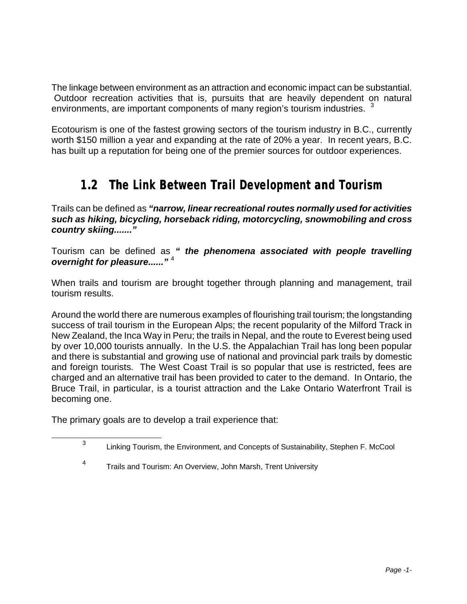The linkage between environment as an attraction and economic impact can be substantial. Outdoor recreation activities that is, pursuits that are heavily dependent on natural environments, are important components of many region's tourism industries.  $\frac{3}{2}$ 

Ecotourism is one of the fastest growing sectors of the tourism industry in B.C., currently worth \$150 million a year and expanding at the rate of 20% a year. In recent years, B.C. has built up a reputation for being one of the premier sources for outdoor experiences.

## **1.2 The Link Between Trail Development and Tourism**

Trails can be defined as *"narrow, linear recreational routes normally used for activities such as hiking, bicycling, horseback riding, motorcycling, snowmobiling and cross country skiing......."*

Tourism can be defined as *" the phenomena associated with people travelling overnight for pleasure......"* <sup>4</sup>

When trails and tourism are brought together through planning and management, trail tourism results.

Around the world there are numerous examples of flourishing trail tourism; the longstanding success of trail tourism in the European Alps; the recent popularity of the Milford Track in New Zealand, the Inca Way in Peru; the trails in Nepal, and the route to Everest being used by over 10,000 tourists annually. In the U.S. the Appalachian Trail has long been popular and there is substantial and growing use of national and provincial park trails by domestic and foreign tourists. The West Coast Trail is so popular that use is restricted, fees are charged and an alternative trail has been provided to cater to the demand. In Ontario, the Bruce Trail, in particular, is a tourist attraction and the Lake Ontario Waterfront Trail is becoming one.

The primary goals are to develop a trail experience that:

l

<sup>3</sup> Linking Tourism, the Environment, and Concepts of Sustainability, Stephen F. McCool

<sup>4</sup> Trails and Tourism: An Overview, John Marsh, Trent University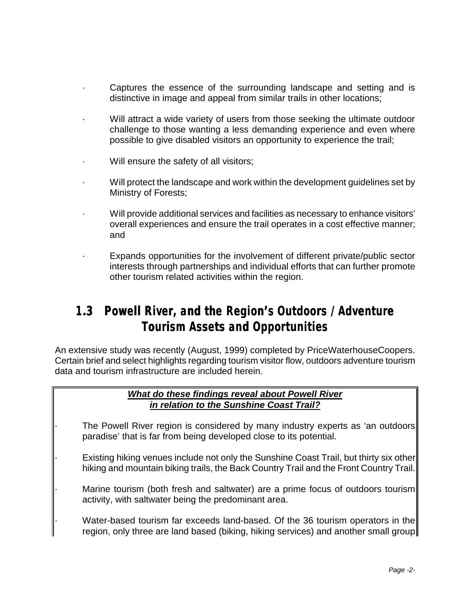- Captures the essence of the surrounding landscape and setting and is distinctive in image and appeal from similar trails in other locations;
- Will attract a wide variety of users from those seeking the ultimate outdoor challenge to those wanting a less demanding experience and even where possible to give disabled visitors an opportunity to experience the trail;
- Will ensure the safety of all visitors;
- · Will protect the landscape and work within the development guidelines set by Ministry of Forests;
- · Will provide additional services and facilities as necessary to enhance visitors' overall experiences and ensure the trail operates in a cost effective manner; and
- Expands opportunities for the involvement of different private/public sector interests through partnerships and individual efforts that can further promote other tourism related activities within the region.

### **1.3 Powell River, and the Region's Outdoors / Adventure Tourism Assets and Opportunities**

An extensive study was recently (August, 1999) completed by PriceWaterhouseCoopers. Certain brief and select highlights regarding tourism visitor flow, outdoors adventure tourism data and tourism infrastructure are included herein.

#### *What do these findings reveal about Powell River in relation to the Sunshine Coast Trail?*

- The Powell River region is considered by many industry experts as 'an outdoors paradise' that is far from being developed close to its potential.
- Existing hiking venues include not only the Sunshine Coast Trail, but thirty six other hiking and mountain biking trails, the Back Country Trail and the Front Country Trail.
	- Marine tourism (both fresh and saltwater) are a prime focus of outdoors tourism activity, with saltwater being the predominant area.
	- Water-based tourism far exceeds land-based. Of the 36 tourism operators in the region, only three are land based (biking, hiking services) and another small group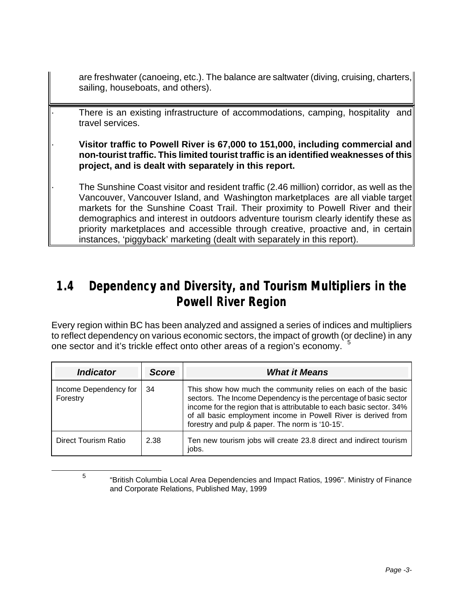are freshwater (canoeing, etc.). The balance are saltwater (diving, cruising, charters, sailing, houseboats, and others).

There is an existing infrastructure of accommodations, camping, hospitality and travel services.

· **Visitor traffic to Powell River is 67,000 to 151,000, including commercial and non-tourist traffic. This limited tourist traffic is an identified weaknesses of this project, and is dealt with separately in this report.**

· The Sunshine Coast visitor and resident traffic (2.46 million) corridor, as well as the Vancouver, Vancouver Island, and Washington marketplaces are all viable target markets for the Sunshine Coast Trail. Their proximity to Powell River and their demographics and interest in outdoors adventure tourism clearly identify these as priority marketplaces and accessible through creative, proactive and, in certain instances, 'piggyback' marketing (dealt with separately in this report).

## **1.4 Dependency and Diversity, and Tourism Multipliers in the Powell River Region**

Every region within BC has been analyzed and assigned a series of indices and multipliers to reflect dependency on various economic sectors, the impact of growth (or decline) in any one sector and it's trickle effect onto other areas of a region's economy.

| <b>Indicator</b>                  | <b>Score</b> | <b>What it Means</b>                                                                                                                                                                                                                                                                                                          |
|-----------------------------------|--------------|-------------------------------------------------------------------------------------------------------------------------------------------------------------------------------------------------------------------------------------------------------------------------------------------------------------------------------|
| Income Dependency for<br>Forestry | 34           | This show how much the community relies on each of the basic<br>sectors. The Income Dependency is the percentage of basic sector<br>income for the region that is attributable to each basic sector. 34%<br>of all basic employment income in Powell River is derived from<br>forestry and pulp & paper. The norm is '10-15'. |
| Direct Tourism Ratio              | 2.38         | Ten new tourism jobs will create 23.8 direct and indirect tourism<br>jobs.                                                                                                                                                                                                                                                    |

5

l

<sup>&</sup>quot;British Columbia Local Area Dependencies and Impact Ratios, 1996". Ministry of Finance and Corporate Relations, Published May, 1999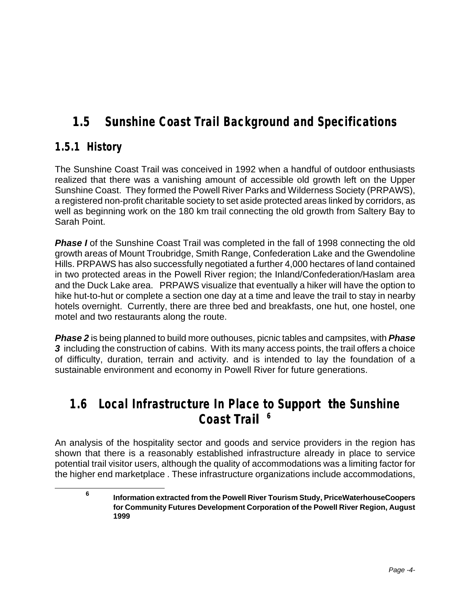## **1.5 Sunshine Coast Trail Background and Specifications**

### **1.5.1 History**

-

The Sunshine Coast Trail was conceived in 1992 when a handful of outdoor enthusiasts realized that there was a vanishing amount of accessible old growth left on the Upper Sunshine Coast. They formed the Powell River Parks and Wilderness Society (PRPAWS), a registered non-profit charitable society to set aside protected areas linked by corridors, as well as beginning work on the 180 km trail connecting the old growth from Saltery Bay to Sarah Point.

**Phase I** of the Sunshine Coast Trail was completed in the fall of 1998 connecting the old growth areas of Mount Troubridge, Smith Range, Confederation Lake and the Gwendoline Hills. PRPAWS has also successfully negotiated a further 4,000 hectares of land contained in two protected areas in the Powell River region; the Inland/Confederation/Haslam area and the Duck Lake area. PRPAWS visualize that eventually a hiker will have the option to hike hut-to-hut or complete a section one day at a time and leave the trail to stay in nearby hotels overnight. Currently, there are three bed and breakfasts, one hut, one hostel, one motel and two restaurants along the route.

*Phase 2* is being planned to build more outhouses, picnic tables and campsites, with *Phase*  **3** including the construction of cabins. With its many access points, the trail offers a choice of difficulty, duration, terrain and activity. and is intended to lay the foundation of a sustainable environment and economy in Powell River for future generations.

### **1.6 Local Infrastructure In Place to Support the Sunshine Coast Trail <sup>6</sup>**

An analysis of the hospitality sector and goods and service providers in the region has shown that there is a reasonably established infrastructure already in place to service potential trail visitor users, although the quality of accommodations was a limiting factor for the higher end marketplace . These infrastructure organizations include accommodations,

**<sup>6</sup> Information extracted from the Powell River Tourism Study, PriceWaterhouseCoopers for Community Futures Development Corporation of the Powell River Region, August 1999**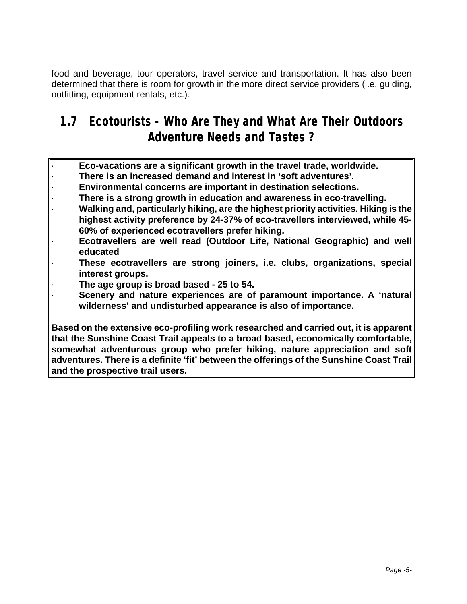food and beverage, tour operators, travel service and transportation. It has also been determined that there is room for growth in the more direct service providers (i.e. guiding, outfitting, equipment rentals, etc.).

## **1.7 Ecotourists - Who Are They and What Are Their Outdoors Adventure Needs and Tastes ?**

· **Eco-vacations are a significant growth in the travel trade, worldwide.** · **There is an increased demand and interest in 'soft adventures'.** · **Environmental concerns are important in destination selections.** · **There is a strong growth in education and awareness in eco-travelling.** · **Walking and, particularly hiking, are the highest priority activities. Hiking is the highest activity preference by 24-37% of eco-travellers interviewed, while 45- 60% of experienced ecotravellers prefer hiking.** · **Ecotravellers are well read (Outdoor Life, National Geographic) and well educated** · **These ecotravellers are strong joiners, i.e. clubs, organizations, special interest groups.** · **The age group is broad based - 25 to 54.** Scenery and nature experiences are of paramount importance. A 'natural **wilderness' and undisturbed appearance is also of importance. Based on the extensive eco-profiling work researched and carried out, it is apparent that the Sunshine Coast Trail appeals to a broad based, economically comfortable, somewhat adventurous group who prefer hiking, nature appreciation and soft adventures. There is a definite 'fit' between the offerings of the Sunshine Coast Trail**

**and the prospective trail users.**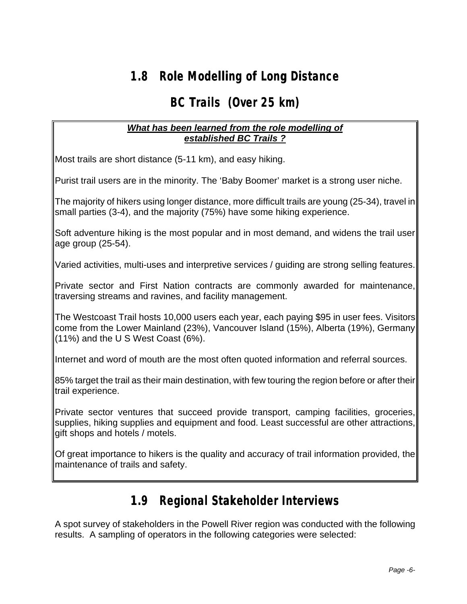## **1.8 Role Modelling of Long Distance**

## **BC Trails (Over 25 km)**

#### *What has been learned from the role modelling of established BC Trails ?*

Most trails are short distance (5-11 km), and easy hiking.

Purist trail users are in the minority. The 'Baby Boomer' market is a strong user niche.

The majority of hikers using longer distance, more difficult trails are young (25-34), travel in small parties (3-4), and the majority (75%) have some hiking experience.

Soft adventure hiking is the most popular and in most demand, and widens the trail user age group (25-54).

Varied activities, multi-uses and interpretive services / guiding are strong selling features.

Private sector and First Nation contracts are commonly awarded for maintenance, traversing streams and ravines, and facility management.

The Westcoast Trail hosts 10,000 users each year, each paying \$95 in user fees. Visitors come from the Lower Mainland (23%), Vancouver Island (15%), Alberta (19%), Germany (11%) and the U S West Coast (6%).

Internet and word of mouth are the most often quoted information and referral sources.

85% target the trail as their main destination, with few touring the region before or after their trail experience.

Private sector ventures that succeed provide transport, camping facilities, groceries, supplies, hiking supplies and equipment and food. Least successful are other attractions, gift shops and hotels / motels.

Of great importance to hikers is the quality and accuracy of trail information provided, the maintenance of trails and safety.

### **1.9 Regional Stakeholder Interviews**

A spot survey of stakeholders in the Powell River region was conducted with the following results. A sampling of operators in the following categories were selected: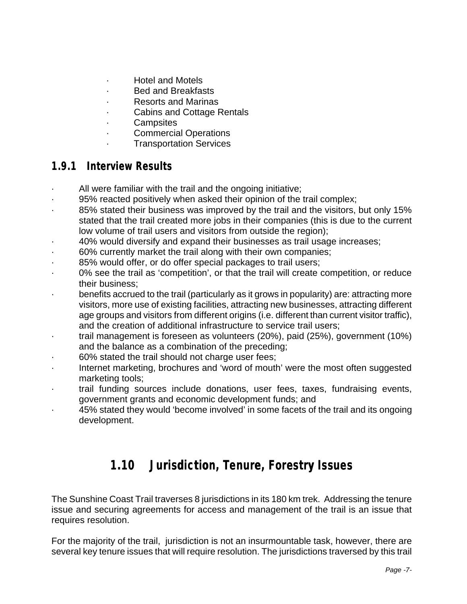- · Hotel and Motels
- · Bed and Breakfasts
- · Resorts and Marinas
- · Cabins and Cottage Rentals
- **Campsites**
- **Commercial Operations**
- **Transportation Services**

### **1.9.1 Interview Results**

- · All were familiar with the trail and the ongoing initiative;
- 95% reacted positively when asked their opinion of the trail complex;
- 85% stated their business was improved by the trail and the visitors, but only 15% stated that the trail created more jobs in their companies (this is due to the current low volume of trail users and visitors from outside the region);
- · 40% would diversify and expand their businesses as trail usage increases;
- · 60% currently market the trail along with their own companies;
- 85% would offer, or do offer special packages to trail users;
- · 0% see the trail as 'competition', or that the trail will create competition, or reduce their business;
- · benefits accrued to the trail (particularly as it grows in popularity) are: attracting more visitors, more use of existing facilities, attracting new businesses, attracting different age groups and visitors from different origins (i.e. different than current visitor traffic), and the creation of additional infrastructure to service trail users;
- · trail management is foreseen as volunteers (20%), paid (25%), government (10%) and the balance as a combination of the preceding;
- 60% stated the trail should not charge user fees;
- · Internet marketing, brochures and 'word of mouth' were the most often suggested marketing tools;
- trail funding sources include donations, user fees, taxes, fundraising events, government grants and economic development funds; and
- 45% stated they would 'become involved' in some facets of the trail and its ongoing development.

### **1.10 Jurisdiction, Tenure, Forestry Issues**

The Sunshine Coast Trail traverses 8 jurisdictions in its 180 km trek. Addressing the tenure issue and securing agreements for access and management of the trail is an issue that requires resolution.

For the majority of the trail, jurisdiction is not an insurmountable task, however, there are several key tenure issues that will require resolution. The jurisdictions traversed by this trail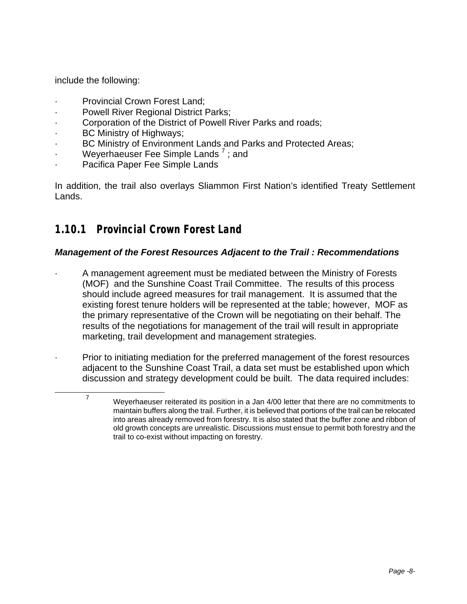include the following:

1

- Provincial Crown Forest Land:
- Powell River Regional District Parks;
- Corporation of the District of Powell River Parks and roads;
- BC Ministry of Highways;
- BC Ministry of Environment Lands and Parks and Protected Areas;
- **Weyerhaeuser Fee Simple Lands**  $^7$  ; and
- Pacifica Paper Fee Simple Lands

In addition, the trail also overlays Sliammon First Nation's identified Treaty Settlement Lands.

### **1.10.1 Provincial Crown Forest Land**

#### *Management of the Forest Resources Adjacent to the Trail : Recommendations*

· A management agreement must be mediated between the Ministry of Forests (MOF) and the Sunshine Coast Trail Committee. The results of this process should include agreed measures for trail management. It is assumed that the existing forest tenure holders will be represented at the table; however, MOF as the primary representative of the Crown will be negotiating on their behalf. The results of the negotiations for management of the trail will result in appropriate marketing, trail development and management strategies.

· Prior to initiating mediation for the preferred management of the forest resources adjacent to the Sunshine Coast Trail, a data set must be established upon which discussion and strategy development could be built. The data required includes:

 $7$  Weyerhaeuser reiterated its position in a Jan 4/00 letter that there are no commitments to maintain buffers along the trail. Further, it is believed that portions of the trail can be relocated into areas already removed from forestry. It is also stated that the buffer zone and ribbon of old growth concepts are unrealistic. Discussions must ensue to permit both forestry and the trail to co-exist without impacting on forestry.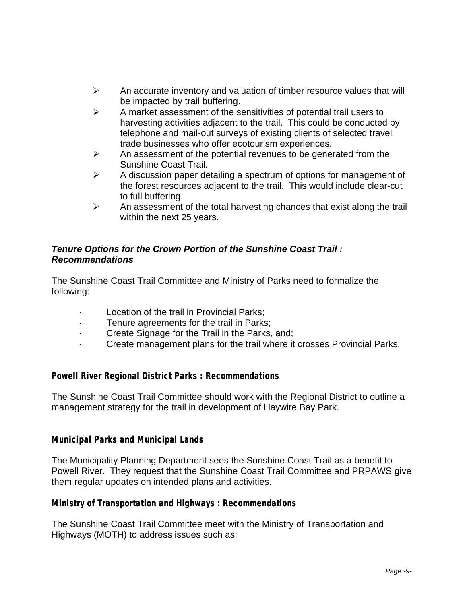- $\triangleright$  An accurate inventory and valuation of timber resource values that will be impacted by trail buffering.
- $\triangleright$  A market assessment of the sensitivities of potential trail users to harvesting activities adjacent to the trail. This could be conducted by telephone and mail-out surveys of existing clients of selected travel trade businesses who offer ecotourism experiences.
- $\triangleright$  An assessment of the potential revenues to be generated from the Sunshine Coast Trail.
- $\triangleright$  A discussion paper detailing a spectrum of options for management of the forest resources adjacent to the trail. This would include clear-cut to full buffering.
- $\triangleright$  An assessment of the total harvesting chances that exist along the trail within the next 25 years.

#### *Tenure Options for the Crown Portion of the Sunshine Coast Trail : Recommendations*

The Sunshine Coast Trail Committee and Ministry of Parks need to formalize the following:

- Location of the trail in Provincial Parks;
- Tenure agreements for the trail in Parks;
- Create Signage for the Trail in the Parks, and;
- · Create management plans for the trail where it crosses Provincial Parks.

#### *Powell River Regional District Parks : Recommendations*

The Sunshine Coast Trail Committee should work with the Regional District to outline a management strategy for the trail in development of Haywire Bay Park.

#### *Municipal Parks and Municipal Lands*

The Municipality Planning Department sees the Sunshine Coast Trail as a benefit to Powell River. They request that the Sunshine Coast Trail Committee and PRPAWS give them regular updates on intended plans and activities.

#### *Ministry of Transportation and Highways : Recommendations*

The Sunshine Coast Trail Committee meet with the Ministry of Transportation and Highways (MOTH) to address issues such as: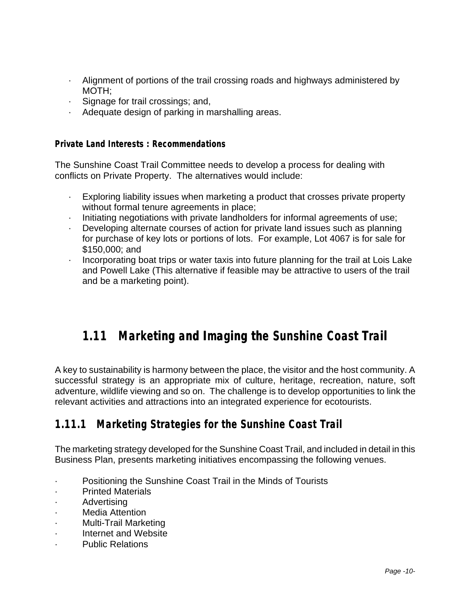- · Alignment of portions of the trail crossing roads and highways administered by MOTH;
- · Signage for trail crossings; and,
- · Adequate design of parking in marshalling areas.

#### *Private Land Interests : Recommendations*

The Sunshine Coast Trail Committee needs to develop a process for dealing with conflicts on Private Property. The alternatives would include:

- Exploring liability issues when marketing a product that crosses private property without formal tenure agreements in place;
- · Initiating negotiations with private landholders for informal agreements of use;
- · Developing alternate courses of action for private land issues such as planning for purchase of key lots or portions of lots. For example, Lot 4067 is for sale for \$150,000; and
- · Incorporating boat trips or water taxis into future planning for the trail at Lois Lake and Powell Lake (This alternative if feasible may be attractive to users of the trail and be a marketing point).

## **1.11 Marketing and Imaging the Sunshine Coast Trail**

A key to sustainability is harmony between the place, the visitor and the host community. A successful strategy is an appropriate mix of culture, heritage, recreation, nature, soft adventure, wildlife viewing and so on. The challenge is to develop opportunities to link the relevant activities and attractions into an integrated experience for ecotourists.

### **1.11.1 Marketing Strategies for the Sunshine Coast Trail**

The marketing strategy developed for the Sunshine Coast Trail, and included in detail in this Business Plan, presents marketing initiatives encompassing the following venues.

- · Positioning the Sunshine Coast Trail in the Minds of Tourists
- **Printed Materials**
- **Advertising**
- · Media Attention
- · Multi-Trail Marketing
- Internet and Website
- Public Relations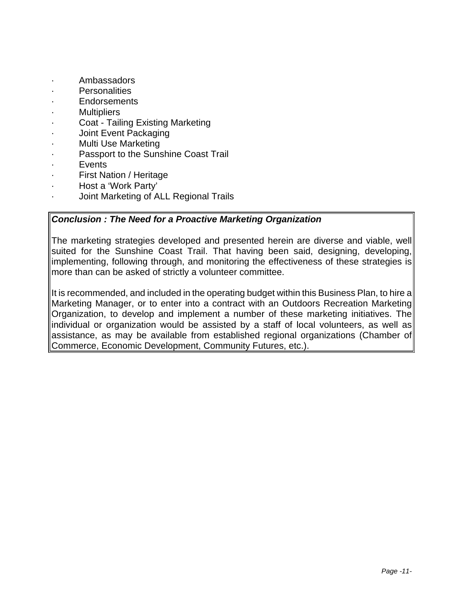- · Ambassadors
- Personalities
- **Endorsements**
- **Multipliers**
- · Coat Tailing Existing Marketing
- Joint Event Packaging
- Multi Use Marketing
- Passport to the Sunshine Coast Trail
- **Events**
- First Nation / Heritage
- · Host a 'Work Party'
- · Joint Marketing of ALL Regional Trails

#### *Conclusion : The Need for a Proactive Marketing Organization*

The marketing strategies developed and presented herein are diverse and viable, well suited for the Sunshine Coast Trail. That having been said, designing, developing, implementing, following through, and monitoring the effectiveness of these strategies is more than can be asked of strictly a volunteer committee.

It is recommended, and included in the operating budget within this Business Plan, to hire a Marketing Manager, or to enter into a contract with an Outdoors Recreation Marketing Organization, to develop and implement a number of these marketing initiatives. The individual or organization would be assisted by a staff of local volunteers, as well as assistance, as may be available from established regional organizations (Chamber of Commerce, Economic Development, Community Futures, etc.).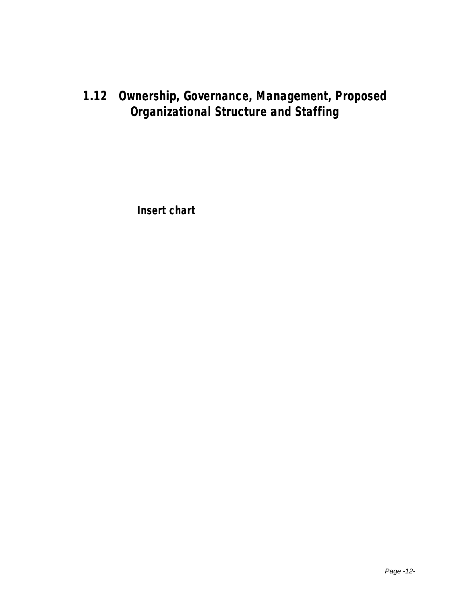## **1.12 Ownership, Governance, Management, Proposed Organizational Structure and Staffing**

**Insert chart**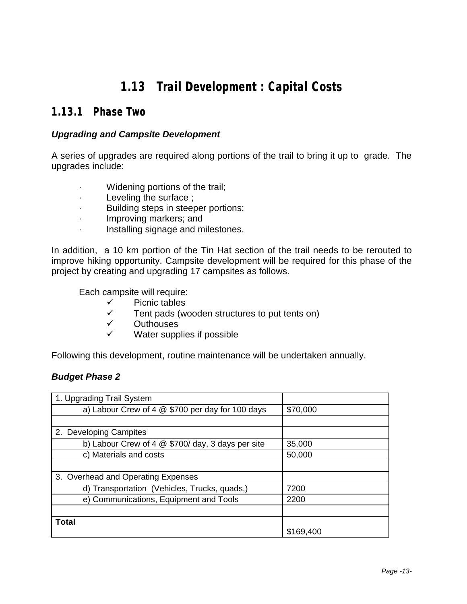## **1.13 Trail Development : Capital Costs**

### **1.13.1 Phase Two**

#### *Upgrading and Campsite Development*

A series of upgrades are required along portions of the trail to bring it up to grade. The upgrades include:

- · Widening portions of the trail;
- · Leveling the surface ;
- Building steps in steeper portions;
- · Improving markers; and
- · Installing signage and milestones.

In addition, a 10 km portion of the Tin Hat section of the trail needs to be rerouted to improve hiking opportunity. Campsite development will be required for this phase of the project by creating and upgrading 17 campsites as follows.

Each campsite will require:

- ✓ Picnic tables<br>✓ Tent pads (w
- Tent pads (wooden structures to put tents on)
- ✓ Outhouses<br>✓ Mater sunn
- Water supplies if possible

Following this development, routine maintenance will be undertaken annually.

#### *Budget Phase 2*

| 1. Upgrading Trail System                          |           |
|----------------------------------------------------|-----------|
| a) Labour Crew of 4 $@$ \$700 per day for 100 days | \$70,000  |
|                                                    |           |
| 2. Developing Campites                             |           |
| b) Labour Crew of 4 $@$ \$700/day, 3 days per site | 35,000    |
| c) Materials and costs                             | 50,000    |
|                                                    |           |
| 3. Overhead and Operating Expenses                 |           |
| d) Transportation (Vehicles, Trucks, quads,)       | 7200      |
| e) Communications, Equipment and Tools             | 2200      |
|                                                    |           |
| <b>Total</b>                                       | \$169,400 |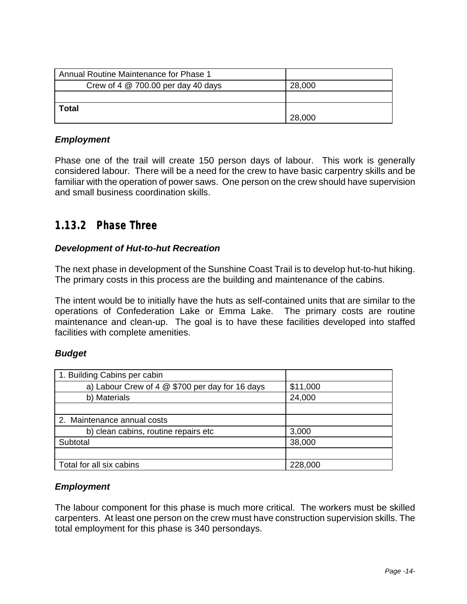| Annual Routine Maintenance for Phase 1 |        |
|----------------------------------------|--------|
| Crew of 4 $@$ 700.00 per day 40 days   | 28,000 |
|                                        |        |
| <b>Total</b>                           |        |
|                                        | 28,000 |

#### *Employment*

Phase one of the trail will create 150 person days of labour. This work is generally considered labour. There will be a need for the crew to have basic carpentry skills and be familiar with the operation of power saws. One person on the crew should have supervision and small business coordination skills.

### **1.13.2 Phase Three**

#### *Development of Hut-to-hut Recreation*

The next phase in development of the Sunshine Coast Trail is to develop hut-to-hut hiking. The primary costs in this process are the building and maintenance of the cabins.

The intent would be to initially have the huts as self-contained units that are similar to the operations of Confederation Lake or Emma Lake. The primary costs are routine maintenance and clean-up. The goal is to have these facilities developed into staffed facilities with complete amenities.

#### *Budget*

| 1. Building Cabins per cabin                    |          |
|-------------------------------------------------|----------|
| a) Labour Crew of 4 @ \$700 per day for 16 days | \$11,000 |
| b) Materials                                    | 24,000   |
|                                                 |          |
| 2. Maintenance annual costs                     |          |
| b) clean cabins, routine repairs etc            | 3,000    |
| Subtotal                                        | 38,000   |
|                                                 |          |
| Total for all six cabins                        | 228,000  |

#### *Employment*

The labour component for this phase is much more critical. The workers must be skilled carpenters. At least one person on the crew must have construction supervision skills. The total employment for this phase is 340 persondays.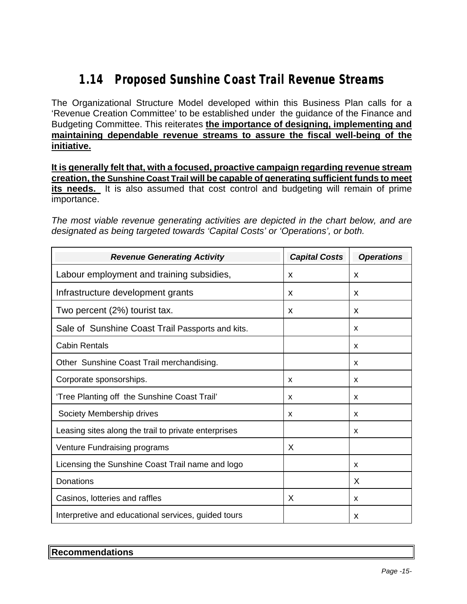## **1.14 Proposed Sunshine Coast Trail Revenue Streams**

The Organizational Structure Model developed within this Business Plan calls for a 'Revenue Creation Committee' to be established under the guidance of the Finance and Budgeting Committee. This reiterates **the importance of designing, implementing and maintaining dependable revenue streams to assure the fiscal well-being of the initiative.** 

**It is generally felt that, with a focused, proactive campaign regarding revenue stream creation, the Sunshine Coast Trail will be capable of generating sufficient funds to meet its needs.** It is also assumed that cost control and budgeting will remain of prime importance.

*The most viable revenue generating activities are depicted in the chart below, and are designated as being targeted towards 'Capital Costs' or 'Operations', or both.*

| <b>Revenue Generating Activity</b>                   | <b>Capital Costs</b> | <b>Operations</b> |
|------------------------------------------------------|----------------------|-------------------|
| Labour employment and training subsidies,            | X                    | X                 |
| Infrastructure development grants                    | X                    | X                 |
| Two percent (2%) tourist tax.                        | X                    | X                 |
| Sale of Sunshine Coast Trail Passports and kits.     |                      | x                 |
| <b>Cabin Rentals</b>                                 |                      | X                 |
| Other Sunshine Coast Trail merchandising.            |                      | x                 |
| Corporate sponsorships.                              | X                    | X                 |
| 'Tree Planting off the Sunshine Coast Trail'         | X                    | X                 |
| Society Membership drives                            | X                    | x                 |
| Leasing sites along the trail to private enterprises |                      | x                 |
| Venture Fundraising programs                         | X                    |                   |
| Licensing the Sunshine Coast Trail name and logo     |                      | X                 |
| Donations                                            |                      | X                 |
| Casinos, lotteries and raffles                       | X                    | X                 |
| Interpretive and educational services, guided tours  |                      | X                 |

| Recommendations |  |  |
|-----------------|--|--|
|                 |  |  |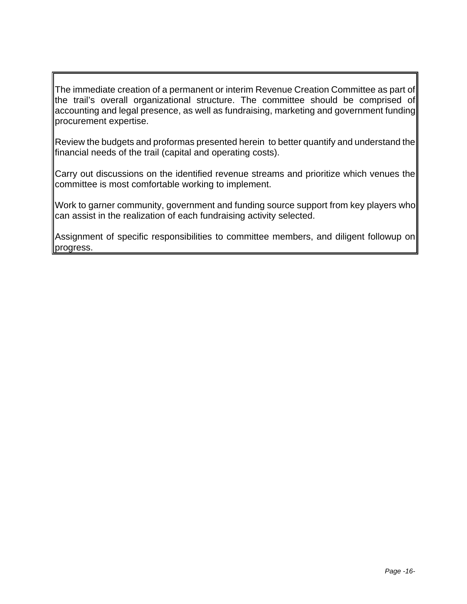The immediate creation of a permanent or interim Revenue Creation Committee as part of the trail's overall organizational structure. The committee should be comprised of accounting and legal presence, as well as fundraising, marketing and government funding procurement expertise.

Review the budgets and proformas presented herein to better quantify and understand the financial needs of the trail (capital and operating costs).

Carry out discussions on the identified revenue streams and prioritize which venues the committee is most comfortable working to implement.

Work to garner community, government and funding source support from key players who can assist in the realization of each fundraising activity selected.

Assignment of specific responsibilities to committee members, and diligent followup on progress.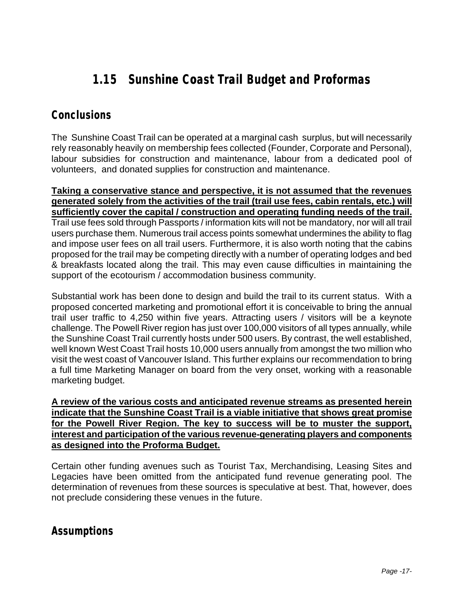## **1.15 Sunshine Coast Trail Budget and Proformas**

### **Conclusions**

The Sunshine Coast Trail can be operated at a marginal cash surplus, but will necessarily rely reasonably heavily on membership fees collected (Founder, Corporate and Personal), labour subsidies for construction and maintenance, labour from a dedicated pool of volunteers, and donated supplies for construction and maintenance.

**Taking a conservative stance and perspective, it is not assumed that the revenues generated solely from the activities of the trail (trail use fees, cabin rentals, etc.) will sufficiently cover the capital / construction and operating funding needs of the trail.**  Trail use fees sold through Passports / information kits will not be mandatory, nor will all trail users purchase them. Numerous trail access points somewhat undermines the ability to flag and impose user fees on all trail users. Furthermore, it is also worth noting that the cabins proposed for the trail may be competing directly with a number of operating lodges and bed & breakfasts located along the trail. This may even cause difficulties in maintaining the support of the ecotourism / accommodation business community.

Substantial work has been done to design and build the trail to its current status. With a proposed concerted marketing and promotional effort it is conceivable to bring the annual trail user traffic to 4,250 within five years. Attracting users / visitors will be a keynote challenge. The Powell River region has just over 100,000 visitors of all types annually, while the Sunshine Coast Trail currently hosts under 500 users. By contrast, the well established, well known West Coast Trail hosts 10,000 users annually from amongst the two million who visit the west coast of Vancouver Island. This further explains our recommendation to bring a full time Marketing Manager on board from the very onset, working with a reasonable marketing budget.

**A review of the various costs and anticipated revenue streams as presented herein indicate that the Sunshine Coast Trail is a viable initiative that shows great promise for the Powell River Region. The key to success will be to muster the support, interest and participation of the various revenue-generating players and components as designed into the Proforma Budget.**

Certain other funding avenues such as Tourist Tax, Merchandising, Leasing Sites and Legacies have been omitted from the anticipated fund revenue generating pool. The determination of revenues from these sources is speculative at best. That, however, does not preclude considering these venues in the future.

### **Assumptions**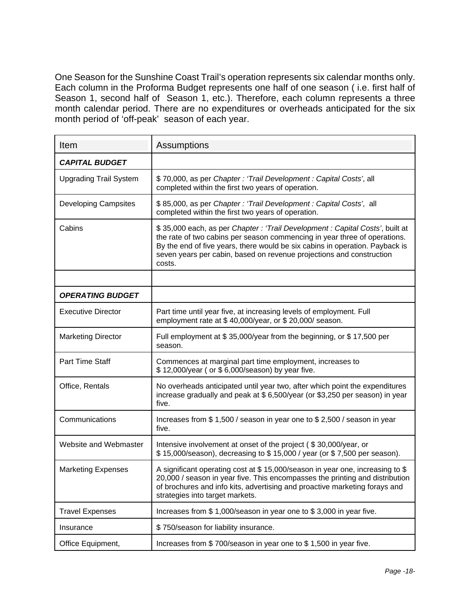One Season for the Sunshine Coast Trail's operation represents six calendar months only. Each column in the Proforma Budget represents one half of one season ( i.e. first half of Season 1, second half of Season 1, etc.). Therefore, each column represents a three month calendar period. There are no expenditures or overheads anticipated for the six month period of 'off-peak' season of each year.

| Item                          | Assumptions                                                                                                                                                                                                                                                                                                                |
|-------------------------------|----------------------------------------------------------------------------------------------------------------------------------------------------------------------------------------------------------------------------------------------------------------------------------------------------------------------------|
| <b>CAPITAL BUDGET</b>         |                                                                                                                                                                                                                                                                                                                            |
| <b>Upgrading Trail System</b> | \$70,000, as per Chapter: 'Trail Development: Capital Costs', all<br>completed within the first two years of operation.                                                                                                                                                                                                    |
| <b>Developing Campsites</b>   | \$85,000, as per Chapter : 'Trail Development : Capital Costs', all<br>completed within the first two years of operation.                                                                                                                                                                                                  |
| Cabins                        | \$35,000 each, as per Chapter: 'Trail Development: Capital Costs', built at<br>the rate of two cabins per season commencing in year three of operations.<br>By the end of five years, there would be six cabins in operation. Payback is<br>seven years per cabin, based on revenue projections and construction<br>costs. |
|                               |                                                                                                                                                                                                                                                                                                                            |
| <b>OPERATING BUDGET</b>       |                                                                                                                                                                                                                                                                                                                            |
| <b>Executive Director</b>     | Part time until year five, at increasing levels of employment. Full<br>employment rate at \$40,000/year, or \$20,000/ season.                                                                                                                                                                                              |
| <b>Marketing Director</b>     | Full employment at \$35,000/year from the beginning, or \$17,500 per<br>season.                                                                                                                                                                                                                                            |
| <b>Part Time Staff</b>        | Commences at marginal part time employment, increases to<br>\$12,000/year (or \$6,000/season) by year five.                                                                                                                                                                                                                |
| Office, Rentals               | No overheads anticipated until year two, after which point the expenditures<br>increase gradually and peak at \$6,500/year (or \$3,250 per season) in year<br>five.                                                                                                                                                        |
| Communications                | Increases from \$1,500 / season in year one to \$2,500 / season in year<br>five.                                                                                                                                                                                                                                           |
| Website and Webmaster         | Intensive involvement at onset of the project (\$30,000/year, or<br>\$15,000/season), decreasing to \$15,000 / year (or \$7,500 per season).                                                                                                                                                                               |
| <b>Marketing Expenses</b>     | A significant operating cost at \$15,000/season in year one, increasing to \$<br>20,000 / season in year five. This encompasses the printing and distribution<br>of brochures and info kits, advertising and proactive marketing forays and<br>strategies into target markets.                                             |
| <b>Travel Expenses</b>        | Increases from \$1,000/season in year one to \$3,000 in year five.                                                                                                                                                                                                                                                         |
| Insurance                     | \$750/season for liability insurance.                                                                                                                                                                                                                                                                                      |
| Office Equipment,             | Increases from \$700/season in year one to \$1,500 in year five.                                                                                                                                                                                                                                                           |

Copying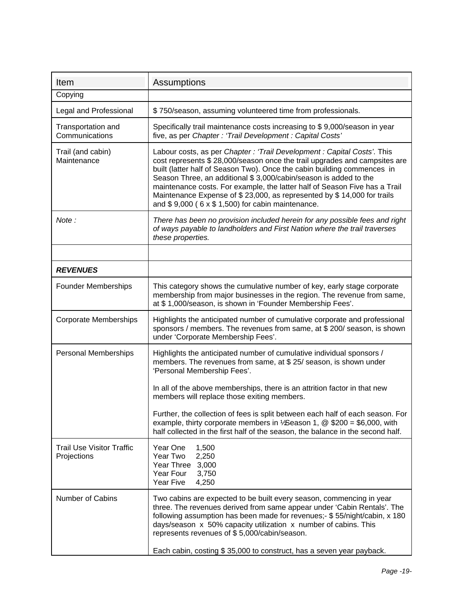| Item                                            | Assumptions                                                                                                                                                                                                                                                                                                                                                                                                                                                                                                             |
|-------------------------------------------------|-------------------------------------------------------------------------------------------------------------------------------------------------------------------------------------------------------------------------------------------------------------------------------------------------------------------------------------------------------------------------------------------------------------------------------------------------------------------------------------------------------------------------|
| Copying                                         |                                                                                                                                                                                                                                                                                                                                                                                                                                                                                                                         |
| Legal and Professional                          | \$750/season, assuming volunteered time from professionals.                                                                                                                                                                                                                                                                                                                                                                                                                                                             |
| Transportation and<br>Communications            | Specifically trail maintenance costs increasing to \$9,000/season in year<br>five, as per Chapter: 'Trail Development: Capital Costs'                                                                                                                                                                                                                                                                                                                                                                                   |
| Trail (and cabin)<br>Maintenance                | Labour costs, as per Chapter: 'Trail Development: Capital Costs'. This<br>cost represents \$28,000/season once the trail upgrades and campsites are<br>built (latter half of Season Two). Once the cabin building commences in<br>Season Three, an additional \$3,000/cabin/season is added to the<br>maintenance costs. For example, the latter half of Season Five has a Trail<br>Maintenance Expense of \$23,000, as represented by \$14,000 for trails<br>and $$9,000$ ( $6 \times $1,500$ ) for cabin maintenance. |
| Note:                                           | There has been no provision included herein for any possible fees and right<br>of ways payable to landholders and First Nation where the trail traverses<br>these properties.                                                                                                                                                                                                                                                                                                                                           |
|                                                 |                                                                                                                                                                                                                                                                                                                                                                                                                                                                                                                         |
| <b>REVENUES</b>                                 |                                                                                                                                                                                                                                                                                                                                                                                                                                                                                                                         |
| <b>Founder Memberships</b>                      | This category shows the cumulative number of key, early stage corporate<br>membership from major businesses in the region. The revenue from same,<br>at \$1,000/season, is shown in 'Founder Membership Fees'.                                                                                                                                                                                                                                                                                                          |
| <b>Corporate Memberships</b>                    | Highlights the anticipated number of cumulative corporate and professional<br>sponsors / members. The revenues from same, at \$ 200/ season, is shown<br>under 'Corporate Membership Fees'.                                                                                                                                                                                                                                                                                                                             |
| <b>Personal Memberships</b>                     | Highlights the anticipated number of cumulative individual sponsors /<br>members. The revenues from same, at \$ 25/ season, is shown under<br>'Personal Membership Fees'.<br>In all of the above memberships, there is an attrition factor in that new<br>members will replace those exiting members.                                                                                                                                                                                                                   |
|                                                 | Further, the collection of fees is split between each half of each season. For<br>example, thirty corporate members in $\frac{1}{2}$ Season 1, @ \$200 = \$6,000, with<br>half collected in the first half of the season, the balance in the second half.                                                                                                                                                                                                                                                               |
| <b>Trail Use Visitor Traffic</b><br>Projections | Year One<br>1,500<br>Year Two<br>2,250<br>Year Three<br>3,000<br>Year Four<br>3,750<br>Year Five<br>4,250                                                                                                                                                                                                                                                                                                                                                                                                               |
| <b>Number of Cabins</b>                         | Two cabins are expected to be built every season, commencing in year<br>three. The revenues derived from same appear under 'Cabin Rentals'. The<br>following assumption has been made for revenues;- \$55/night/cabin, x 180<br>days/season x 50% capacity utilization x number of cabins. This<br>represents revenues of \$5,000/cabin/season.<br>Each cabin, costing \$35,000 to construct, has a seven year payback.                                                                                                 |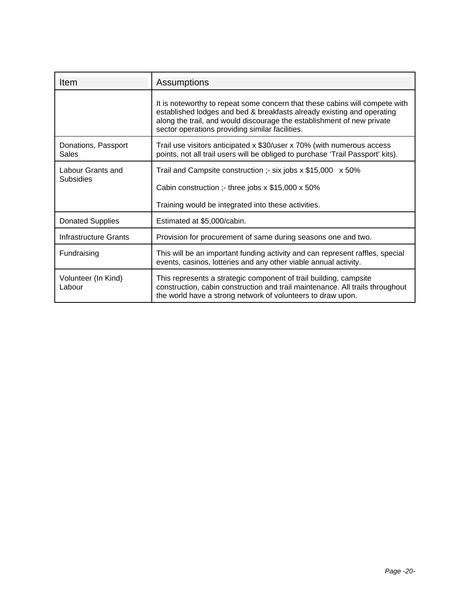| <b>Item</b>                         | Assumptions                                                                                                                                                                                                                                                                        |  |
|-------------------------------------|------------------------------------------------------------------------------------------------------------------------------------------------------------------------------------------------------------------------------------------------------------------------------------|--|
|                                     | It is noteworthy to repeat some concern that these cabins will compete with<br>established lodges and bed & breakfasts already existing and operating<br>along the trail, and would discourage the establishment of new private<br>sector operations providing similar facilities. |  |
| Donations, Passport<br><b>Sales</b> | Trail use visitors anticipated x \$30/user x 70% (with numerous access<br>points, not all trail users will be obliged to purchase 'Trail Passport' kits).                                                                                                                          |  |
| Labour Grants and<br>Subsidies      | Trail and Campsite construction :- six jobs $x$ \$15,000 $x$ 50%                                                                                                                                                                                                                   |  |
|                                     | Cabin construction :- three jobs $x$ \$15,000 $x$ 50%                                                                                                                                                                                                                              |  |
|                                     | Training would be integrated into these activities.                                                                                                                                                                                                                                |  |
| <b>Donated Supplies</b>             | Estimated at \$5,000/cabin.                                                                                                                                                                                                                                                        |  |
| Infrastructure Grants               | Provision for procurement of same during seasons one and two.                                                                                                                                                                                                                      |  |
| Fundraising                         | This will be an important funding activity and can represent raffles, special<br>events, casinos, lotteries and any other viable annual activity.                                                                                                                                  |  |
| Volunteer (In Kind)<br>Labour       | This represents a strategic component of trail building, campsite<br>construction, cabin construction and trail maintenance. All trails throughout<br>the world have a strong network of volunteers to draw upon.                                                                  |  |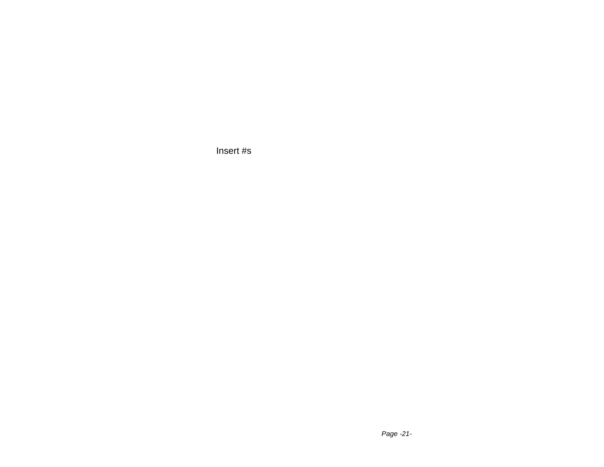Insert #s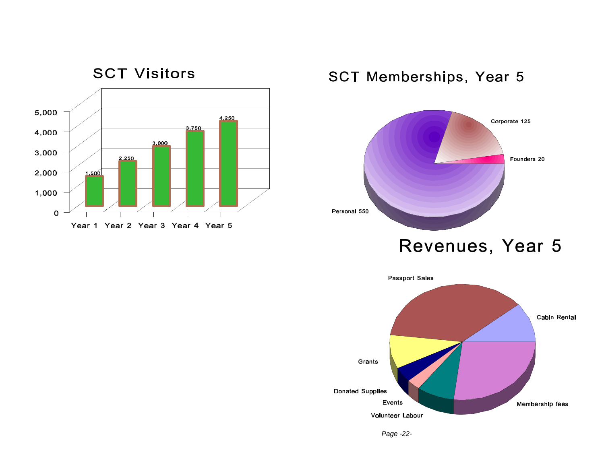

## SCT Memberships, Year 5



Revenues, Year 5



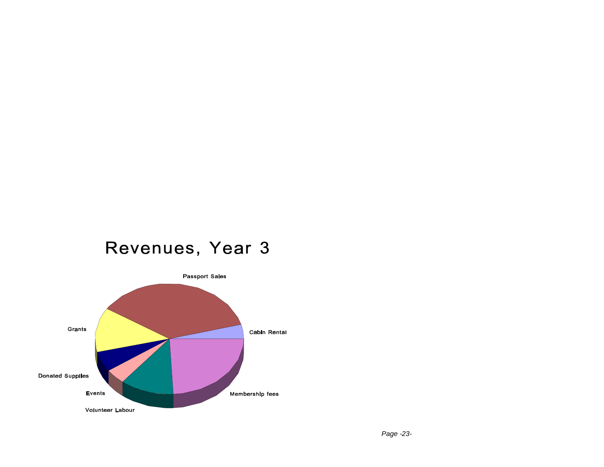# Revenues, Year 3

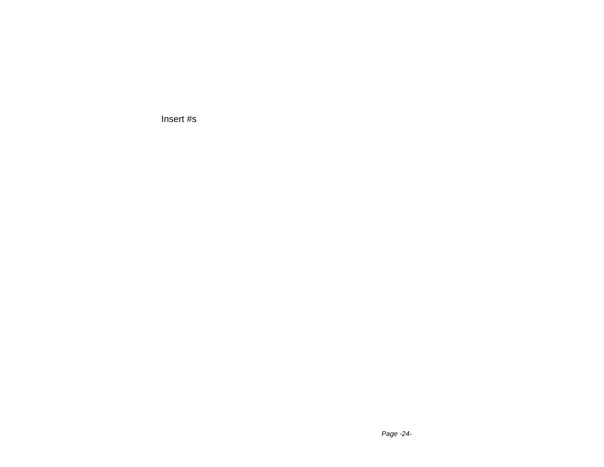Insert #s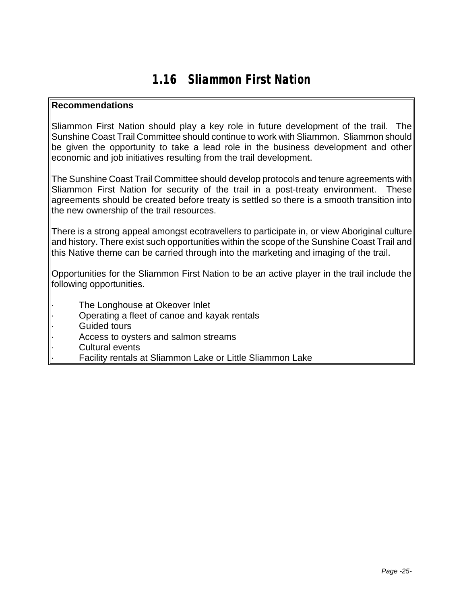## **1.16 Sliammon First Nation**

#### **Recommendations**

Sliammon First Nation should play a key role in future development of the trail. The Sunshine Coast Trail Committee should continue to work with Sliammon. Sliammon should be given the opportunity to take a lead role in the business development and other economic and job initiatives resulting from the trail development.

The Sunshine Coast Trail Committee should develop protocols and tenure agreements with Sliammon First Nation for security of the trail in a post-treaty environment. These agreements should be created before treaty is settled so there is a smooth transition into the new ownership of the trail resources.

There is a strong appeal amongst ecotravellers to participate in, or view Aboriginal culture and history. There exist such opportunities within the scope of the Sunshine Coast Trail and this Native theme can be carried through into the marketing and imaging of the trail.

Opportunities for the Sliammon First Nation to be an active player in the trail include the following opportunities.

- The Longhouse at Okeover Inlet
- · Operating a fleet of canoe and kayak rentals
- Guided tours
- Access to oysters and salmon streams
- Cultural events
	- Facility rentals at Sliammon Lake or Little Sliammon Lake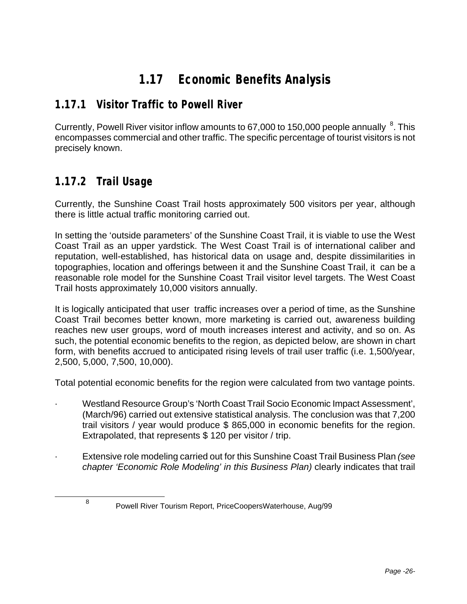## **1.17 Economic Benefits Analysis**

### **1.17.1 Visitor Traffic to Powell River**

Currently, Powell River visitor inflow amounts to 67,000 to 150,000 people annually  ${}^{8}$ . This encompasses commercial and other traffic. The specific percentage of tourist visitors is not precisely known.

### **1.17.2 Trail Usage**

l

8

Currently, the Sunshine Coast Trail hosts approximately 500 visitors per year, although there is little actual traffic monitoring carried out.

In setting the 'outside parameters' of the Sunshine Coast Trail, it is viable to use the West Coast Trail as an upper yardstick. The West Coast Trail is of international caliber and reputation, well-established, has historical data on usage and, despite dissimilarities in topographies, location and offerings between it and the Sunshine Coast Trail, it can be a reasonable role model for the Sunshine Coast Trail visitor level targets. The West Coast Trail hosts approximately 10,000 visitors annually.

It is logically anticipated that user traffic increases over a period of time, as the Sunshine Coast Trail becomes better known, more marketing is carried out, awareness building reaches new user groups, word of mouth increases interest and activity, and so on. As such, the potential economic benefits to the region, as depicted below, are shown in chart form, with benefits accrued to anticipated rising levels of trail user traffic (i.e. 1,500/year, 2,500, 5,000, 7,500, 10,000).

Total potential economic benefits for the region were calculated from two vantage points.

- · Westland Resource Group's 'North Coast Trail Socio Economic Impact Assessment', (March/96) carried out extensive statistical analysis. The conclusion was that 7,200 trail visitors / year would produce \$ 865,000 in economic benefits for the region. Extrapolated, that represents \$ 120 per visitor / trip.
- · Extensive role modeling carried out for this Sunshine Coast Trail Business Plan *(see chapter 'Economic Role Modeling' in this Business Plan)* clearly indicates that trail

Powell River Tourism Report, PriceCoopersWaterhouse, Aug/99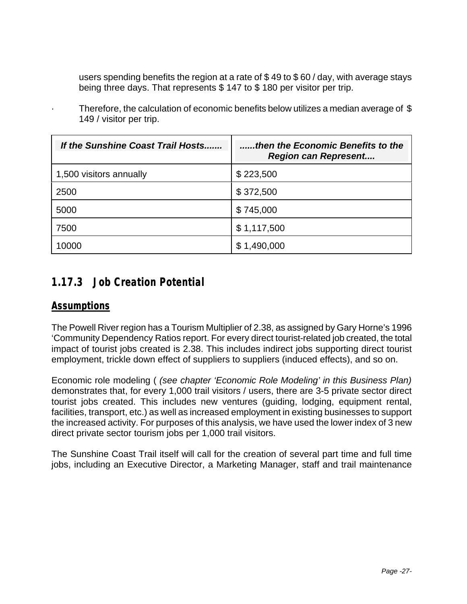users spending benefits the region at a rate of \$ 49 to \$ 60 / day, with average stays being three days. That represents \$ 147 to \$ 180 per visitor per trip.

| If the Sunshine Coast Trail Hosts | then the Economic Benefits to the<br><b>Region can Represent</b> |
|-----------------------------------|------------------------------------------------------------------|
| 1,500 visitors annually           | \$223,500                                                        |
| 2500                              | \$372,500                                                        |
| 5000                              | \$745,000                                                        |
| 7500                              | \$1,117,500                                                      |
| 0000                              | 1,490,000                                                        |

Therefore, the calculation of economic benefits below utilizes a median average of  $$$ 149 / visitor per trip.

### **1.17.3 Job Creation Potential**

### *Assumptions*

The Powell River region has a Tourism Multiplier of 2.38, as assigned by Gary Horne's 1996 'Community Dependency Ratios report. For every direct tourist-related job created, the total impact of tourist jobs created is 2.38. This includes indirect jobs supporting direct tourist employment, trickle down effect of suppliers to suppliers (induced effects), and so on.

Economic role modeling ( *(see chapter 'Economic Role Modeling' in this Business Plan)*  demonstrates that, for every 1,000 trail visitors / users, there are 3-5 private sector direct tourist jobs created. This includes new ventures (guiding, lodging, equipment rental, facilities, transport, etc.) as well as increased employment in existing businesses to support the increased activity. For purposes of this analysis, we have used the lower index of 3 new direct private sector tourism jobs per 1,000 trail visitors.

The Sunshine Coast Trail itself will call for the creation of several part time and full time jobs, including an Executive Director, a Marketing Manager, staff and trail maintenance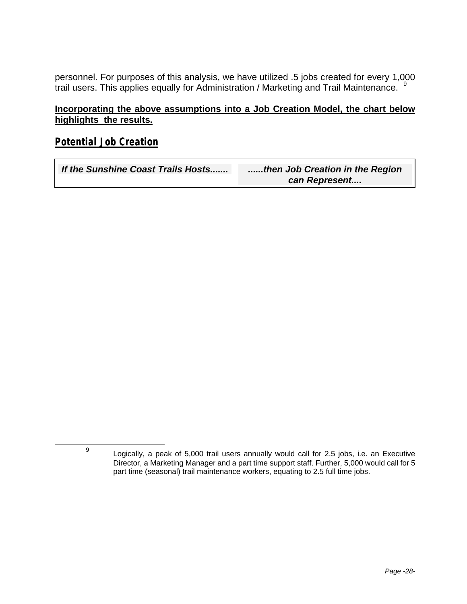personnel. For purposes of this analysis, we have utilized .5 jobs created for every 1,000 trail users. This applies equally for Administration / Marketing and Trail Maintenance.

#### **Incorporating the above assumptions into a Job Creation Model, the chart below highlights the results.**

### *Potential Job Creation*

-

9

| If the Sunshine Coast Trails Hosts | then Job Creation in the Region |
|------------------------------------|---------------------------------|
|                                    | can Represent                   |

Logically, a peak of 5,000 trail users annually would call for 2.5 jobs, i.e. an Executive Director, a Marketing Manager and a part time support staff. Further, 5,000 would call for 5 part time (seasonal) trail maintenance workers, equating to 2.5 full time jobs.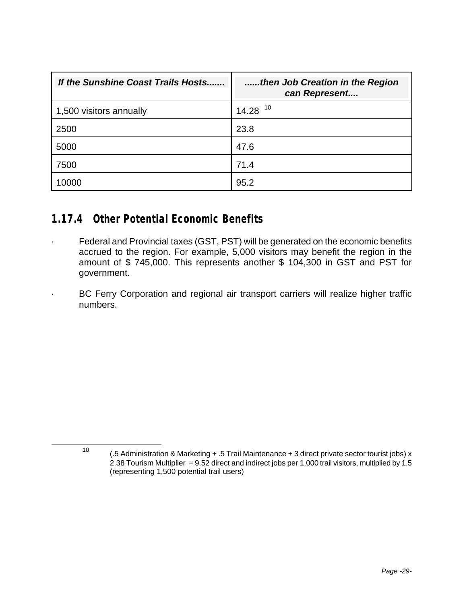| If the Sunshine Coast Trails Hosts | then Job Creation in the Region<br>can Represent |
|------------------------------------|--------------------------------------------------|
| 1,500 visitors annually            | $14.28$ <sup>10</sup>                            |
| 2500                               | 23.8                                             |
| 5000                               | 47.6                                             |
| 7500                               | 71.4                                             |
| 0000                               | 95.2                                             |

### **1.17.4 Other Potential Economic Benefits**

l

- · Federal and Provincial taxes (GST, PST) will be generated on the economic benefits accrued to the region. For example, 5,000 visitors may benefit the region in the amount of \$ 745,000. This represents another \$ 104,300 in GST and PST for government.
	- BC Ferry Corporation and regional air transport carriers will realize higher traffic numbers.

<sup>10</sup> (.5 Administration & Marketing + .5 Trail Maintenance + 3 direct private sector tourist jobs) x 2.38 Tourism Multiplier = 9.52 direct and indirect jobs per 1,000 trail visitors, multiplied by 1.5 (representing 1,500 potential trail users)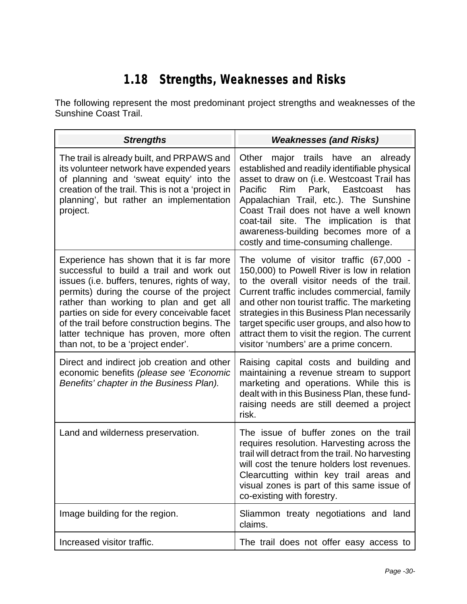# **1.18 Strengths, Weaknesses and Risks**

The following represent the most predominant project strengths and weaknesses of the Sunshine Coast Trail.

| <b>Strengths</b>                                                                                                                                                                                                                                                                                                                                                                                              | <b>Weaknesses (and Risks)</b>                                                                                                                                                                                                                                                                                                                                                                                                  |
|---------------------------------------------------------------------------------------------------------------------------------------------------------------------------------------------------------------------------------------------------------------------------------------------------------------------------------------------------------------------------------------------------------------|--------------------------------------------------------------------------------------------------------------------------------------------------------------------------------------------------------------------------------------------------------------------------------------------------------------------------------------------------------------------------------------------------------------------------------|
| The trail is already built, and PRPAWS and<br>its volunteer network have expended years<br>of planning and 'sweat equity' into the<br>creation of the trail. This is not a 'project in<br>planning', but rather an implementation<br>project.                                                                                                                                                                 | major trails have an<br>Other<br>already<br>established and readily identifiable physical<br>asset to draw on (i.e. Westcoast Trail has<br>Park, Eastcoast<br>Pacific<br>Rim<br>has<br>Appalachian Trail, etc.). The Sunshine<br>Coast Trail does not have a well known<br>coat-tail site. The implication is<br>that<br>awareness-building becomes more of a<br>costly and time-consuming challenge.                          |
| Experience has shown that it is far more<br>successful to build a trail and work out<br>issues (i.e. buffers, tenures, rights of way,<br>permits) during the course of the project<br>rather than working to plan and get all<br>parties on side for every conceivable facet<br>of the trail before construction begins. The<br>latter technique has proven, more often<br>than not, to be a 'project ender'. | The volume of visitor traffic (67,000 -<br>150,000) to Powell River is low in relation<br>to the overall visitor needs of the trail.<br>Current traffic includes commercial, family<br>and other non tourist traffic. The marketing<br>strategies in this Business Plan necessarily<br>target specific user groups, and also how to<br>attract them to visit the region. The current<br>visitor 'numbers' are a prime concern. |
| Direct and indirect job creation and other<br>economic benefits (please see 'Economic<br>Benefits' chapter in the Business Plan).                                                                                                                                                                                                                                                                             | Raising capital costs and building and<br>maintaining a revenue stream to support<br>marketing and operations. While this is<br>dealt with in this Business Plan, these fund-<br>raising needs are still deemed a project<br>risk.                                                                                                                                                                                             |
| Land and wilderness preservation.                                                                                                                                                                                                                                                                                                                                                                             | The issue of buffer zones on the trail<br>requires resolution. Harvesting across the<br>trail will detract from the trail. No harvesting<br>will cost the tenure holders lost revenues.<br>Clearcutting within key trail areas and<br>visual zones is part of this same issue of<br>co-existing with forestry.                                                                                                                 |
| Image building for the region.                                                                                                                                                                                                                                                                                                                                                                                | Sliammon treaty negotiations and land<br>claims.                                                                                                                                                                                                                                                                                                                                                                               |
| Increased visitor traffic.                                                                                                                                                                                                                                                                                                                                                                                    | The trail does not offer easy access to                                                                                                                                                                                                                                                                                                                                                                                        |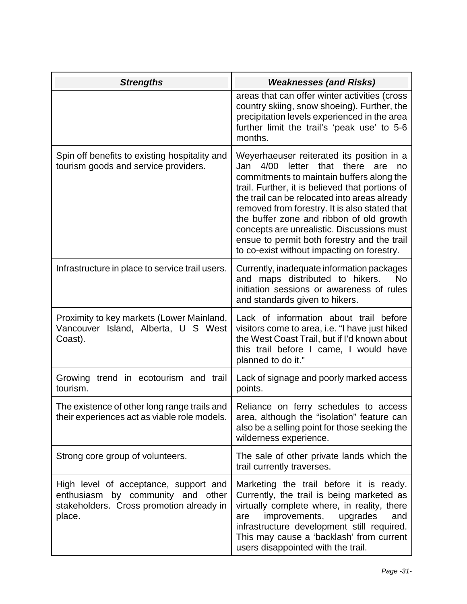| <b>Strengths</b>                                                                                                                 | <b>Weaknesses (and Risks)</b>                                                                                                                                                                                                                                                                                                                                                                                                                                                             |
|----------------------------------------------------------------------------------------------------------------------------------|-------------------------------------------------------------------------------------------------------------------------------------------------------------------------------------------------------------------------------------------------------------------------------------------------------------------------------------------------------------------------------------------------------------------------------------------------------------------------------------------|
|                                                                                                                                  | areas that can offer winter activities (cross<br>country skiing, snow shoeing). Further, the<br>precipitation levels experienced in the area<br>further limit the trail's 'peak use' to 5-6<br>months.                                                                                                                                                                                                                                                                                    |
| Spin off benefits to existing hospitality and<br>tourism goods and service providers.                                            | Weyerhaeuser reiterated its position in a<br>that<br>4/00<br>letter<br>there<br>Jan<br>are<br>no<br>commitments to maintain buffers along the<br>trail. Further, it is believed that portions of<br>the trail can be relocated into areas already<br>removed from forestry. It is also stated that<br>the buffer zone and ribbon of old growth<br>concepts are unrealistic. Discussions must<br>ensue to permit both forestry and the trail<br>to co-exist without impacting on forestry. |
| Infrastructure in place to service trail users.                                                                                  | Currently, inadequate information packages<br>and maps distributed to hikers.<br>No<br>initiation sessions or awareness of rules<br>and standards given to hikers.                                                                                                                                                                                                                                                                                                                        |
| Proximity to key markets (Lower Mainland,<br>Vancouver Island, Alberta, U S West<br>Coast).                                      | Lack of information about trail before<br>visitors come to area, i.e. "I have just hiked<br>the West Coast Trail, but if I'd known about<br>this trail before I came, I would have<br>planned to do it."                                                                                                                                                                                                                                                                                  |
| Growing trend in ecotourism and trail<br>tourism.                                                                                | Lack of signage and poorly marked access<br>points.                                                                                                                                                                                                                                                                                                                                                                                                                                       |
| The existence of other long range trails and<br>their experiences act as viable role models.                                     | Reliance on ferry schedules to access<br>area, although the "isolation" feature can<br>also be a selling point for those seeking the<br>wilderness experience.                                                                                                                                                                                                                                                                                                                            |
| Strong core group of volunteers.                                                                                                 | The sale of other private lands which the<br>trail currently traverses.                                                                                                                                                                                                                                                                                                                                                                                                                   |
| High level of acceptance, support and<br>enthusiasm by community and other<br>stakeholders. Cross promotion already in<br>place. | Marketing the trail before it is ready.<br>Currently, the trail is being marketed as<br>virtually complete where, in reality, there<br>improvements,<br>upgrades<br>and<br>are<br>infrastructure development still required.<br>This may cause a 'backlash' from current<br>users disappointed with the trail.                                                                                                                                                                            |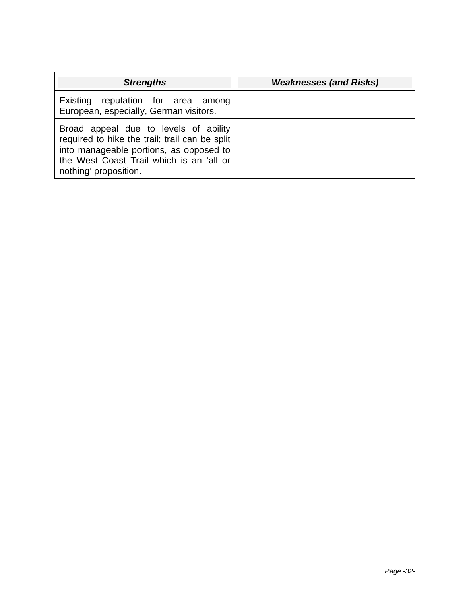| <b>Strengths</b>                                                                                                                                                                                        | <b>Weaknesses (and Risks)</b> |
|---------------------------------------------------------------------------------------------------------------------------------------------------------------------------------------------------------|-------------------------------|
| Existing reputation for area among<br>European, especially, German visitors.                                                                                                                            |                               |
| Broad appeal due to levels of ability<br>required to hike the trail; trail can be split<br>into manageable portions, as opposed to<br>the West Coast Trail which is an 'all or<br>nothing' proposition. |                               |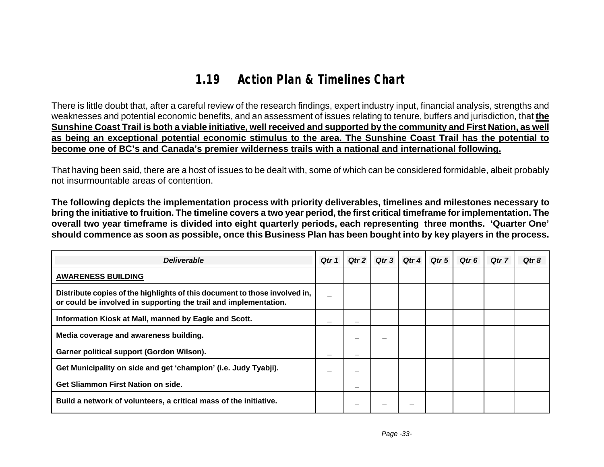# **1.19 Action Plan & Timelines Chart**

There is little doubt that, after a careful review of the research findings, expert industry input, financial analysis, strengths and weaknesses and potential economic benefits, and an assessment of issues relating to tenure, buffers and jurisdiction, that **the Sunshine Coast Trail is both a viable initiative, well received and supported by the community and First Nation, as well as being an exceptional potential economic stimulus to the area. The Sunshine Coast Trail has the potential to become one of BC's and Canada's premier wilderness trails with a national and international following.**

That having been said, there are a host of issues to be dealt with, some of which can be considered formidable, albeit probably not insurmountable areas of contention.

**The following depicts the implementation process with priority deliverables, timelines and milestones necessary to bring the initiative to fruition. The timeline covers a two year period, the first critical timeframe for implementation. The overall two year timeframe is divided into eight quarterly periods, each representing three months. 'Quarter One' should commence as soon as possible, once this Business Plan has been bought into by key players in the process.**

| <b>Deliverable</b>                                                                                                                             | Qtr 1 | Qtr 2 | Qtr 3 | Qtr 4 | Qtr 5 | Qtr 6 | Qtr 7 | Qtr 8 |
|------------------------------------------------------------------------------------------------------------------------------------------------|-------|-------|-------|-------|-------|-------|-------|-------|
| <b>AWARENESS BUILDING</b>                                                                                                                      |       |       |       |       |       |       |       |       |
| Distribute copies of the highlights of this document to those involved in,<br>or could be involved in supporting the trail and implementation. |       |       |       |       |       |       |       |       |
| Information Kiosk at Mall, manned by Eagle and Scott.                                                                                          |       |       |       |       |       |       |       |       |
| Media coverage and awareness building.                                                                                                         |       |       |       |       |       |       |       |       |
| Garner political support (Gordon Wilson).                                                                                                      |       |       |       |       |       |       |       |       |
| Get Municipality on side and get 'champion' (i.e. Judy Tyabji).                                                                                |       | —     |       |       |       |       |       |       |
| Get Sliammon First Nation on side.                                                                                                             |       |       |       |       |       |       |       |       |
| Build a network of volunteers, a critical mass of the initiative.                                                                              |       |       |       |       |       |       |       |       |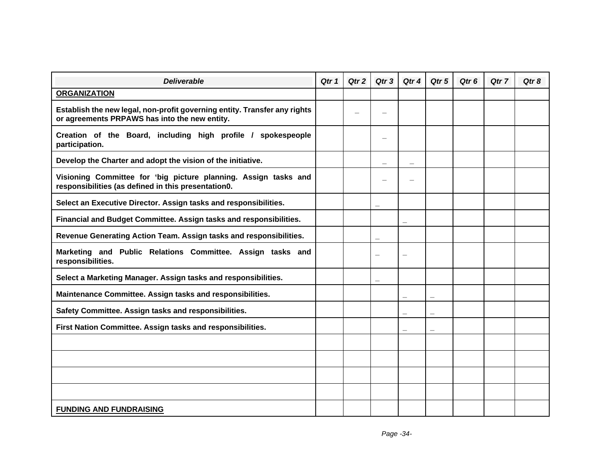| <b>Deliverable</b>                                                                                                         | Qtr 1 | Qtr 2 | Qtr 3                    | Qtr 4                    | Qtr 5 | Qtr <sub>6</sub> | Qtr 7 | Qtr 8 |
|----------------------------------------------------------------------------------------------------------------------------|-------|-------|--------------------------|--------------------------|-------|------------------|-------|-------|
| <b>ORGANIZATION</b>                                                                                                        |       |       |                          |                          |       |                  |       |       |
| Establish the new legal, non-profit governing entity. Transfer any rights<br>or agreements PRPAWS has into the new entity. |       |       |                          |                          |       |                  |       |       |
| Creation of the Board, including high profile / spokespeople<br>participation.                                             |       |       |                          |                          |       |                  |       |       |
| Develop the Charter and adopt the vision of the initiative.                                                                |       |       |                          |                          |       |                  |       |       |
| Visioning Committee for 'big picture planning. Assign tasks and<br>responsibilities (as defined in this presentation0.     |       |       |                          |                          |       |                  |       |       |
| Select an Executive Director. Assign tasks and responsibilities.                                                           |       |       | —                        |                          |       |                  |       |       |
| Financial and Budget Committee. Assign tasks and responsibilities.                                                         |       |       |                          |                          |       |                  |       |       |
| Revenue Generating Action Team. Assign tasks and responsibilities.                                                         |       |       | $\overline{\phantom{0}}$ |                          |       |                  |       |       |
| Marketing and Public Relations Committee. Assign tasks and<br>responsibilities.                                            |       |       |                          |                          |       |                  |       |       |
| Select a Marketing Manager. Assign tasks and responsibilities.                                                             |       |       |                          |                          |       |                  |       |       |
| Maintenance Committee. Assign tasks and responsibilities.                                                                  |       |       |                          |                          |       |                  |       |       |
| Safety Committee. Assign tasks and responsibilities.                                                                       |       |       |                          |                          |       |                  |       |       |
| First Nation Committee. Assign tasks and responsibilities.                                                                 |       |       |                          | $\overline{\phantom{a}}$ | —     |                  |       |       |
|                                                                                                                            |       |       |                          |                          |       |                  |       |       |
|                                                                                                                            |       |       |                          |                          |       |                  |       |       |
|                                                                                                                            |       |       |                          |                          |       |                  |       |       |
|                                                                                                                            |       |       |                          |                          |       |                  |       |       |
| <b>FUNDING AND FUNDRAISING</b>                                                                                             |       |       |                          |                          |       |                  |       |       |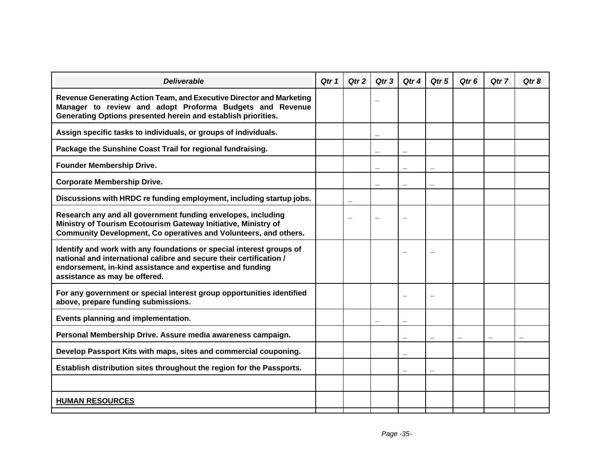| <b>Deliverable</b>                                                                                                                                                                                                                        | Qtr 1 | Qtr 2 | Qtr <sub>3</sub> | Qtr 4 | Qtr 5 | Qtr <sub>6</sub> | Otr <sub>7</sub> | Qtr 8 |
|-------------------------------------------------------------------------------------------------------------------------------------------------------------------------------------------------------------------------------------------|-------|-------|------------------|-------|-------|------------------|------------------|-------|
| Revenue Generating Action Team, and Executive Director and Marketing<br>Manager to review and adopt Proforma Budgets and Revenue<br>Generating Options presented herein and establish priorities.                                         |       |       |                  |       |       |                  |                  |       |
| Assign specific tasks to individuals, or groups of individuals.                                                                                                                                                                           |       |       | —                |       |       |                  |                  |       |
| Package the Sunshine Coast Trail for regional fundraising.                                                                                                                                                                                |       |       |                  |       |       |                  |                  |       |
| <b>Founder Membership Drive.</b>                                                                                                                                                                                                          |       |       |                  |       |       |                  |                  |       |
| <b>Corporate Membership Drive.</b>                                                                                                                                                                                                        |       |       |                  |       |       |                  |                  |       |
| Discussions with HRDC re funding employment, including startup jobs.                                                                                                                                                                      |       |       |                  |       |       |                  |                  |       |
| Research any and all government funding envelopes, including<br>Ministry of Tourism Ecotourism Gateway Initiative, Ministry of<br>Community Development, Co operatives and Volunteers, and others.                                        |       |       |                  |       |       |                  |                  |       |
| Identify and work with any foundations or special interest groups of<br>national and international calibre and secure their certification /<br>endorsement, in-kind assistance and expertise and funding<br>assistance as may be offered. |       |       |                  |       |       |                  |                  |       |
| For any government or special interest group opportunities identified<br>above, prepare funding submissions.                                                                                                                              |       |       |                  |       |       |                  |                  |       |
| Events planning and implementation.                                                                                                                                                                                                       |       |       |                  |       |       |                  |                  |       |
| Personal Membership Drive. Assure media awareness campaign.                                                                                                                                                                               |       |       |                  |       |       |                  |                  |       |
| Develop Passport Kits with maps, sites and commercial couponing.                                                                                                                                                                          |       |       |                  |       |       |                  |                  |       |
| Establish distribution sites throughout the region for the Passports.                                                                                                                                                                     |       |       |                  |       |       |                  |                  |       |
|                                                                                                                                                                                                                                           |       |       |                  |       |       |                  |                  |       |
| <b>HUMAN RESOURCES</b>                                                                                                                                                                                                                    |       |       |                  |       |       |                  |                  |       |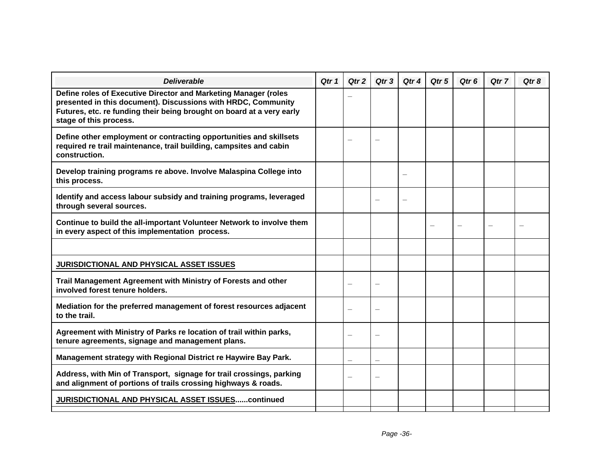| Qtr 1 | Qtr 2 | Qtr <sub>3</sub> | Qtr 4 | Qtr 5 | Qtr <sub>6</sub> | Qtr 7 | Qtr 8 |
|-------|-------|------------------|-------|-------|------------------|-------|-------|
|       |       |                  |       |       |                  |       |       |
|       |       |                  |       |       |                  |       |       |
|       |       |                  |       |       |                  |       |       |
|       |       |                  |       |       |                  |       |       |
|       |       |                  |       |       |                  |       |       |
|       |       |                  |       |       |                  |       |       |
|       |       |                  |       |       |                  |       |       |
|       |       |                  |       |       |                  |       |       |
|       |       |                  |       |       |                  |       |       |
|       |       |                  |       |       |                  |       |       |
|       |       |                  |       |       |                  |       |       |
|       |       |                  |       |       |                  |       |       |
|       |       |                  |       |       |                  |       |       |
|       |       |                  |       |       |                  |       |       |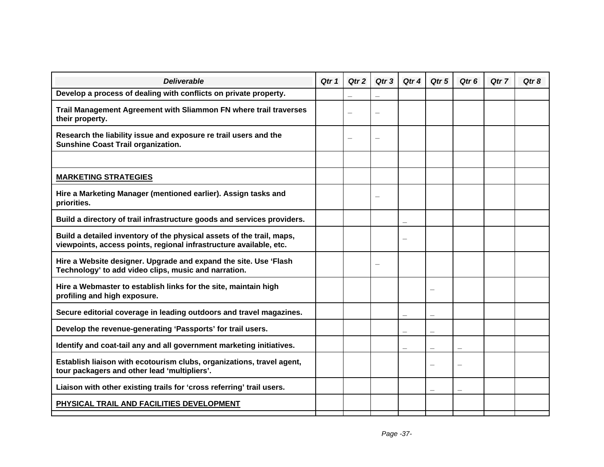| Qtr 1 | Qtr 2 | Qtr <sub>3</sub>         | Qtr 4                    | Qtr 5                    | Qtr <sub>6</sub> | Qtr 7 | Qtr 8 |
|-------|-------|--------------------------|--------------------------|--------------------------|------------------|-------|-------|
|       |       |                          |                          |                          |                  |       |       |
|       |       |                          |                          |                          |                  |       |       |
|       |       |                          |                          |                          |                  |       |       |
|       |       |                          |                          |                          |                  |       |       |
|       |       |                          |                          |                          |                  |       |       |
|       |       |                          |                          |                          |                  |       |       |
|       |       |                          |                          |                          |                  |       |       |
|       |       |                          |                          |                          |                  |       |       |
|       |       | $\overline{\phantom{0}}$ |                          |                          |                  |       |       |
|       |       |                          |                          |                          |                  |       |       |
|       |       |                          |                          |                          |                  |       |       |
|       |       |                          |                          |                          |                  |       |       |
|       |       |                          | $\overline{\phantom{a}}$ | $\overline{\phantom{0}}$ |                  |       |       |
|       |       |                          |                          |                          |                  |       |       |
|       |       |                          |                          |                          |                  |       |       |
|       |       |                          |                          |                          |                  |       |       |
|       |       |                          |                          |                          |                  |       |       |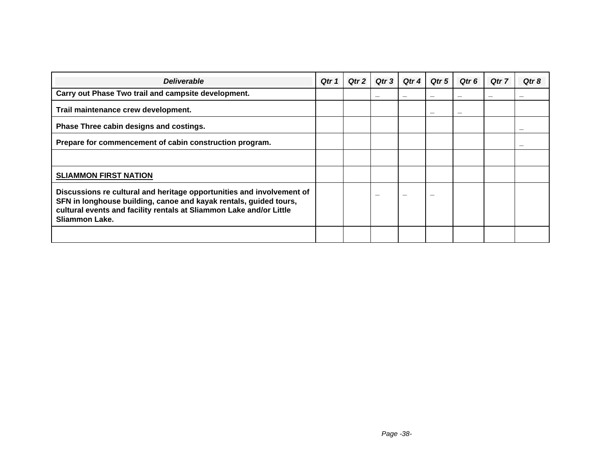| <b>Deliverable</b>                                                                                                                                                                                                                  | Qtr 1 | Qtr 2 | Qtr 3 | Qtr 4 | Qtr 5 | Qtr 6 | Qtr 7 | Qtr 8 |
|-------------------------------------------------------------------------------------------------------------------------------------------------------------------------------------------------------------------------------------|-------|-------|-------|-------|-------|-------|-------|-------|
| Carry out Phase Two trail and campsite development.                                                                                                                                                                                 |       |       |       |       |       |       |       |       |
| Trail maintenance crew development.                                                                                                                                                                                                 |       |       |       |       |       |       |       |       |
| Phase Three cabin designs and costings.                                                                                                                                                                                             |       |       |       |       |       |       |       |       |
| Prepare for commencement of cabin construction program.                                                                                                                                                                             |       |       |       |       |       |       |       |       |
|                                                                                                                                                                                                                                     |       |       |       |       |       |       |       |       |
| <b>SLIAMMON FIRST NATION</b>                                                                                                                                                                                                        |       |       |       |       |       |       |       |       |
| Discussions re cultural and heritage opportunities and involvement of<br>SFN in longhouse building, canoe and kayak rentals, guided tours,<br>cultural events and facility rentals at Sliammon Lake and/or Little<br>Sliammon Lake. |       |       | –     |       |       |       |       |       |
|                                                                                                                                                                                                                                     |       |       |       |       |       |       |       |       |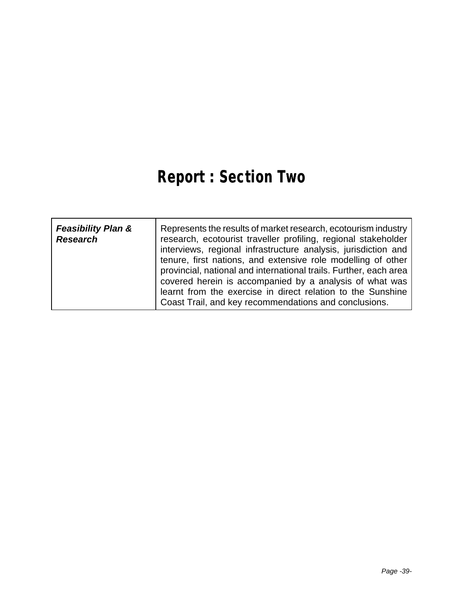# **Report : Section Two**

| <b>Feasibility Plan &amp;</b><br><b>Research</b> | Represents the results of market research, ecotourism industry<br>research, ecotourist traveller profiling, regional stakeholder<br>interviews, regional infrastructure analysis, jurisdiction and<br>tenure, first nations, and extensive role modelling of other<br>provincial, national and international trails. Further, each area<br>covered herein is accompanied by a analysis of what was |
|--------------------------------------------------|----------------------------------------------------------------------------------------------------------------------------------------------------------------------------------------------------------------------------------------------------------------------------------------------------------------------------------------------------------------------------------------------------|
|                                                  | learnt from the exercise in direct relation to the Sunshine<br>Coast Trail, and key recommendations and conclusions.                                                                                                                                                                                                                                                                               |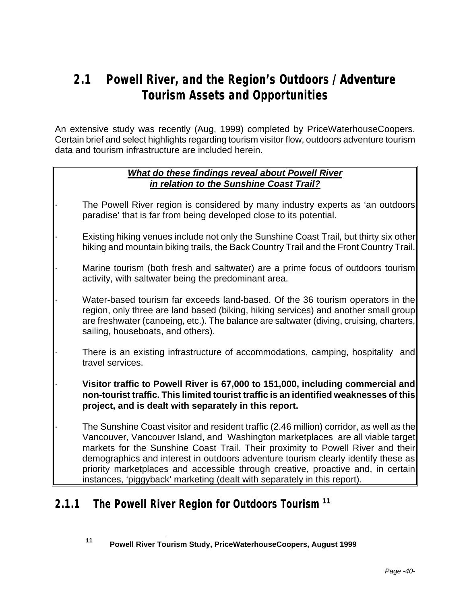# **2.1 Powell River, and the Region's Outdoors / Adventure Tourism Assets and Opportunities**

An extensive study was recently (Aug, 1999) completed by PriceWaterhouseCoopers. Certain brief and select highlights regarding tourism visitor flow, outdoors adventure tourism data and tourism infrastructure are included herein.

#### *What do these findings reveal about Powell River in relation to the Sunshine Coast Trail?*

- The Powell River region is considered by many industry experts as 'an outdoors paradise' that is far from being developed close to its potential.
- Existing hiking venues include not only the Sunshine Coast Trail, but thirty six other hiking and mountain biking trails, the Back Country Trail and the Front Country Trail.
- Marine tourism (both fresh and saltwater) are a prime focus of outdoors tourism activity, with saltwater being the predominant area.
	- Water-based tourism far exceeds land-based. Of the 36 tourism operators in the region, only three are land based (biking, hiking services) and another small group are freshwater (canoeing, etc.). The balance are saltwater (diving, cruising, charters, sailing, houseboats, and others).
		- There is an existing infrastructure of accommodations, camping, hospitality and travel services.
	- · **Visitor traffic to Powell River is 67,000 to 151,000, including commercial and non-tourist traffic. This limited tourist traffic is an identified weaknesses of this project, and is dealt with separately in this report.**
	- · The Sunshine Coast visitor and resident traffic (2.46 million) corridor, as well as the Vancouver, Vancouver Island, and Washington marketplaces are all viable target markets for the Sunshine Coast Trail. Their proximity to Powell River and their demographics and interest in outdoors adventure tourism clearly identify these as priority marketplaces and accessible through creative, proactive and, in certain instances, 'piggyback' marketing (dealt with separately in this report).

# **2.1.1 The Powell River Region for Outdoors Tourism <sup>11</sup>**

l

**<sup>11</sup> Powell River Tourism Study, PriceWaterhouseCoopers, August 1999**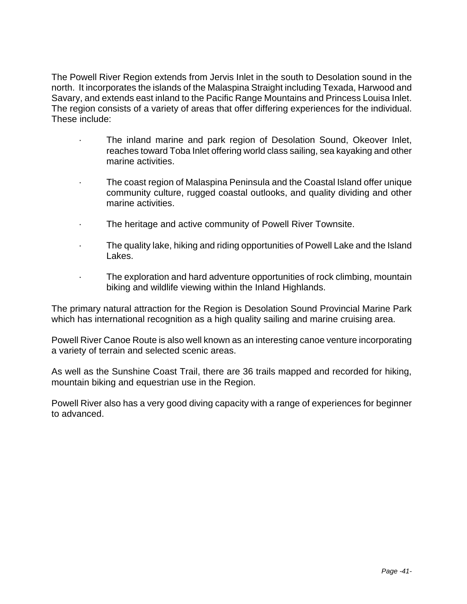The Powell River Region extends from Jervis Inlet in the south to Desolation sound in the north. It incorporates the islands of the Malaspina Straight including Texada, Harwood and Savary, and extends east inland to the Pacific Range Mountains and Princess Louisa Inlet. The region consists of a variety of areas that offer differing experiences for the individual. These include:

- The inland marine and park region of Desolation Sound, Okeover Inlet, reaches toward Toba Inlet offering world class sailing, sea kayaking and other marine activities.
- The coast region of Malaspina Peninsula and the Coastal Island offer unique community culture, rugged coastal outlooks, and quality dividing and other marine activities.
- · The heritage and active community of Powell River Townsite.
- The quality lake, hiking and riding opportunities of Powell Lake and the Island Lakes.
	- The exploration and hard adventure opportunities of rock climbing, mountain biking and wildlife viewing within the Inland Highlands.

The primary natural attraction for the Region is Desolation Sound Provincial Marine Park which has international recognition as a high quality sailing and marine cruising area.

Powell River Canoe Route is also well known as an interesting canoe venture incorporating a variety of terrain and selected scenic areas.

As well as the Sunshine Coast Trail, there are 36 trails mapped and recorded for hiking, mountain biking and equestrian use in the Region.

Powell River also has a very good diving capacity with a range of experiences for beginner to advanced.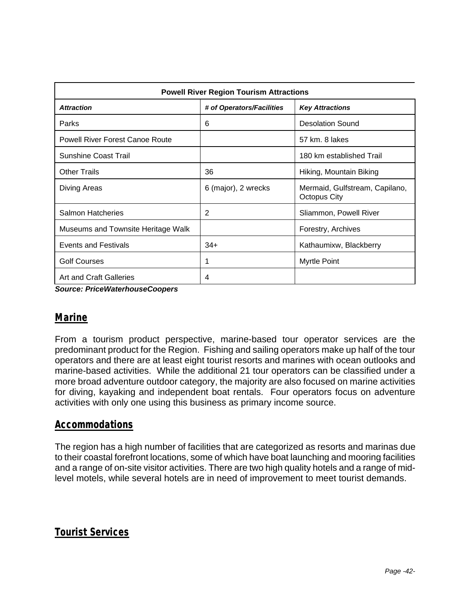| <b>Powell River Region Tourism Attractions</b> |                        |                                                       |  |  |  |  |  |  |
|------------------------------------------------|------------------------|-------------------------------------------------------|--|--|--|--|--|--|
| <b>Attraction</b>                              | <b>Key Attractions</b> |                                                       |  |  |  |  |  |  |
| Parks                                          | 6                      | <b>Desolation Sound</b>                               |  |  |  |  |  |  |
| <b>Powell River Forest Canoe Route</b>         |                        | 57 km. 8 lakes                                        |  |  |  |  |  |  |
| <b>Sunshine Coast Trail</b>                    |                        | 180 km established Trail                              |  |  |  |  |  |  |
| <b>Other Trails</b>                            | 36                     | Hiking, Mountain Biking                               |  |  |  |  |  |  |
| Diving Areas                                   | 6 (major), 2 wrecks    | Mermaid, Gulfstream, Capilano,<br><b>Octopus City</b> |  |  |  |  |  |  |
| Salmon Hatcheries                              | 2                      | Sliammon, Powell River                                |  |  |  |  |  |  |
| Museums and Townsite Heritage Walk             |                        | Forestry, Archives                                    |  |  |  |  |  |  |
| <b>Events and Festivals</b>                    | $34+$                  | Kathaumixw, Blackberry                                |  |  |  |  |  |  |
| <b>Golf Courses</b>                            | 1                      | Myrtle Point                                          |  |  |  |  |  |  |
| Art and Craft Galleries                        | 4                      |                                                       |  |  |  |  |  |  |

*Source: PriceWaterhouseCoopers*

### *Marine*

From a tourism product perspective, marine-based tour operator services are the predominant product for the Region. Fishing and sailing operators make up half of the tour operators and there are at least eight tourist resorts and marines with ocean outlooks and marine-based activities. While the additional 21 tour operators can be classified under a more broad adventure outdoor category, the majority are also focused on marine activities for diving, kayaking and independent boat rentals. Four operators focus on adventure activities with only one using this business as primary income source.

#### *Accommodations*

The region has a high number of facilities that are categorized as resorts and marinas due to their coastal forefront locations, some of which have boat launching and mooring facilities and a range of on-site visitor activities. There are two high quality hotels and a range of midlevel motels, while several hotels are in need of improvement to meet tourist demands.

### *Tourist Services*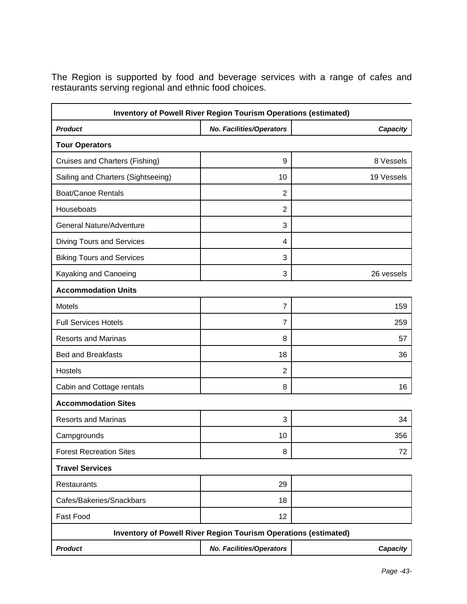The Region is supported by food and beverage services with a range of cafes and restaurants serving regional and ethnic food choices.

| Inventory of Powell River Region Tourism Operations (estimated) |                                                                 |            |  |  |
|-----------------------------------------------------------------|-----------------------------------------------------------------|------------|--|--|
| <b>Product</b>                                                  | No. Facilities/Operators                                        | Capacity   |  |  |
| <b>Tour Operators</b>                                           |                                                                 |            |  |  |
| Cruises and Charters (Fishing)                                  | 9                                                               | 8 Vessels  |  |  |
| Sailing and Charters (Sightseeing)                              | 10                                                              | 19 Vessels |  |  |
| <b>Boat/Canoe Rentals</b>                                       | $\overline{2}$                                                  |            |  |  |
| Houseboats                                                      | $\overline{2}$                                                  |            |  |  |
| <b>General Nature/Adventure</b>                                 | 3                                                               |            |  |  |
| <b>Diving Tours and Services</b>                                | 4                                                               |            |  |  |
| <b>Biking Tours and Services</b>                                | 3                                                               |            |  |  |
| Kayaking and Canoeing                                           | 3                                                               | 26 vessels |  |  |
| <b>Accommodation Units</b>                                      |                                                                 |            |  |  |
| Motels                                                          | $\overline{7}$                                                  | 159        |  |  |
| <b>Full Services Hotels</b>                                     | $\overline{7}$                                                  | 259        |  |  |
| <b>Resorts and Marinas</b>                                      | 8                                                               | 57         |  |  |
| <b>Bed and Breakfasts</b>                                       | 18                                                              | 36         |  |  |
| <b>Hostels</b>                                                  | $\overline{2}$                                                  |            |  |  |
| Cabin and Cottage rentals                                       | 8                                                               | 16         |  |  |
| <b>Accommodation Sites</b>                                      |                                                                 |            |  |  |
| <b>Resorts and Marinas</b>                                      | 3                                                               | 34         |  |  |
| Campgrounds                                                     | 10                                                              | 356        |  |  |
| <b>Forest Recreation Sites</b>                                  | 8                                                               | 72         |  |  |
| <b>Travel Services</b>                                          |                                                                 |            |  |  |
| <b>Restaurants</b>                                              | 29                                                              |            |  |  |
| Cafes/Bakeries/Snackbars                                        | 18                                                              |            |  |  |
| Fast Food                                                       | 12                                                              |            |  |  |
|                                                                 | Inventory of Powell River Region Tourism Operations (estimated) |            |  |  |
| <b>Product</b>                                                  | No. Facilities/Operators                                        | Capacity   |  |  |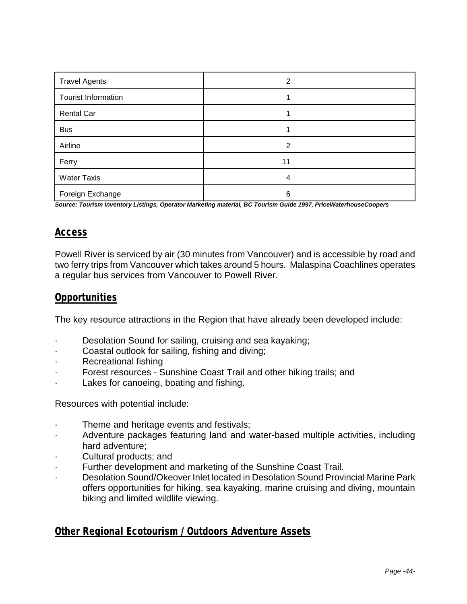| <b>Travel Agents</b>       | $\overline{2}$ |  |
|----------------------------|----------------|--|
| <b>Tourist Information</b> |                |  |
| <b>Rental Car</b>          |                |  |
| <b>Bus</b>                 |                |  |
| Airline                    | $\overline{2}$ |  |
| Ferry                      | 11             |  |
| <b>Water Taxis</b>         | 4              |  |
| Foreign Exchange           | 6              |  |

*Source: Tourism Inventory Listings, Operator Marketing material, BC Tourism Guide 1997, PriceWaterhouseCoopers*

### *Access*

Powell River is serviced by air (30 minutes from Vancouver) and is accessible by road and two ferry trips from Vancouver which takes around 5 hours. Malaspina Coachlines operates a regular bus services from Vancouver to Powell River.

#### *Opportunities*

The key resource attractions in the Region that have already been developed include:

- Desolation Sound for sailing, cruising and sea kayaking;
- · Coastal outlook for sailing, fishing and diving;
- Recreational fishing
- Forest resources Sunshine Coast Trail and other hiking trails; and
- Lakes for canoeing, boating and fishing.

Resources with potential include:

- Theme and heritage events and festivals;
- Adventure packages featuring land and water-based multiple activities, including hard adventure;
- Cultural products; and
- Further development and marketing of the Sunshine Coast Trail.
- · Desolation Sound/Okeover Inlet located in Desolation Sound Provincial Marine Park offers opportunities for hiking, sea kayaking, marine cruising and diving, mountain biking and limited wildlife viewing.

#### *Other Regional Ecotourism / Outdoors Adventure Assets*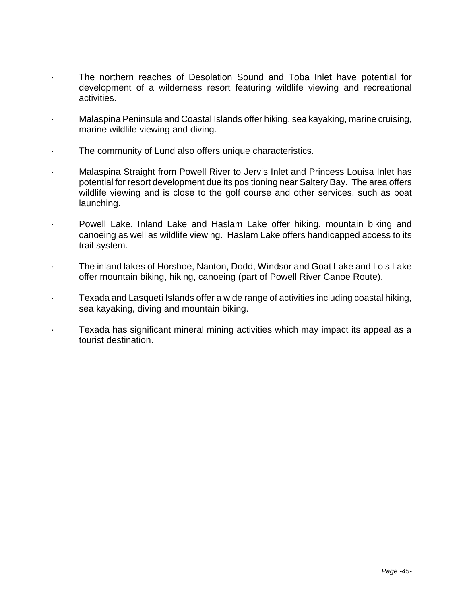- · The northern reaches of Desolation Sound and Toba Inlet have potential for development of a wilderness resort featuring wildlife viewing and recreational activities.
- · Malaspina Peninsula and Coastal Islands offer hiking, sea kayaking, marine cruising, marine wildlife viewing and diving.
- The community of Lund also offers unique characteristics.
- Malaspina Straight from Powell River to Jervis Inlet and Princess Louisa Inlet has potential for resort development due its positioning near Saltery Bay. The area offers wildlife viewing and is close to the golf course and other services, such as boat launching.
- · Powell Lake, Inland Lake and Haslam Lake offer hiking, mountain biking and canoeing as well as wildlife viewing. Haslam Lake offers handicapped access to its trail system.
- · The inland lakes of Horshoe, Nanton, Dodd, Windsor and Goat Lake and Lois Lake offer mountain biking, hiking, canoeing (part of Powell River Canoe Route).
- · Texada and Lasqueti Islands offer a wide range of activities including coastal hiking, sea kayaking, diving and mountain biking.
- Texada has significant mineral mining activities which may impact its appeal as a tourist destination.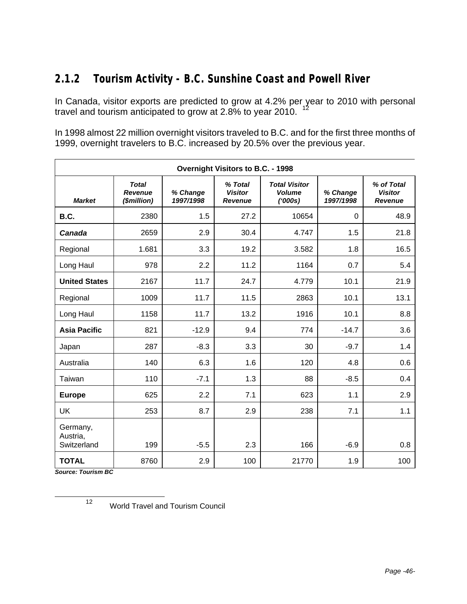# **2.1.2 Tourism Activity - B.C. Sunshine Coast and Powell River**

In Canada, visitor exports are predicted to grow at 4.2% per year to 2010 with personal travel and tourism anticipated to grow at 2.8% to year 2010.  $12$ 

In 1998 almost 22 million overnight visitors traveled to B.C. and for the first three months of 1999, overnight travelers to B.C. increased by 20.5% over the previous year.

|                                     | Overnight Visitors to B.C. - 1998             |                       |                                             |                                                  |                       |                                                |  |  |
|-------------------------------------|-----------------------------------------------|-----------------------|---------------------------------------------|--------------------------------------------------|-----------------------|------------------------------------------------|--|--|
| <b>Market</b>                       | <b>Total</b><br><b>Revenue</b><br>(\$million) | % Change<br>1997/1998 | % Total<br><b>Visitor</b><br><b>Revenue</b> | <b>Total Visitor</b><br><b>Volume</b><br>(1000s) | % Change<br>1997/1998 | % of Total<br><b>Visitor</b><br><b>Revenue</b> |  |  |
| B.C.                                | 2380                                          | 1.5                   | 27.2                                        | 10654                                            | $\Omega$              | 48.9                                           |  |  |
| Canada                              | 2659                                          | 2.9                   | 30.4                                        | 4.747                                            | 1.5                   | 21.8                                           |  |  |
| Regional                            | 1.681                                         | 3.3                   | 19.2                                        | 3.582                                            | 1.8                   | 16.5                                           |  |  |
| Long Haul                           | 978                                           | 2.2                   | 11.2                                        | 1164                                             | 0.7                   | 5.4                                            |  |  |
| <b>United States</b>                | 2167                                          | 11.7                  | 24.7                                        | 4.779                                            | 10.1                  | 21.9                                           |  |  |
| Regional                            | 1009                                          | 11.7                  | 11.5                                        | 2863                                             | 10.1                  | 13.1                                           |  |  |
| Long Haul                           | 1158                                          | 11.7                  | 13.2                                        | 1916                                             | 10.1                  | 8.8                                            |  |  |
| <b>Asia Pacific</b>                 | 821                                           | $-12.9$               | 9.4                                         | 774                                              | $-14.7$               | 3.6                                            |  |  |
| Japan                               | 287                                           | $-8.3$                | 3.3                                         | 30                                               | $-9.7$                | 1.4                                            |  |  |
| Australia                           | 140                                           | 6.3                   | 1.6                                         | 120                                              | 4.8                   | 0.6                                            |  |  |
| Taiwan                              | 110                                           | $-7.1$                | 1.3                                         | 88                                               | $-8.5$                | 0.4                                            |  |  |
| <b>Europe</b>                       | 625                                           | 2.2                   | 7.1                                         | 623                                              | 1.1                   | 2.9                                            |  |  |
| <b>UK</b>                           | 253                                           | 8.7                   | 2.9                                         | 238                                              | 7.1                   | 1.1                                            |  |  |
| Germany,<br>Austria,<br>Switzerland | 199                                           | $-5.5$                | 2.3                                         | 166                                              | $-6.9$                | 0.8                                            |  |  |
| <b>TOTAL</b>                        | 8760                                          | 2.9                   | 100                                         | 21770                                            | 1.9                   | 100                                            |  |  |

*Source: Tourism BC*

l

<sup>12</sup> World Travel and Tourism Council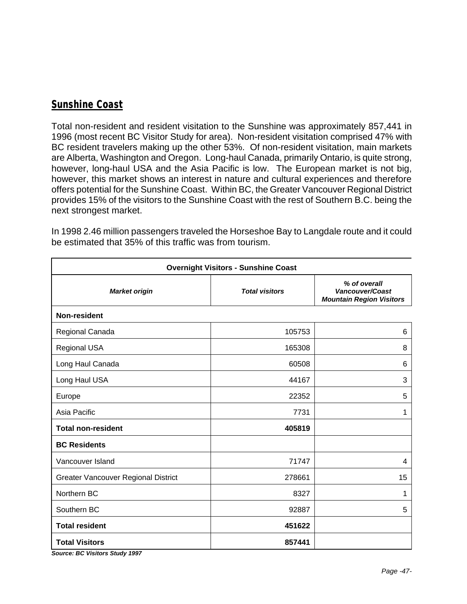### *Sunshine Coast*

Total non-resident and resident visitation to the Sunshine was approximately 857,441 in 1996 (most recent BC Visitor Study for area). Non-resident visitation comprised 47% with BC resident travelers making up the other 53%. Of non-resident visitation, main markets are Alberta, Washington and Oregon. Long-haul Canada, primarily Ontario, is quite strong, however, long-haul USA and the Asia Pacific is low. The European market is not big, however, this market shows an interest in nature and cultural experiences and therefore offers potential for the Sunshine Coast. Within BC, the Greater Vancouver Regional District provides 15% of the visitors to the Sunshine Coast with the rest of Southern B.C. being the next strongest market.

| <b>Overnight Visitors - Sunshine Coast</b> |                       |                                                                    |  |  |
|--------------------------------------------|-----------------------|--------------------------------------------------------------------|--|--|
| <b>Market origin</b>                       | <b>Total visitors</b> | % of overall<br>Vancouver/Coast<br><b>Mountain Region Visitors</b> |  |  |
| Non-resident                               |                       |                                                                    |  |  |
| Regional Canada                            | 105753                | 6                                                                  |  |  |
| Regional USA                               | 165308                | 8                                                                  |  |  |
| Long Haul Canada                           | 60508                 | $\,6$                                                              |  |  |
| Long Haul USA                              | 44167                 | 3                                                                  |  |  |
| Europe                                     | 22352                 | 5                                                                  |  |  |
| Asia Pacific                               | 7731                  | 1                                                                  |  |  |
| <b>Total non-resident</b>                  | 405819                |                                                                    |  |  |
| <b>BC Residents</b>                        |                       |                                                                    |  |  |
| Vancouver Island                           | 71747                 | 4                                                                  |  |  |
| <b>Greater Vancouver Regional District</b> | 278661                | 15                                                                 |  |  |
| Northern BC                                | 8327                  | 1                                                                  |  |  |
| Southern BC                                | 92887                 | 5                                                                  |  |  |
| <b>Total resident</b>                      | 451622                |                                                                    |  |  |
| <b>Total Visitors</b>                      | 857441                |                                                                    |  |  |

In 1998 2.46 million passengers traveled the Horseshoe Bay to Langdale route and it could be estimated that 35% of this traffic was from tourism.

*Source: BC Visitors Study 1997*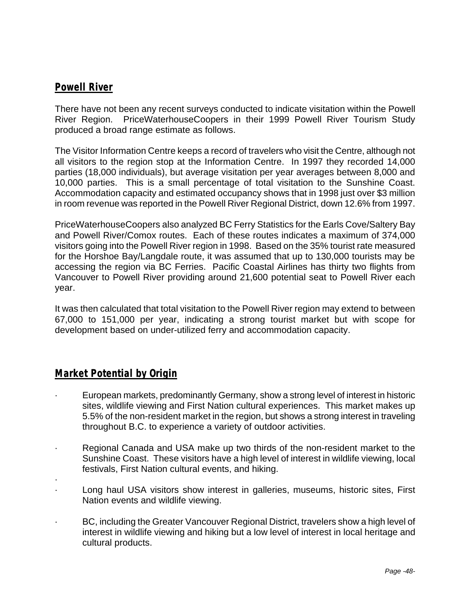### *Powell River*

There have not been any recent surveys conducted to indicate visitation within the Powell River Region. PriceWaterhouseCoopers in their 1999 Powell River Tourism Study produced a broad range estimate as follows.

The Visitor Information Centre keeps a record of travelers who visit the Centre, although not all visitors to the region stop at the Information Centre. In 1997 they recorded 14,000 parties (18,000 individuals), but average visitation per year averages between 8,000 and 10,000 parties. This is a small percentage of total visitation to the Sunshine Coast. Accommodation capacity and estimated occupancy shows that in 1998 just over \$3 million in room revenue was reported in the Powell River Regional District, down 12.6% from 1997.

PriceWaterhouseCoopers also analyzed BC Ferry Statistics for the Earls Cove/Saltery Bay and Powell River/Comox routes. Each of these routes indicates a maximum of 374,000 visitors going into the Powell River region in 1998. Based on the 35% tourist rate measured for the Horshoe Bay/Langdale route, it was assumed that up to 130,000 tourists may be accessing the region via BC Ferries. Pacific Coastal Airlines has thirty two flights from Vancouver to Powell River providing around 21,600 potential seat to Powell River each year.

It was then calculated that total visitation to the Powell River region may extend to between 67,000 to 151,000 per year, indicating a strong tourist market but with scope for development based on under-utilized ferry and accommodation capacity.

### *Market Potential by Origin*

- · European markets, predominantly Germany, show a strong level of interest in historic sites, wildlife viewing and First Nation cultural experiences. This market makes up 5.5% of the non-resident market in the region, but shows a strong interest in traveling throughout B.C. to experience a variety of outdoor activities.
- · Regional Canada and USA make up two thirds of the non-resident market to the Sunshine Coast. These visitors have a high level of interest in wildlife viewing, local festivals, First Nation cultural events, and hiking.
- ·
- Long haul USA visitors show interest in galleries, museums, historic sites, First Nation events and wildlife viewing.
- · BC, including the Greater Vancouver Regional District, travelers show a high level of interest in wildlife viewing and hiking but a low level of interest in local heritage and cultural products.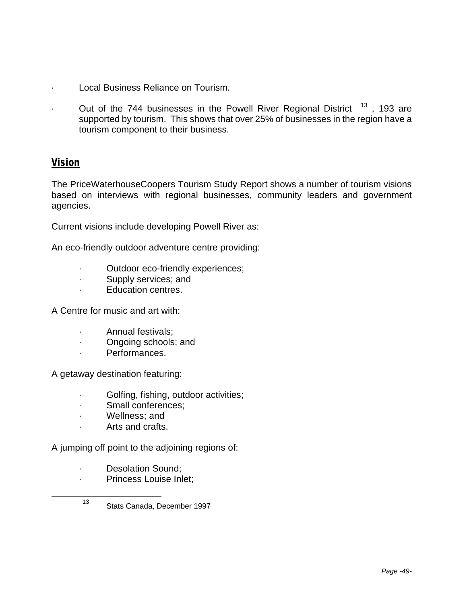- Local Business Reliance on Tourism.
- Out of the 744 businesses in the Powell River Regional District  $13$ , 193 are supported by tourism. This shows that over 25% of businesses in the region have a tourism component to their business.

#### *Vision*

l

The PriceWaterhouseCoopers Tourism Study Report shows a number of tourism visions based on interviews with regional businesses, community leaders and government agencies.

Current visions include developing Powell River as:

An eco-friendly outdoor adventure centre providing:

- Outdoor eco-friendly experiences;
- · Supply services; and
- Education centres.

A Centre for music and art with:

- · Annual festivals;
- · Ongoing schools; and
- · Performances.

A getaway destination featuring:

- · Golfing, fishing, outdoor activities;
- · Small conferences;
- · Wellness; and
- · Arts and crafts.

A jumping off point to the adjoining regions of:

- · Desolation Sound;
- · Princess Louise Inlet;
- <sup>13</sup> Stats Canada, December 1997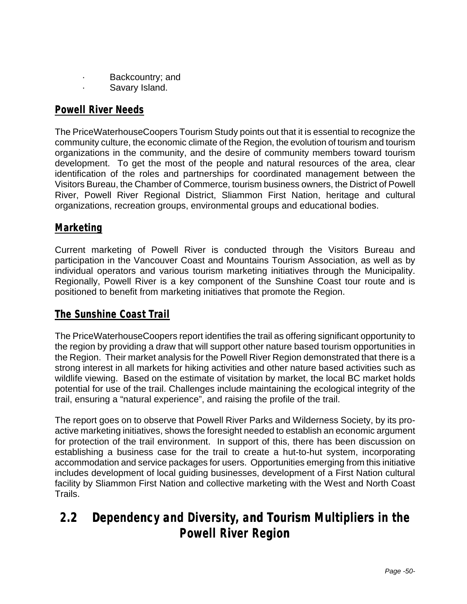- · Backcountry; and
	- Savary Island.

### *Powell River Needs*

The PriceWaterhouseCoopers Tourism Study points out that it is essential to recognize the community culture, the economic climate of the Region, the evolution of tourism and tourism organizations in the community, and the desire of community members toward tourism development. To get the most of the people and natural resources of the area, clear identification of the roles and partnerships for coordinated management between the Visitors Bureau, the Chamber of Commerce, tourism business owners, the District of Powell River, Powell River Regional District, Sliammon First Nation, heritage and cultural organizations, recreation groups, environmental groups and educational bodies.

### *Marketing*

Current marketing of Powell River is conducted through the Visitors Bureau and participation in the Vancouver Coast and Mountains Tourism Association, as well as by individual operators and various tourism marketing initiatives through the Municipality. Regionally, Powell River is a key component of the Sunshine Coast tour route and is positioned to benefit from marketing initiatives that promote the Region.

#### *The Sunshine Coast Trail*

The PriceWaterhouseCoopers report identifies the trail as offering significant opportunity to the region by providing a draw that will support other nature based tourism opportunities in the Region. Their market analysis for the Powell River Region demonstrated that there is a strong interest in all markets for hiking activities and other nature based activities such as wildlife viewing. Based on the estimate of visitation by market, the local BC market holds potential for use of the trail. Challenges include maintaining the ecological integrity of the trail, ensuring a "natural experience", and raising the profile of the trail.

The report goes on to observe that Powell River Parks and Wilderness Society, by its proactive marketing initiatives, shows the foresight needed to establish an economic argument for protection of the trail environment. In support of this, there has been discussion on establishing a business case for the trail to create a hut-to-hut system, incorporating accommodation and service packages for users. Opportunities emerging from this initiative includes development of local guiding businesses, development of a First Nation cultural facility by Sliammon First Nation and collective marketing with the West and North Coast Trails.

# **2.2 Dependency and Diversity, and Tourism Multipliers in the Powell River Region**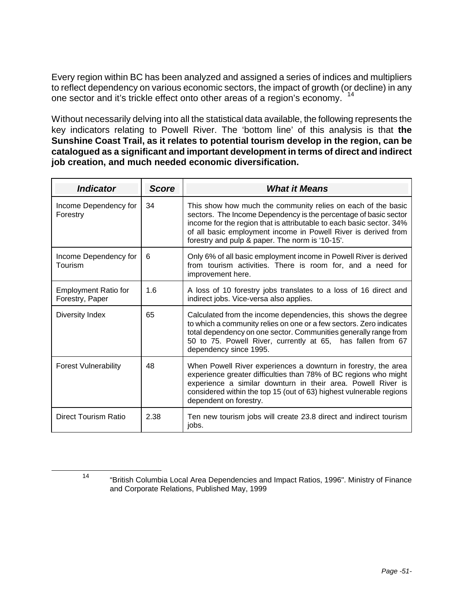Every region within BC has been analyzed and assigned a series of indices and multipliers to reflect dependency on various economic sectors, the impact of growth (or decline) in any one sector and it's trickle effect onto other areas of a region's economy. <sup>14</sup>

Without necessarily delving into all the statistical data available, the following represents the key indicators relating to Powell River. The 'bottom line' of this analysis is that **the Sunshine Coast Trail, as it relates to potential tourism develop in the region, can be catalogued as a significant and important development in terms of direct and indirect job creation, and much needed economic diversification.**

| <b>Indicator</b>                               | <b>Score</b> | <b>What it Means</b>                                                                                                                                                                                                                                                                                                          |
|------------------------------------------------|--------------|-------------------------------------------------------------------------------------------------------------------------------------------------------------------------------------------------------------------------------------------------------------------------------------------------------------------------------|
| Income Dependency for<br>Forestry              | 34           | This show how much the community relies on each of the basic<br>sectors. The Income Dependency is the percentage of basic sector<br>income for the region that is attributable to each basic sector. 34%<br>of all basic employment income in Powell River is derived from<br>forestry and pulp & paper. The norm is '10-15'. |
| Income Dependency for<br>Tourism               | 6            | Only 6% of all basic employment income in Powell River is derived<br>from tourism activities. There is room for, and a need for<br>improvement here.                                                                                                                                                                          |
| <b>Employment Ratio for</b><br>Forestry, Paper | 1.6          | A loss of 10 forestry jobs translates to a loss of 16 direct and<br>indirect jobs. Vice-versa also applies.                                                                                                                                                                                                                   |
| Diversity Index                                | 65           | Calculated from the income dependencies, this shows the degree<br>to which a community relies on one or a few sectors. Zero indicates<br>total dependency on one sector. Communities generally range from<br>50 to 75. Powell River, currently at 65, has fallen from 67<br>dependency since 1995.                            |
| <b>Forest Vulnerability</b>                    | 48           | When Powell River experiences a downturn in forestry, the area<br>experience greater difficulties than 78% of BC regions who might<br>experience a similar downturn in their area. Powell River is<br>considered within the top 15 (out of 63) highest vulnerable regions<br>dependent on forestry.                           |
| <b>Direct Tourism Ratio</b>                    | 2.38         | Ten new tourism jobs will create 23.8 direct and indirect tourism<br>jobs.                                                                                                                                                                                                                                                    |

l

<sup>14</sup> "British Columbia Local Area Dependencies and Impact Ratios, 1996". Ministry of Finance and Corporate Relations, Published May, 1999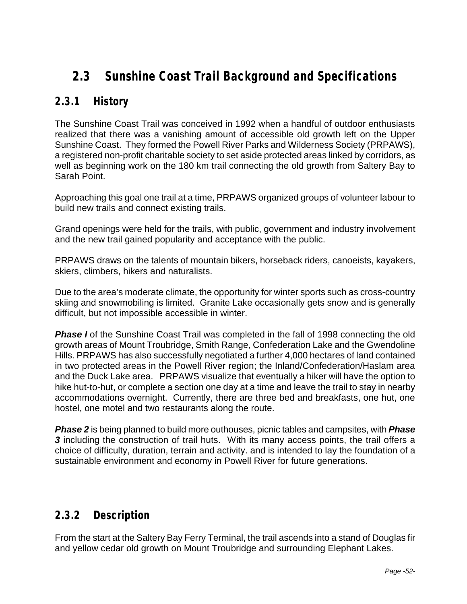# **2.3 Sunshine Coast Trail Background and Specifications**

# **2.3.1 History**

The Sunshine Coast Trail was conceived in 1992 when a handful of outdoor enthusiasts realized that there was a vanishing amount of accessible old growth left on the Upper Sunshine Coast. They formed the Powell River Parks and Wilderness Society (PRPAWS), a registered non-profit charitable society to set aside protected areas linked by corridors, as well as beginning work on the 180 km trail connecting the old growth from Saltery Bay to Sarah Point.

Approaching this goal one trail at a time, PRPAWS organized groups of volunteer labour to build new trails and connect existing trails.

Grand openings were held for the trails, with public, government and industry involvement and the new trail gained popularity and acceptance with the public.

PRPAWS draws on the talents of mountain bikers, horseback riders, canoeists, kayakers, skiers, climbers, hikers and naturalists.

Due to the area's moderate climate, the opportunity for winter sports such as cross-country skiing and snowmobiling is limited. Granite Lake occasionally gets snow and is generally difficult, but not impossible accessible in winter.

**Phase I** of the Sunshine Coast Trail was completed in the fall of 1998 connecting the old growth areas of Mount Troubridge, Smith Range, Confederation Lake and the Gwendoline Hills. PRPAWS has also successfully negotiated a further 4,000 hectares of land contained in two protected areas in the Powell River region; the Inland/Confederation/Haslam area and the Duck Lake area. PRPAWS visualize that eventually a hiker will have the option to hike hut-to-hut, or complete a section one day at a time and leave the trail to stay in nearby accommodations overnight. Currently, there are three bed and breakfasts, one hut, one hostel, one motel and two restaurants along the route.

*Phase 2* is being planned to build more outhouses, picnic tables and campsites, with *Phase*  **3** including the construction of trail huts. With its many access points, the trail offers a choice of difficulty, duration, terrain and activity. and is intended to lay the foundation of a sustainable environment and economy in Powell River for future generations.

### **2.3.2 Description**

From the start at the Saltery Bay Ferry Terminal, the trail ascends into a stand of Douglas fir and yellow cedar old growth on Mount Troubridge and surrounding Elephant Lakes.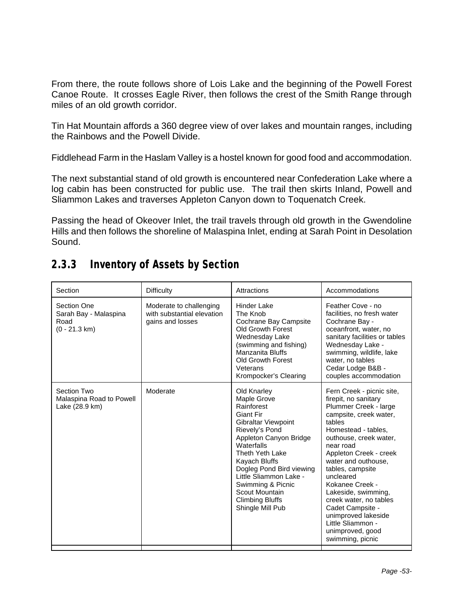From there, the route follows shore of Lois Lake and the beginning of the Powell Forest Canoe Route. It crosses Eagle River, then follows the crest of the Smith Range through miles of an old growth corridor.

Tin Hat Mountain affords a 360 degree view of over lakes and mountain ranges, including the Rainbows and the Powell Divide.

Fiddlehead Farm in the Haslam Valley is a hostel known for good food and accommodation.

The next substantial stand of old growth is encountered near Confederation Lake where a log cabin has been constructed for public use. The trail then skirts Inland, Powell and Sliammon Lakes and traverses Appleton Canyon down to Toquenatch Creek.

Passing the head of Okeover Inlet, the trail travels through old growth in the Gwendoline Hills and then follows the shoreline of Malaspina Inlet, ending at Sarah Point in Desolation Sound.

# **2.3.3 Inventory of Assets by Section**

| Section                                                                 | <b>Difficulty</b>                                                         | Attractions                                                                                                                                                                                                                                                                                                                         | Accommodations                                                                                                                                                                                                                                                                                                                                                                                                                             |
|-------------------------------------------------------------------------|---------------------------------------------------------------------------|-------------------------------------------------------------------------------------------------------------------------------------------------------------------------------------------------------------------------------------------------------------------------------------------------------------------------------------|--------------------------------------------------------------------------------------------------------------------------------------------------------------------------------------------------------------------------------------------------------------------------------------------------------------------------------------------------------------------------------------------------------------------------------------------|
| Section One<br>Sarah Bay - Malaspina<br>Road<br>$(0 - 21.3 \text{ km})$ | Moderate to challenging<br>with substantial elevation<br>gains and losses | Hinder Lake<br>The Knob<br>Cochrane Bay Campsite<br><b>Old Growth Forest</b><br>Wednesday Lake<br>(swimming and fishing)<br>Manzanita Bluffs<br><b>Old Growth Forest</b><br>Veterans<br>Krompocker's Clearing                                                                                                                       | Feather Cove - no<br>facilities, no fresh water<br>Cochrane Bay -<br>oceanfront, water, no<br>sanitary facilities or tables<br>Wednesday Lake -<br>swimming, wildlife, lake<br>water, no tables<br>Cedar Lodge B&B -<br>couples accommodation                                                                                                                                                                                              |
| Section Two<br>Malaspina Road to Powell<br>Lake (28.9 km)               | Moderate                                                                  | Old Knarley<br>Maple Grove<br>Rainforest<br><b>Giant Fir</b><br><b>Gibraltar Viewpoint</b><br>Rievely's Pond<br>Appleton Canyon Bridge<br>Waterfalls<br>Theth Yeth Lake<br>Kayach Bluffs<br>Dogleg Pond Bird viewing<br>Little Sliammon Lake -<br>Swimming & Picnic<br>Scout Mountain<br><b>Climbing Bluffs</b><br>Shingle Mill Pub | Fern Creek - picnic site,<br>firepit, no sanitary<br>Plummer Creek - large<br>campsite, creek water,<br>tables<br>Homestead - tables.<br>outhouse, creek water,<br>near road<br>Appleton Creek - creek<br>water and outhouse.<br>tables, campsite<br>uncleared<br>Kokanee Creek -<br>Lakeside, swimming,<br>creek water, no tables<br>Cadet Campsite -<br>unimproved lakeside<br>Little Sliammon -<br>unimproved, good<br>swimming, picnic |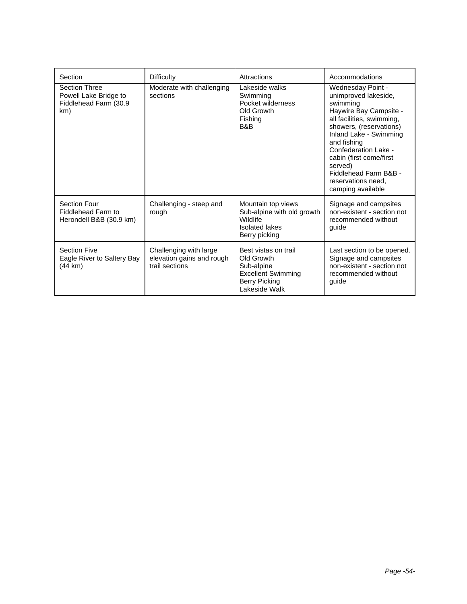| Section                                                                       | <b>Difficulty</b>                                                     | Attractions                                                                                                            | Accommodations                                                                                                                                                                                                                                                                                                     |
|-------------------------------------------------------------------------------|-----------------------------------------------------------------------|------------------------------------------------------------------------------------------------------------------------|--------------------------------------------------------------------------------------------------------------------------------------------------------------------------------------------------------------------------------------------------------------------------------------------------------------------|
| <b>Section Three</b><br>Powell Lake Bridge to<br>Fiddlehead Farm (30.9<br>km) | Moderate with challenging<br>sections                                 | Lakeside walks<br>Swimming<br>Pocket wilderness<br>Old Growth<br>Fishing<br>B&B                                        | Wednesday Point -<br>unimproved lakeside,<br>swimming<br>Haywire Bay Campsite -<br>all facilities, swimming,<br>showers, (reservations)<br>Inland Lake - Swimming<br>and fishing<br>Confederation Lake -<br>cabin (first come/first<br>served)<br>Fiddlehead Farm B&B -<br>reservations need,<br>camping available |
| Section Four<br>Fiddlehead Farm to<br>Herondell B&B (30.9 km)                 | Challenging - steep and<br>rough                                      | Mountain top views<br>Sub-alpine with old growth<br>Wildlife<br><b>Isolated lakes</b><br>Berry picking                 | Signage and campsites<br>non-existent - section not<br>recommended without<br>guide                                                                                                                                                                                                                                |
| <b>Section Five</b><br>Eagle River to Saltery Bay<br>(44 km)                  | Challenging with large<br>elevation gains and rough<br>trail sections | Best vistas on trail<br>Old Growth<br>Sub-alpine<br><b>Excellent Swimming</b><br><b>Berry Picking</b><br>Lakeside Walk | Last section to be opened.<br>Signage and campsites<br>non-existent - section not<br>recommended without<br>quide                                                                                                                                                                                                  |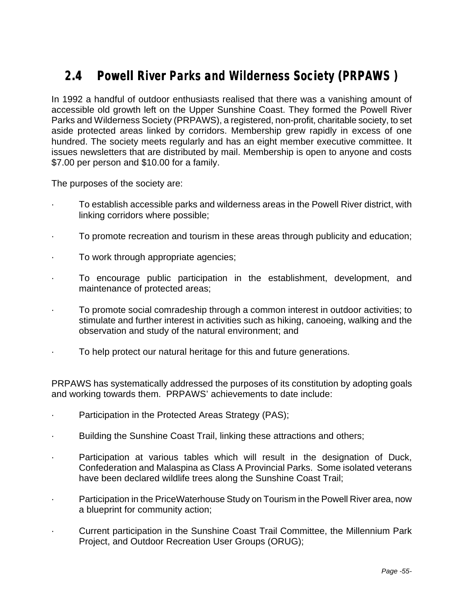# **2.4 Powell River Parks and Wilderness Society (PRPAWS )**

In 1992 a handful of outdoor enthusiasts realised that there was a vanishing amount of accessible old growth left on the Upper Sunshine Coast. They formed the Powell River Parks and Wilderness Society (PRPAWS), a registered, non-profit, charitable society, to set aside protected areas linked by corridors. Membership grew rapidly in excess of one hundred. The society meets regularly and has an eight member executive committee. It issues newsletters that are distributed by mail. Membership is open to anyone and costs \$7.00 per person and \$10.00 for a family.

The purposes of the society are:

- To establish accessible parks and wilderness areas in the Powell River district, with linking corridors where possible;
- · To promote recreation and tourism in these areas through publicity and education;
- To work through appropriate agencies;
- To encourage public participation in the establishment, development, and maintenance of protected areas;
- · To promote social comradeship through a common interest in outdoor activities; to stimulate and further interest in activities such as hiking, canoeing, walking and the observation and study of the natural environment; and
- To help protect our natural heritage for this and future generations.

PRPAWS has systematically addressed the purposes of its constitution by adopting goals and working towards them. PRPAWS' achievements to date include:

- Participation in the Protected Areas Strategy (PAS);
- Building the Sunshine Coast Trail, linking these attractions and others;
- Participation at various tables which will result in the designation of Duck, Confederation and Malaspina as Class A Provincial Parks. Some isolated veterans have been declared wildlife trees along the Sunshine Coast Trail;
- Participation in the PriceWaterhouse Study on Tourism in the Powell River area, now a blueprint for community action;
- · Current participation in the Sunshine Coast Trail Committee, the Millennium Park Project, and Outdoor Recreation User Groups (ORUG);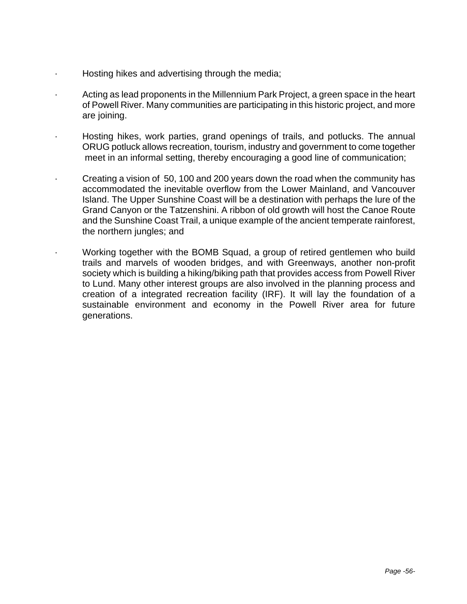- Hosting hikes and advertising through the media;
- · Acting as lead proponents in the Millennium Park Project, a green space in the heart of Powell River. Many communities are participating in this historic project, and more are joining.
- Hosting hikes, work parties, grand openings of trails, and potlucks. The annual ORUG potluck allows recreation, tourism, industry and government to come together meet in an informal setting, thereby encouraging a good line of communication;
- · Creating a vision of 50, 100 and 200 years down the road when the community has accommodated the inevitable overflow from the Lower Mainland, and Vancouver Island. The Upper Sunshine Coast will be a destination with perhaps the lure of the Grand Canyon or the Tatzenshini. A ribbon of old growth will host the Canoe Route and the Sunshine Coast Trail, a unique example of the ancient temperate rainforest, the northern jungles; and
- · Working together with the BOMB Squad, a group of retired gentlemen who build trails and marvels of wooden bridges, and with Greenways, another non-profit society which is building a hiking/biking path that provides access from Powell River to Lund. Many other interest groups are also involved in the planning process and creation of a integrated recreation facility (IRF). It will lay the foundation of a sustainable environment and economy in the Powell River area for future generations.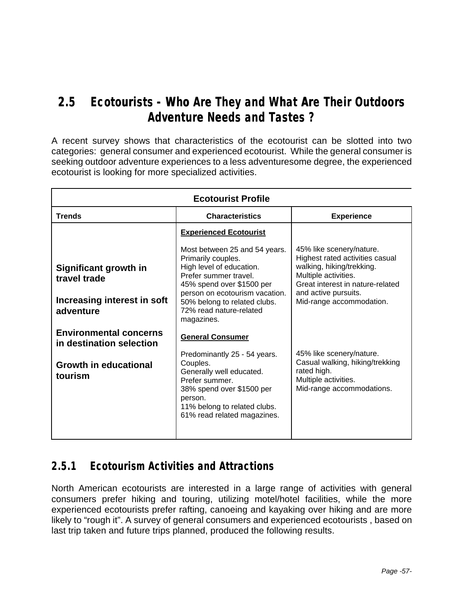# **2.5 Ecotourists - Who Are They and What Are Their Outdoors Adventure Needs and Tastes ?**

A recent survey shows that characteristics of the ecotourist can be slotted into two categories: general consumer and experienced ecotourist. While the general consumer is seeking outdoor adventure experiences to a less adventuresome degree, the experienced ecotourist is looking for more specialized activities.

| <b>Ecotourist Profile</b>                                                         |                                                                                                                                                                                                                                                  |                                                                                                                                                                                                          |  |  |  |
|-----------------------------------------------------------------------------------|--------------------------------------------------------------------------------------------------------------------------------------------------------------------------------------------------------------------------------------------------|----------------------------------------------------------------------------------------------------------------------------------------------------------------------------------------------------------|--|--|--|
| <b>Trends</b>                                                                     | <b>Characteristics</b>                                                                                                                                                                                                                           | <b>Experience</b>                                                                                                                                                                                        |  |  |  |
|                                                                                   | <b>Experienced Ecotourist</b>                                                                                                                                                                                                                    |                                                                                                                                                                                                          |  |  |  |
| Significant growth in<br>travel trade<br>Increasing interest in soft<br>adventure | Most between 25 and 54 years.<br>Primarily couples.<br>High level of education.<br>Prefer summer travel.<br>45% spend over \$1500 per<br>person on ecotourism vacation.<br>50% belong to related clubs.<br>72% read nature-related<br>magazines. | 45% like scenery/nature.<br>Highest rated activities casual<br>walking, hiking/trekking.<br>Multiple activities.<br>Great interest in nature-related<br>and active pursuits.<br>Mid-range accommodation. |  |  |  |
| <b>Environmental concerns</b><br>in destination selection                         | <b>General Consumer</b>                                                                                                                                                                                                                          |                                                                                                                                                                                                          |  |  |  |
| <b>Growth in educational</b><br>tourism                                           | Predominantly 25 - 54 years.<br>Couples.<br>Generally well educated.<br>Prefer summer.<br>38% spend over \$1500 per<br>person.<br>11% belong to related clubs.<br>61% read related magazines.                                                    | 45% like scenery/nature.<br>Casual walking, hiking/trekking<br>rated high.<br>Multiple activities.<br>Mid-range accommodations.                                                                          |  |  |  |

### **2.5.1 Ecotourism Activities and Attractions**

North American ecotourists are interested in a large range of activities with general consumers prefer hiking and touring, utilizing motel/hotel facilities, while the more experienced ecotourists prefer rafting, canoeing and kayaking over hiking and are more likely to "rough it". A survey of general consumers and experienced ecotourists , based on last trip taken and future trips planned, produced the following results.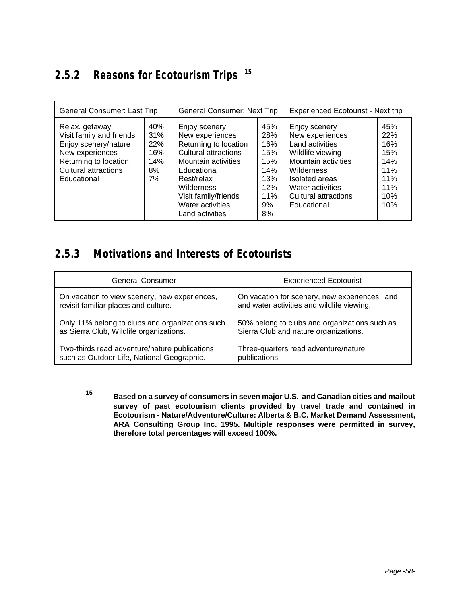# **2.5.2 Reasons for Ecotourism Trips <sup>15</sup>**

| General Consumer: Last Trip                                                                                                                                  |                                             | <b>General Consumer: Next Trip</b>                                                                                                                                                                                        |                                                                         | Experienced Ecotourist - Next trip                                                                                                                                                        |                                                                    |
|--------------------------------------------------------------------------------------------------------------------------------------------------------------|---------------------------------------------|---------------------------------------------------------------------------------------------------------------------------------------------------------------------------------------------------------------------------|-------------------------------------------------------------------------|-------------------------------------------------------------------------------------------------------------------------------------------------------------------------------------------|--------------------------------------------------------------------|
| Relax. getaway<br>Visit family and friends<br>Enjoy scenery/nature<br>New experiences<br>Returning to location<br><b>Cultural attractions</b><br>Educational | 40%<br>31%<br>22%<br>16%<br>14%<br>8%<br>7% | Enjoy scenery<br>New experiences<br>Returning to location<br><b>Cultural attractions</b><br>Mountain activities<br>Educational<br>Rest/relax<br>Wilderness<br>Visit family/friends<br>Water activities<br>Land activities | 45%<br>28%<br>16%<br>15%<br>15%<br>14%<br>13%<br>12%<br>11%<br>9%<br>8% | Enjoy scenery<br>New experiences<br>Land activities<br>Wildlife viewing<br>Mountain activities<br>Wilderness<br>Isolated areas<br>Water activities<br>Cultural attractions<br>Educational | 45%<br>22%<br>16%<br>15%<br>14%<br>11%<br>11%<br>11%<br>10%<br>10% |

### **2.5.3 Motivations and Interests of Ecotourists**

| <b>General Consumer</b>                         | <b>Experienced Ecotourist</b>                  |
|-------------------------------------------------|------------------------------------------------|
| On vacation to view scenery, new experiences,   | On vacation for scenery, new experiences, land |
| revisit familiar places and culture.            | and water activities and wildlife viewing.     |
| Only 11% belong to clubs and organizations such | 50% belong to clubs and organizations such as  |
| as Sierra Club, Wildlife organizations.         | Sierra Club and nature organizations.          |
| Two-thirds read adventure/nature publications   | Three-quarters read adventure/nature           |
| such as Outdoor Life, National Geographic.      | publications.                                  |

l

**<sup>15</sup> Based on a survey of consumers in seven major U.S. and Canadian cities and mailout survey of past ecotourism clients provided by travel trade and contained in Ecotourism - Nature/Adventure/Culture: Alberta & B.C. Market Demand Assessment, ARA Consulting Group Inc. 1995. Multiple responses were permitted in survey, therefore total percentages will exceed 100%.**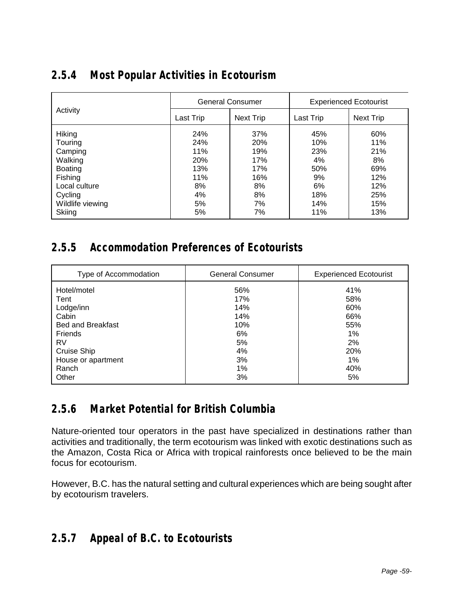|  |  | 2.5.4 Most Popular Activities in Ecotourism |
|--|--|---------------------------------------------|
|  |  |                                             |

|                                                                                                                                |                                                                | <b>General Consumer</b>                                               | <b>Experienced Ecotourist</b>                                   |                                                                   |  |
|--------------------------------------------------------------------------------------------------------------------------------|----------------------------------------------------------------|-----------------------------------------------------------------------|-----------------------------------------------------------------|-------------------------------------------------------------------|--|
| Activity                                                                                                                       | Next Trip<br>Last Trip                                         |                                                                       | Last Trip                                                       | <b>Next Trip</b>                                                  |  |
| Hiking<br>Touring<br>Camping<br>Walking<br><b>Boating</b><br>Fishing<br>Local culture<br>Cycling<br>Wildlife viewing<br>Skiing | 24%<br>24%<br>11%<br>20%<br>13%<br>11%<br>8%<br>4%<br>5%<br>5% | 37%<br><b>20%</b><br>19%<br>17%<br>17%<br>16%<br>8%<br>8%<br>7%<br>7% | 45%<br>10%<br>23%<br>4%<br>50%<br>9%<br>6%<br>18%<br>14%<br>11% | 60%<br>11%<br>21%<br>8%<br>69%<br>12%<br>12%<br>25%<br>15%<br>13% |  |

### **2.5.5 Accommodation Preferences of Ecotourists**

| Type of Accommodation    | <b>General Consumer</b> | <b>Experienced Ecotourist</b> |  |
|--------------------------|-------------------------|-------------------------------|--|
| Hotel/motel              | 56%                     | 41%                           |  |
| Tent                     | 17%                     | 58%                           |  |
| Lodge/inn                | 14%                     | 60%                           |  |
| Cabin                    | 14%                     | 66%                           |  |
| <b>Bed and Breakfast</b> | 10%                     | 55%                           |  |
| Friends                  | 6%                      | 1%                            |  |
| RV                       | 5%                      | 2%                            |  |
| Cruise Ship              | 4%                      | 20%                           |  |
| House or apartment       | 3%                      | 1%                            |  |
| Ranch                    | 1%                      | 40%                           |  |
| Other                    | 3%                      | 5%                            |  |

### **2.5.6 Market Potential for British Columbia**

Nature-oriented tour operators in the past have specialized in destinations rather than activities and traditionally, the term ecotourism was linked with exotic destinations such as the Amazon, Costa Rica or Africa with tropical rainforests once believed to be the main focus for ecotourism.

However, B.C. has the natural setting and cultural experiences which are being sought after by ecotourism travelers.

# **2.5.7 Appeal of B.C. to Ecotourists**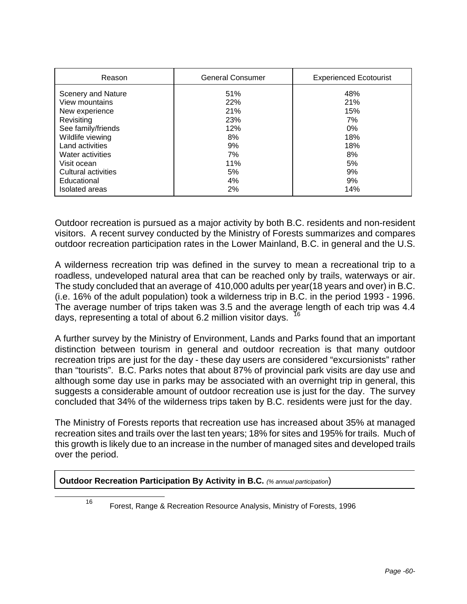| Reason                | <b>General Consumer</b> | <b>Experienced Ecotourist</b> |  |
|-----------------------|-------------------------|-------------------------------|--|
| Scenery and Nature    | 51%                     | 48%                           |  |
| View mountains        | 22%                     | 21%                           |  |
| New experience        | 21%                     | 15%                           |  |
| Revisiting            | 23%                     | 7%                            |  |
| See family/friends    | 12%                     | 0%                            |  |
| Wildlife viewing      | 8%                      | 18%                           |  |
| Land activities       | 9%                      | 18%                           |  |
| Water activities      | 7%                      | 8%                            |  |
| Visit ocean           | 11%                     | 5%                            |  |
| Cultural activities   | 5%                      | 9%                            |  |
| Educational           | 4%                      | 9%                            |  |
| <b>Isolated</b> areas | 2%                      | 14%                           |  |

Outdoor recreation is pursued as a major activity by both B.C. residents and non-resident visitors. A recent survey conducted by the Ministry of Forests summarizes and compares outdoor recreation participation rates in the Lower Mainland, B.C. in general and the U.S.

A wilderness recreation trip was defined in the survey to mean a recreational trip to a roadless, undeveloped natural area that can be reached only by trails, waterways or air. The study concluded that an average of 410,000 adults per year(18 years and over) in B.C. (i.e. 16% of the adult population) took a wilderness trip in B.C. in the period 1993 - 1996. The average number of trips taken was 3.5 and the average length of each trip was 4.4 days, representing a total of about 6.2 million visitor days.

A further survey by the Ministry of Environment, Lands and Parks found that an important distinction between tourism in general and outdoor recreation is that many outdoor recreation trips are just for the day - these day users are considered "excursionists" rather than "tourists". B.C. Parks notes that about 87% of provincial park visits are day use and although some day use in parks may be associated with an overnight trip in general, this suggests a considerable amount of outdoor recreation use is just for the day. The survey concluded that 34% of the wilderness trips taken by B.C. residents were just for the day.

The Ministry of Forests reports that recreation use has increased about 35% at managed recreation sites and trails over the last ten years; 18% for sites and 195% for trails. Much of this growth is likely due to an increase in the number of managed sites and developed trails over the period.

#### **Outdoor Recreation Participation By Activity in B.C.** *(% annual participation*)

1

<sup>16</sup> Forest, Range & Recreation Resource Analysis, Ministry of Forests, 1996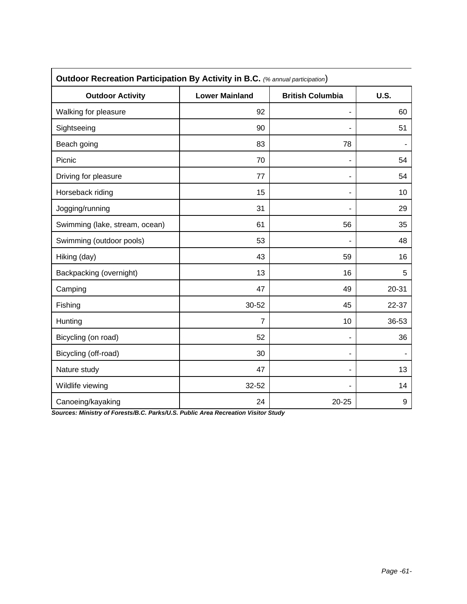| Outdoor Recreation Participation By Activity in B.C. (% annual participation) |                       |                         |       |  |  |
|-------------------------------------------------------------------------------|-----------------------|-------------------------|-------|--|--|
| <b>Outdoor Activity</b>                                                       | <b>Lower Mainland</b> | <b>British Columbia</b> | U.S.  |  |  |
| Walking for pleasure                                                          | 92                    | ۰                       | 60    |  |  |
| Sightseeing                                                                   | 90                    |                         | 51    |  |  |
| Beach going                                                                   | 83                    | 78                      |       |  |  |
| Picnic                                                                        | 70                    |                         | 54    |  |  |
| Driving for pleasure                                                          | 77                    | ٠                       | 54    |  |  |
| Horseback riding                                                              | 15                    |                         | 10    |  |  |
| Jogging/running                                                               | 31                    |                         | 29    |  |  |
| Swimming (lake, stream, ocean)                                                | 61                    | 56                      | 35    |  |  |
| Swimming (outdoor pools)                                                      | 53                    |                         | 48    |  |  |
| Hiking (day)                                                                  | 43                    | 59                      | 16    |  |  |
| Backpacking (overnight)                                                       | 13                    | 16                      | 5     |  |  |
| Camping                                                                       | 47                    | 49                      | 20-31 |  |  |
| Fishing                                                                       | 30-52                 | 45                      | 22-37 |  |  |
| Hunting                                                                       | $\overline{7}$        | 10                      | 36-53 |  |  |
| Bicycling (on road)                                                           | 52                    |                         | 36    |  |  |
| Bicycling (off-road)                                                          | 30                    |                         |       |  |  |
| Nature study                                                                  | 47                    |                         | 13    |  |  |
| Wildlife viewing                                                              | 32-52                 |                         | 14    |  |  |
| Canoeing/kayaking                                                             | 24                    | $20 - 25$               | 9     |  |  |

*Sources: Ministry of Forests/B.C. Parks/U.S. Public Area Recreation Visitor Study*

 $\mathbf{r}$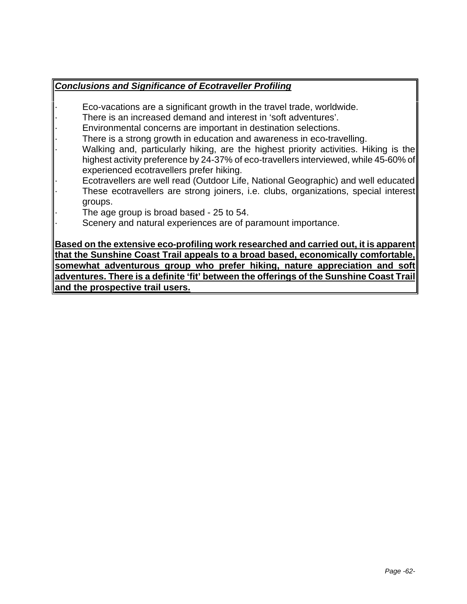#### *Conclusions and Significance of Ecotraveller Profiling*

- Eco-vacations are a significant growth in the travel trade, worldwide.
- There is an increased demand and interest in 'soft adventures'.
- Environmental concerns are important in destination selections.
- There is a strong growth in education and awareness in eco-travelling.
- Walking and, particularly hiking, are the highest priority activities. Hiking is the highest activity preference by 24-37% of eco-travellers interviewed, while 45-60% of experienced ecotravellers prefer hiking.
- · Ecotravellers are well read (Outdoor Life, National Geographic) and well educated
- These ecotravellers are strong joiners, i.e. clubs, organizations, special interest groups.
	- The age group is broad based 25 to 54.
- Scenery and natural experiences are of paramount importance.

**Based on the extensive eco-profiling work researched and carried out, it is apparent that the Sunshine Coast Trail appeals to a broad based, economically comfortable, somewhat adventurous group who prefer hiking, nature appreciation and soft adventures. There is a definite 'fit' between the offerings of the Sunshine Coast Trail and the prospective trail users.**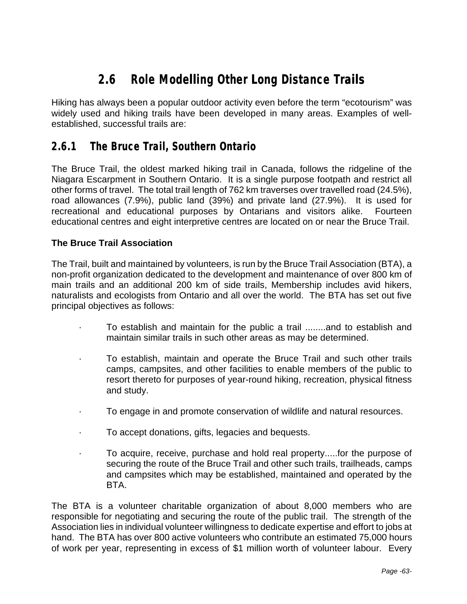# **2.6 Role Modelling Other Long Distance Trails**

Hiking has always been a popular outdoor activity even before the term "ecotourism" was widely used and hiking trails have been developed in many areas. Examples of wellestablished, successful trails are:

### **2.6.1 The Bruce Trail, Southern Ontario**

The Bruce Trail, the oldest marked hiking trail in Canada, follows the ridgeline of the Niagara Escarpment in Southern Ontario. It is a single purpose footpath and restrict all other forms of travel. The total trail length of 762 km traverses over travelled road (24.5%), road allowances (7.9%), public land (39%) and private land (27.9%). It is used for recreational and educational purposes by Ontarians and visitors alike. Fourteen educational centres and eight interpretive centres are located on or near the Bruce Trail.

#### **The Bruce Trail Association**

The Trail, built and maintained by volunteers, is run by the Bruce Trail Association (BTA), a non-profit organization dedicated to the development and maintenance of over 800 km of main trails and an additional 200 km of side trails, Membership includes avid hikers, naturalists and ecologists from Ontario and all over the world. The BTA has set out five principal objectives as follows:

- · To establish and maintain for the public a trail ........and to establish and maintain similar trails in such other areas as may be determined.
- · To establish, maintain and operate the Bruce Trail and such other trails camps, campsites, and other facilities to enable members of the public to resort thereto for purposes of year-round hiking, recreation, physical fitness and study.
- · To engage in and promote conservation of wildlife and natural resources.
- · To accept donations, gifts, legacies and bequests.
- · To acquire, receive, purchase and hold real property.....for the purpose of securing the route of the Bruce Trail and other such trails, trailheads, camps and campsites which may be established, maintained and operated by the BTA.

The BTA is a volunteer charitable organization of about 8,000 members who are responsible for negotiating and securing the route of the public trail. The strength of the Association lies in individual volunteer willingness to dedicate expertise and effort to jobs at hand. The BTA has over 800 active volunteers who contribute an estimated 75,000 hours of work per year, representing in excess of \$1 million worth of volunteer labour. Every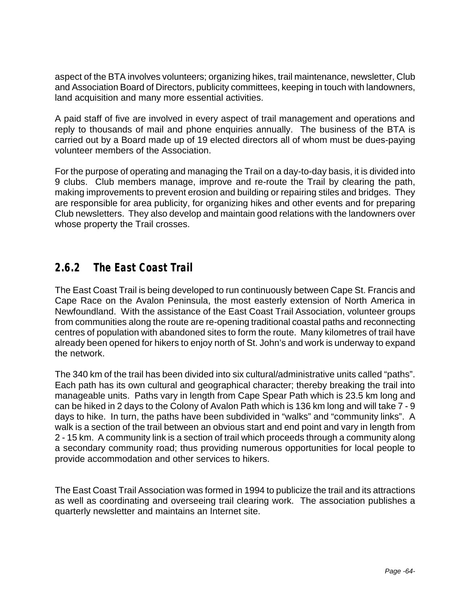aspect of the BTA involves volunteers; organizing hikes, trail maintenance, newsletter, Club and Association Board of Directors, publicity committees, keeping in touch with landowners, land acquisition and many more essential activities.

A paid staff of five are involved in every aspect of trail management and operations and reply to thousands of mail and phone enquiries annually. The business of the BTA is carried out by a Board made up of 19 elected directors all of whom must be dues-paying volunteer members of the Association.

For the purpose of operating and managing the Trail on a day-to-day basis, it is divided into 9 clubs. Club members manage, improve and re-route the Trail by clearing the path, making improvements to prevent erosion and building or repairing stiles and bridges. They are responsible for area publicity, for organizing hikes and other events and for preparing Club newsletters. They also develop and maintain good relations with the landowners over whose property the Trail crosses.

### **2.6.2 The East Coast Trail**

The East Coast Trail is being developed to run continuously between Cape St. Francis and Cape Race on the Avalon Peninsula, the most easterly extension of North America in Newfoundland. With the assistance of the East Coast Trail Association, volunteer groups from communities along the route are re-opening traditional coastal paths and reconnecting centres of population with abandoned sites to form the route. Many kilometres of trail have already been opened for hikers to enjoy north of St. John's and work is underway to expand the network.

The 340 km of the trail has been divided into six cultural/administrative units called "paths". Each path has its own cultural and geographical character; thereby breaking the trail into manageable units. Paths vary in length from Cape Spear Path which is 23.5 km long and can be hiked in 2 days to the Colony of Avalon Path which is 136 km long and will take 7 - 9 days to hike. In turn, the paths have been subdivided in "walks" and "community links". A walk is a section of the trail between an obvious start and end point and vary in length from 2 - 15 km. A community link is a section of trail which proceeds through a community along a secondary community road; thus providing numerous opportunities for local people to provide accommodation and other services to hikers.

The East Coast Trail Association was formed in 1994 to publicize the trail and its attractions as well as coordinating and overseeing trail clearing work. The association publishes a quarterly newsletter and maintains an Internet site.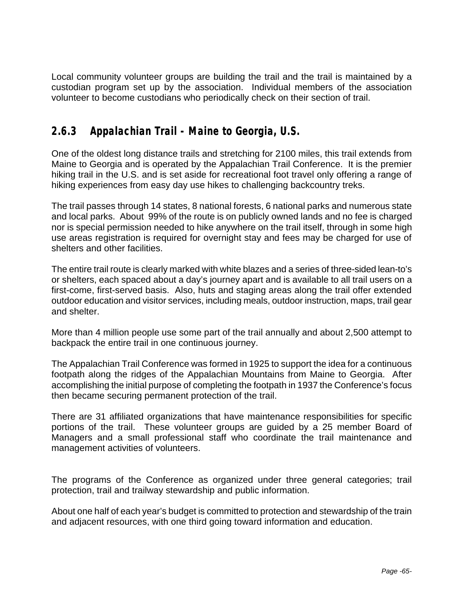Local community volunteer groups are building the trail and the trail is maintained by a custodian program set up by the association. Individual members of the association volunteer to become custodians who periodically check on their section of trail.

## **2.6.3 Appalachian Trail - Maine to Georgia, U.S.**

One of the oldest long distance trails and stretching for 2100 miles, this trail extends from Maine to Georgia and is operated by the Appalachian Trail Conference. It is the premier hiking trail in the U.S. and is set aside for recreational foot travel only offering a range of hiking experiences from easy day use hikes to challenging backcountry treks.

The trail passes through 14 states, 8 national forests, 6 national parks and numerous state and local parks. About 99% of the route is on publicly owned lands and no fee is charged nor is special permission needed to hike anywhere on the trail itself, through in some high use areas registration is required for overnight stay and fees may be charged for use of shelters and other facilities.

The entire trail route is clearly marked with white blazes and a series of three-sided lean-to's or shelters, each spaced about a day's journey apart and is available to all trail users on a first-come, first-served basis. Also, huts and staging areas along the trail offer extended outdoor education and visitor services, including meals, outdoor instruction, maps, trail gear and shelter.

More than 4 million people use some part of the trail annually and about 2,500 attempt to backpack the entire trail in one continuous journey.

The Appalachian Trail Conference was formed in 1925 to support the idea for a continuous footpath along the ridges of the Appalachian Mountains from Maine to Georgia. After accomplishing the initial purpose of completing the footpath in 1937 the Conference's focus then became securing permanent protection of the trail.

There are 31 affiliated organizations that have maintenance responsibilities for specific portions of the trail. These volunteer groups are guided by a 25 member Board of Managers and a small professional staff who coordinate the trail maintenance and management activities of volunteers.

The programs of the Conference as organized under three general categories; trail protection, trail and trailway stewardship and public information.

About one half of each year's budget is committed to protection and stewardship of the train and adjacent resources, with one third going toward information and education.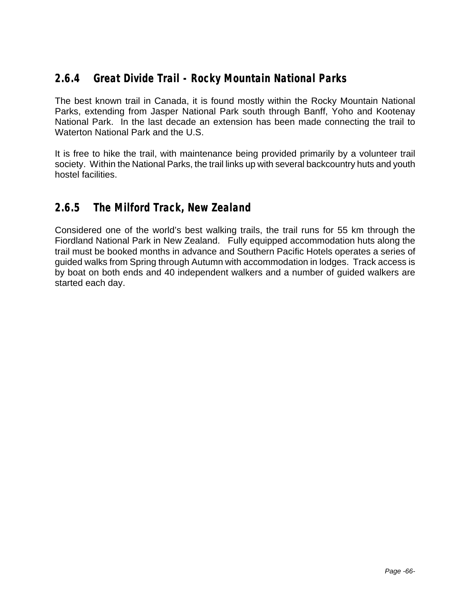## **2.6.4 Great Divide Trail - Rocky Mountain National Parks**

The best known trail in Canada, it is found mostly within the Rocky Mountain National Parks, extending from Jasper National Park south through Banff, Yoho and Kootenay National Park. In the last decade an extension has been made connecting the trail to Waterton National Park and the U.S.

It is free to hike the trail, with maintenance being provided primarily by a volunteer trail society. Within the National Parks, the trail links up with several backcountry huts and youth hostel facilities.

### **2.6.5 The Milford Track, New Zealand**

Considered one of the world's best walking trails, the trail runs for 55 km through the Fiordland National Park in New Zealand. Fully equipped accommodation huts along the trail must be booked months in advance and Southern Pacific Hotels operates a series of guided walks from Spring through Autumn with accommodation in lodges. Track access is by boat on both ends and 40 independent walkers and a number of guided walkers are started each day.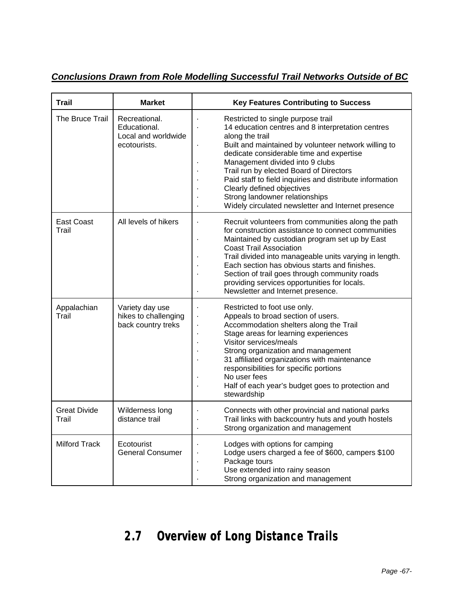*Conclusions Drawn from Role Modelling Successful Trail Networks Outside of BC*

| <b>Trail</b>                 | <b>Market</b>                                                        | <b>Key Features Contributing to Success</b>                                                                                                                                                                                                                                                                                                                                                                                                                                                      |
|------------------------------|----------------------------------------------------------------------|--------------------------------------------------------------------------------------------------------------------------------------------------------------------------------------------------------------------------------------------------------------------------------------------------------------------------------------------------------------------------------------------------------------------------------------------------------------------------------------------------|
| The Bruce Trail              | Recreational.<br>Educational.<br>Local and worldwide<br>ecotourists. | Restricted to single purpose trail<br>14 education centres and 8 interpretation centres<br>along the trail<br>Built and maintained by volunteer network willing to<br>dedicate considerable time and expertise<br>Management divided into 9 clubs<br>Trail run by elected Board of Directors<br>Paid staff to field inquiries and distribute information<br>Clearly defined objectives<br>Strong landowner relationships<br>Widely circulated newsletter and Internet presence<br>$\blacksquare$ |
| <b>East Coast</b><br>Trail   | All levels of hikers                                                 | Recruit volunteers from communities along the path<br>Ĭ.<br>for construction assistance to connect communities<br>Maintained by custodian program set up by East<br>Ĭ.<br><b>Coast Trail Association</b><br>Trail divided into manageable units varying in length.<br>Each section has obvious starts and finishes.<br>Section of trail goes through community roads<br>providing services opportunities for locals.<br>Newsletter and Internet presence.                                        |
| Appalachian<br>Trail         | Variety day use<br>hikes to challenging<br>back country treks        | Restricted to foot use only.<br>$\blacksquare$<br>Appeals to broad section of users.<br>$\blacksquare$<br>Accommodation shelters along the Trail<br>Stage areas for learning experiences<br>Visitor services/meals<br>Strong organization and management<br>31 affiliated organizations with maintenance<br>responsibilities for specific portions<br>No user fees<br>Half of each year's budget goes to protection and<br>stewardship                                                           |
| <b>Great Divide</b><br>Trail | Wilderness long<br>distance trail                                    | Connects with other provincial and national parks<br>l,<br>Trail links with backcountry huts and youth hostels<br>Strong organization and management<br>$\blacksquare$                                                                                                                                                                                                                                                                                                                           |
| <b>Milford Track</b>         | Ecotourist<br><b>General Consumer</b>                                | Lodges with options for camping<br>Ĭ.<br>Lodge users charged a fee of \$600, campers \$100<br>l,<br>Package tours<br>Use extended into rainy season<br>Strong organization and management                                                                                                                                                                                                                                                                                                        |

## **2.7 Overview of Long Distance Trails**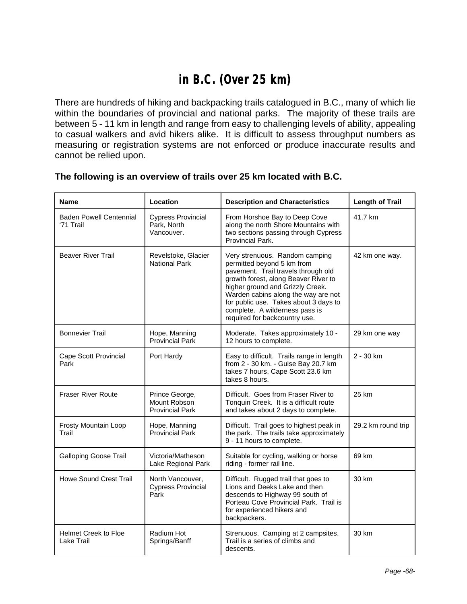## **in B.C. (Over 25 km)**

There are hundreds of hiking and backpacking trails catalogued in B.C., many of which lie within the boundaries of provincial and national parks. The majority of these trails are between 5 - 11 km in length and range from easy to challenging levels of ability, appealing to casual walkers and avid hikers alike. It is difficult to assess throughput numbers as measuring or registration systems are not enforced or produce inaccurate results and cannot be relied upon.

| <b>Name</b>                                 | Location                                                 | <b>Description and Characteristics</b>                                                                                                                                                                                                                                                                                             | <b>Length of Trail</b> |
|---------------------------------------------|----------------------------------------------------------|------------------------------------------------------------------------------------------------------------------------------------------------------------------------------------------------------------------------------------------------------------------------------------------------------------------------------------|------------------------|
| <b>Baden Powell Centennial</b><br>'71 Trail | <b>Cypress Provincial</b><br>Park, North<br>Vancouver.   | From Horshoe Bay to Deep Cove<br>along the north Shore Mountains with<br>two sections passing through Cypress<br>Provincial Park.                                                                                                                                                                                                  | 41.7 km                |
| <b>Beaver River Trail</b>                   | Revelstoke, Glacier<br><b>National Park</b>              | Very strenuous. Random camping<br>permitted beyond 5 km from<br>pavement. Trail travels through old<br>growth forest, along Beaver River to<br>higher ground and Grizzly Creek.<br>Warden cabins along the way are not<br>for public use. Takes about 3 days to<br>complete. A wilderness pass is<br>required for backcountry use. | 42 km one way.         |
| <b>Bonnevier Trail</b>                      | Hope, Manning<br>Provincial Park                         | Moderate. Takes approximately 10 -<br>12 hours to complete.                                                                                                                                                                                                                                                                        | 29 km one way          |
| Cape Scott Provincial<br>Park               | Port Hardy                                               | Easy to difficult. Trails range in length<br>from 2 - 30 km. - Guise Bay 20.7 km<br>takes 7 hours, Cape Scott 23.6 km<br>takes 8 hours.                                                                                                                                                                                            | 2 - 30 km              |
| <b>Fraser River Route</b>                   | Prince George,<br>Mount Robson<br><b>Provincial Park</b> | Difficult. Goes from Fraser River to<br>Tonquin Creek. It is a difficult route<br>and takes about 2 days to complete.                                                                                                                                                                                                              | 25 km                  |
| Frosty Mountain Loop<br>Trail               | Hope, Manning<br><b>Provincial Park</b>                  | Difficult. Trail goes to highest peak in<br>the park. The trails take approximately<br>9 - 11 hours to complete.                                                                                                                                                                                                                   | 29.2 km round trip     |
| <b>Galloping Goose Trail</b>                | Victoria/Matheson<br>Lake Regional Park                  | Suitable for cycling, walking or horse<br>riding - former rail line.                                                                                                                                                                                                                                                               | 69 km                  |
| <b>Howe Sound Crest Trail</b>               | North Vancouver,<br>Cypress Provincial<br>Park           | Difficult. Rugged trail that goes to<br>Lions and Deeks Lake and then<br>descends to Highway 99 south of<br>Porteau Cove Provincial Park. Trail is<br>for experienced hikers and<br>backpackers.                                                                                                                                   | 30 km                  |
| <b>Helmet Creek to Floe</b><br>Lake Trail   | Radium Hot<br>Springs/Banff                              | Strenuous. Camping at 2 campsites.<br>Trail is a series of climbs and<br>descents.                                                                                                                                                                                                                                                 | 30 km                  |

### **The following is an overview of trails over 25 km located with B.C.**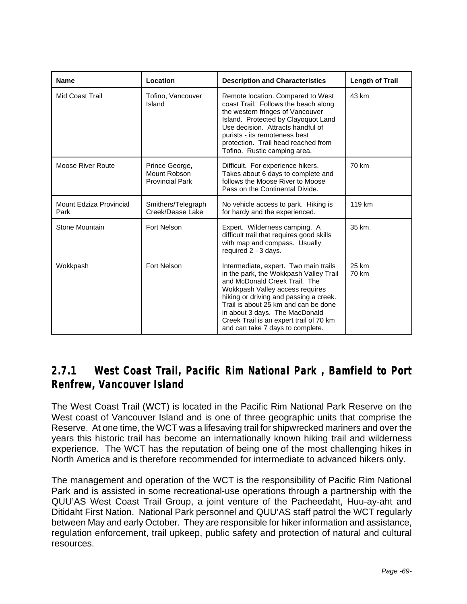| <b>Name</b>                     | Location                                                 | <b>Description and Characteristics</b>                                                                                                                                                                                                                                                                                                                 | <b>Length of Trail</b> |
|---------------------------------|----------------------------------------------------------|--------------------------------------------------------------------------------------------------------------------------------------------------------------------------------------------------------------------------------------------------------------------------------------------------------------------------------------------------------|------------------------|
| Mid Coast Trail                 | Tofino, Vancouver<br>Island                              | Remote location. Compared to West<br>coast Trail. Follows the beach along<br>the western fringes of Vancouver<br>Island. Protected by Clayoquot Land<br>Use decision. Attracts handful of<br>purists - its remoteness best<br>protection. Trail head reached from<br>Tofino. Rustic camping area.                                                      | 43 km                  |
| Moose River Route               | Prince George,<br>Mount Robson<br><b>Provincial Park</b> | Difficult. For experience hikers.<br>Takes about 6 days to complete and<br>follows the Moose River to Moose<br>Pass on the Continental Divide.                                                                                                                                                                                                         | 70 km                  |
| Mount Edziza Provincial<br>Park | Smithers/Telegraph<br>Creek/Dease Lake                   | No vehicle access to park. Hiking is<br>for hardy and the experienced.                                                                                                                                                                                                                                                                                 | 119 km                 |
| Stone Mountain                  | Fort Nelson                                              | Expert. Wilderness camping. A<br>difficult trail that requires good skills<br>with map and compass. Usually<br>required 2 - 3 days.                                                                                                                                                                                                                    | 35 km.                 |
| Wokkpash                        | <b>Fort Nelson</b>                                       | Intermediate, expert. Two main trails<br>in the park, the Wokkpash Valley Trail<br>and McDonald Creek Trail. The<br>Wokkpash Valley access requires<br>hiking or driving and passing a creek.<br>Trail is about 25 km and can be done<br>in about 3 days. The MacDonald<br>Creek Trail is an expert trail of 70 km<br>and can take 7 days to complete. | 25 km<br>70 km         |

## **2.7.1 West Coast Trail, Pacific Rim National Park , Bamfield to Port Renfrew, Vancouver Island**

The West Coast Trail (WCT) is located in the Pacific Rim National Park Reserve on the West coast of Vancouver Island and is one of three geographic units that comprise the Reserve. At one time, the WCT was a lifesaving trail for shipwrecked mariners and over the years this historic trail has become an internationally known hiking trail and wilderness experience. The WCT has the reputation of being one of the most challenging hikes in North America and is therefore recommended for intermediate to advanced hikers only.

The management and operation of the WCT is the responsibility of Pacific Rim National Park and is assisted in some recreational-use operations through a partnership with the QUU'AS West Coast Trail Group, a joint venture of the Pacheedaht, Huu-ay-aht and Ditidaht First Nation. National Park personnel and QUU'AS staff patrol the WCT regularly between May and early October. They are responsible for hiker information and assistance, regulation enforcement, trail upkeep, public safety and protection of natural and cultural resources.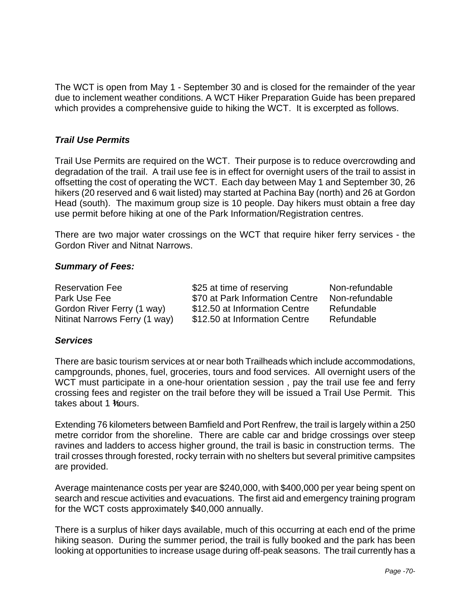The WCT is open from May 1 - September 30 and is closed for the remainder of the year due to inclement weather conditions. A WCT Hiker Preparation Guide has been prepared which provides a comprehensive guide to hiking the WCT. It is excerpted as follows.

### *Trail Use Permits*

Trail Use Permits are required on the WCT. Their purpose is to reduce overcrowding and degradation of the trail. A trail use fee is in effect for overnight users of the trail to assist in offsetting the cost of operating the WCT. Each day between May 1 and September 30, 26 hikers (20 reserved and 6 wait listed) may started at Pachina Bay (north) and 26 at Gordon Head (south). The maximum group size is 10 people. Day hikers must obtain a free day use permit before hiking at one of the Park Information/Registration centres.

There are two major water crossings on the WCT that require hiker ferry services - the Gordon River and Nitnat Narrows.

### *Summary of Fees:*

| <b>Reservation Fee</b>        | \$25 at time of reserving       | Non-refundable |
|-------------------------------|---------------------------------|----------------|
| Park Use Fee                  | \$70 at Park Information Centre | Non-refundable |
| Gordon River Ferry (1 way)    | \$12.50 at Information Centre   | Refundable     |
| Nitinat Narrows Ferry (1 way) | \$12.50 at Information Centre   | Refundable     |

### *Services*

There are basic tourism services at or near both Trailheads which include accommodations, campgrounds, phones, fuel, groceries, tours and food services. All overnight users of the WCT must participate in a one-hour orientation session, pay the trail use fee and ferry crossing fees and register on the trail before they will be issued a Trail Use Permit. This takes about 1 *Yours*.

Extending 76 kilometers between Bamfield and Port Renfrew, the trail is largely within a 250 metre corridor from the shoreline. There are cable car and bridge crossings over steep ravines and ladders to access higher ground, the trail is basic in construction terms. The trail crosses through forested, rocky terrain with no shelters but several primitive campsites are provided.

Average maintenance costs per year are \$240,000, with \$400,000 per year being spent on search and rescue activities and evacuations. The first aid and emergency training program for the WCT costs approximately \$40,000 annually.

There is a surplus of hiker days available, much of this occurring at each end of the prime hiking season. During the summer period, the trail is fully booked and the park has been looking at opportunities to increase usage during off-peak seasons. The trail currently has a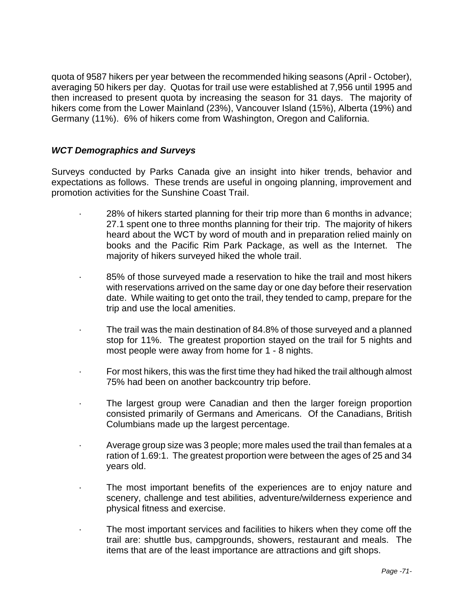quota of 9587 hikers per year between the recommended hiking seasons (April - October), averaging 50 hikers per day. Quotas for trail use were established at 7,956 until 1995 and then increased to present quota by increasing the season for 31 days. The majority of hikers come from the Lower Mainland (23%), Vancouver Island (15%), Alberta (19%) and Germany (11%). 6% of hikers come from Washington, Oregon and California.

### *WCT Demographics and Surveys*

Surveys conducted by Parks Canada give an insight into hiker trends, behavior and expectations as follows. These trends are useful in ongoing planning, improvement and promotion activities for the Sunshine Coast Trail.

- · 28% of hikers started planning for their trip more than 6 months in advance; 27.1 spent one to three months planning for their trip. The majority of hikers heard about the WCT by word of mouth and in preparation relied mainly on books and the Pacific Rim Park Package, as well as the Internet. The majority of hikers surveyed hiked the whole trail.
- 85% of those surveyed made a reservation to hike the trail and most hikers with reservations arrived on the same day or one day before their reservation date. While waiting to get onto the trail, they tended to camp, prepare for the trip and use the local amenities.
- The trail was the main destination of 84.8% of those surveyed and a planned stop for 11%. The greatest proportion stayed on the trail for 5 nights and most people were away from home for 1 - 8 nights.
- · For most hikers, this was the first time they had hiked the trail although almost 75% had been on another backcountry trip before.
- The largest group were Canadian and then the larger foreign proportion consisted primarily of Germans and Americans. Of the Canadians, British Columbians made up the largest percentage.
- · Average group size was 3 people; more males used the trail than females at a ration of 1.69:1. The greatest proportion were between the ages of 25 and 34 years old.
- The most important benefits of the experiences are to enjoy nature and scenery, challenge and test abilities, adventure/wilderness experience and physical fitness and exercise.
- The most important services and facilities to hikers when they come off the trail are: shuttle bus, campgrounds, showers, restaurant and meals. The items that are of the least importance are attractions and gift shops.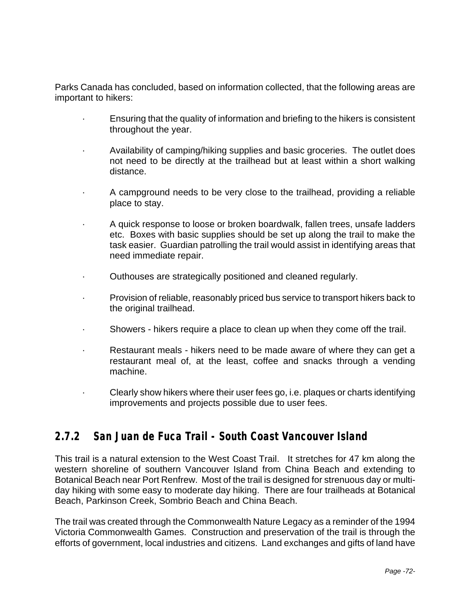Parks Canada has concluded, based on information collected, that the following areas are important to hikers:

- · Ensuring that the quality of information and briefing to the hikers is consistent throughout the year.
- · Availability of camping/hiking supplies and basic groceries. The outlet does not need to be directly at the trailhead but at least within a short walking distance.
- · A campground needs to be very close to the trailhead, providing a reliable place to stay.
- · A quick response to loose or broken boardwalk, fallen trees, unsafe ladders etc. Boxes with basic supplies should be set up along the trail to make the task easier. Guardian patrolling the trail would assist in identifying areas that need immediate repair.
- Outhouses are strategically positioned and cleaned regularly.
- · Provision of reliable, reasonably priced bus service to transport hikers back to the original trailhead.
- · Showers hikers require a place to clean up when they come off the trail.
- · Restaurant meals hikers need to be made aware of where they can get a restaurant meal of, at the least, coffee and snacks through a vending machine.
- · Clearly show hikers where their user fees go, i.e. plaques or charts identifying improvements and projects possible due to user fees.

### **2.7.2 San Juan de Fuca Trail - South Coast Vancouver Island**

This trail is a natural extension to the West Coast Trail. It stretches for 47 km along the western shoreline of southern Vancouver Island from China Beach and extending to Botanical Beach near Port Renfrew. Most of the trail is designed for strenuous day or multiday hiking with some easy to moderate day hiking. There are four trailheads at Botanical Beach, Parkinson Creek, Sombrio Beach and China Beach.

The trail was created through the Commonwealth Nature Legacy as a reminder of the 1994 Victoria Commonwealth Games. Construction and preservation of the trail is through the efforts of government, local industries and citizens. Land exchanges and gifts of land have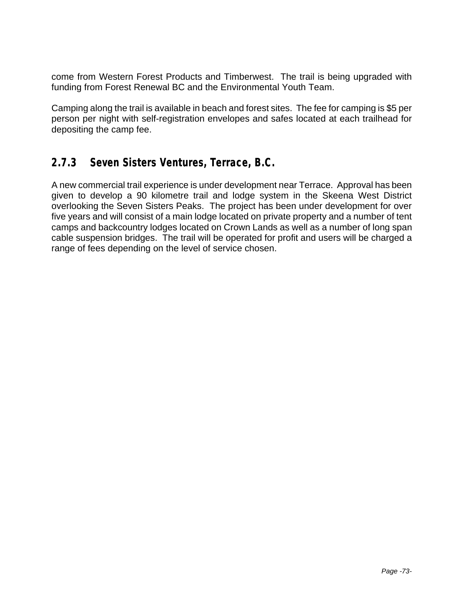come from Western Forest Products and Timberwest. The trail is being upgraded with funding from Forest Renewal BC and the Environmental Youth Team.

Camping along the trail is available in beach and forest sites. The fee for camping is \$5 per person per night with self-registration envelopes and safes located at each trailhead for depositing the camp fee.

## **2.7.3 Seven Sisters Ventures, Terrace, B.C.**

A new commercial trail experience is under development near Terrace. Approval has been given to develop a 90 kilometre trail and lodge system in the Skeena West District overlooking the Seven Sisters Peaks. The project has been under development for over five years and will consist of a main lodge located on private property and a number of tent camps and backcountry lodges located on Crown Lands as well as a number of long span cable suspension bridges. The trail will be operated for profit and users will be charged a range of fees depending on the level of service chosen.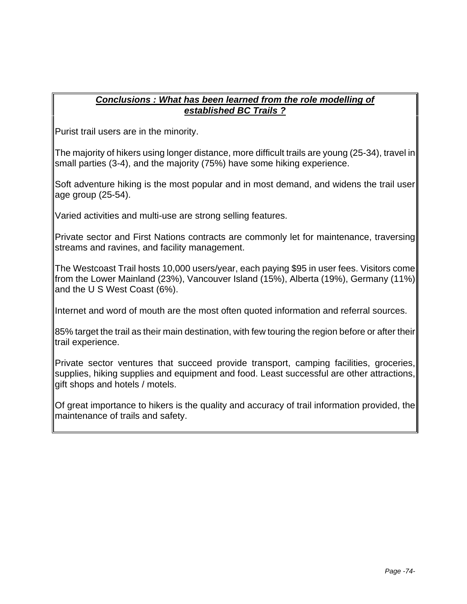### *Conclusions : What has been learned from the role modelling of established BC Trails ?*

Purist trail users are in the minority.

The majority of hikers using longer distance, more difficult trails are young (25-34), travel in small parties (3-4), and the majority (75%) have some hiking experience.

Soft adventure hiking is the most popular and in most demand, and widens the trail user age group (25-54).

Varied activities and multi-use are strong selling features.

Private sector and First Nations contracts are commonly let for maintenance, traversing streams and ravines, and facility management.

The Westcoast Trail hosts 10,000 users/year, each paying \$95 in user fees. Visitors come from the Lower Mainland (23%), Vancouver Island (15%), Alberta (19%), Germany (11%) and the U S West Coast (6%).

Internet and word of mouth are the most often quoted information and referral sources.

85% target the trail as their main destination, with few touring the region before or after their trail experience.

Private sector ventures that succeed provide transport, camping facilities, groceries, supplies, hiking supplies and equipment and food. Least successful are other attractions, gift shops and hotels / motels.

Of great importance to hikers is the quality and accuracy of trail information provided, the maintenance of trails and safety.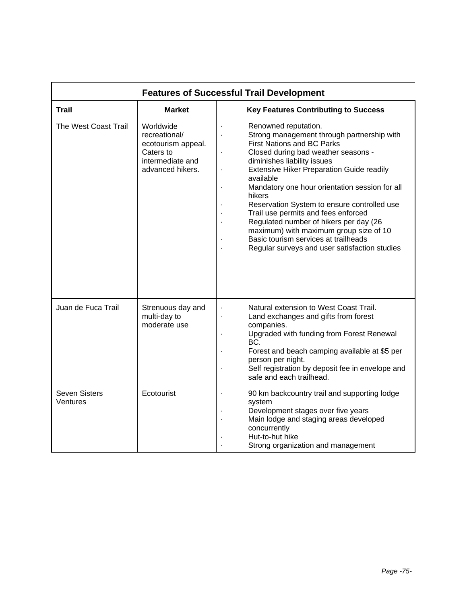| <b>Features of Successful Trail Development</b> |                                                                                                       |                                                                                                                                                                                                                                                                                                                                                                                                                                                                                                                                                                                                                   |
|-------------------------------------------------|-------------------------------------------------------------------------------------------------------|-------------------------------------------------------------------------------------------------------------------------------------------------------------------------------------------------------------------------------------------------------------------------------------------------------------------------------------------------------------------------------------------------------------------------------------------------------------------------------------------------------------------------------------------------------------------------------------------------------------------|
| Trail                                           | <b>Market</b>                                                                                         | <b>Key Features Contributing to Success</b>                                                                                                                                                                                                                                                                                                                                                                                                                                                                                                                                                                       |
| The West Coast Trail                            | Worldwide<br>recreational/<br>ecotourism appeal.<br>Caters to<br>intermediate and<br>advanced hikers. | Renowned reputation.<br>Strong management through partnership with<br><b>First Nations and BC Parks</b><br>Closed during bad weather seasons -<br>$\blacksquare$<br>diminishes liability issues<br><b>Extensive Hiker Preparation Guide readily</b><br>available<br>Mandatory one hour orientation session for all<br>$\blacksquare$<br>hikers<br>Reservation System to ensure controlled use<br>Trail use permits and fees enforced<br>Regulated number of hikers per day (26<br>maximum) with maximum group size of 10<br>Basic tourism services at trailheads<br>Regular surveys and user satisfaction studies |
| Juan de Fuca Trail                              | Strenuous day and<br>multi-day to<br>moderate use                                                     | Natural extension to West Coast Trail.<br>Land exchanges and gifts from forest<br>companies.<br>Upgraded with funding from Forest Renewal<br>BC.<br>Forest and beach camping available at \$5 per<br>person per night.<br>Self registration by deposit fee in envelope and<br>safe and each trailhead.                                                                                                                                                                                                                                                                                                            |
| Seven Sisters<br>Ventures                       | Ecotourist                                                                                            | 90 km backcountry trail and supporting lodge<br>system<br>Development stages over five years<br>Main lodge and staging areas developed<br>concurrently<br>Hut-to-hut hike<br>Strong organization and management                                                                                                                                                                                                                                                                                                                                                                                                   |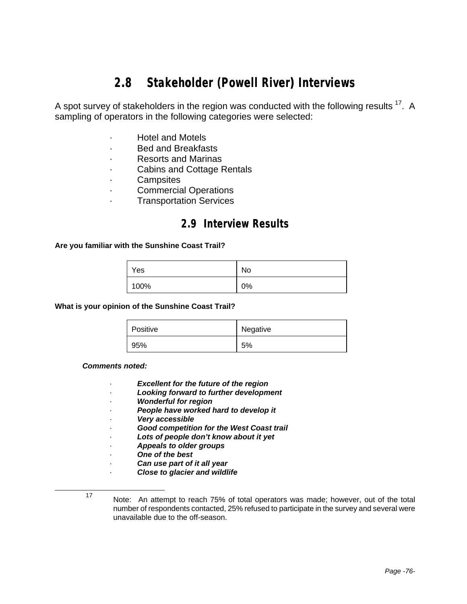## **2.8 Stakeholder (Powell River) Interviews**

A spot survey of stakeholders in the region was conducted with the following results  $^{17}$ . A sampling of operators in the following categories were selected:

- · Hotel and Motels
- · Bed and Breakfasts
- · Resorts and Marinas
- Cabins and Cottage Rentals
- · Campsites
- · Commercial Operations
- **Transportation Services**

### **2.9 Interview Results**

#### **Are you familiar with the Sunshine Coast Trail?**

| Yes  | No |
|------|----|
| 100% | 0% |

**What is your opinion of the Sunshine Coast Trail?**

| Positive | Negative |
|----------|----------|
| 95%      | 5%       |

#### *Comments noted:*

- **Excellent for the future of the region**
- · *Looking forward to further development*
- · *Wonderful for region*
- · *People have worked hard to develop it*
- · *Very accessible*
- · *Good competition for the West Coast trail*
- · *Lots of people don't know about it yet*
- · *Appeals to older groups*
- · *One of the best*
- · *Can use part of it all year*
- · *Close to glacier and wildlife*
- 

<sup>17</sup> Note: An attempt to reach 75% of total operators was made; however, out of the total number of respondents contacted, 25% refused to participate in the survey and several were unavailable due to the off-season.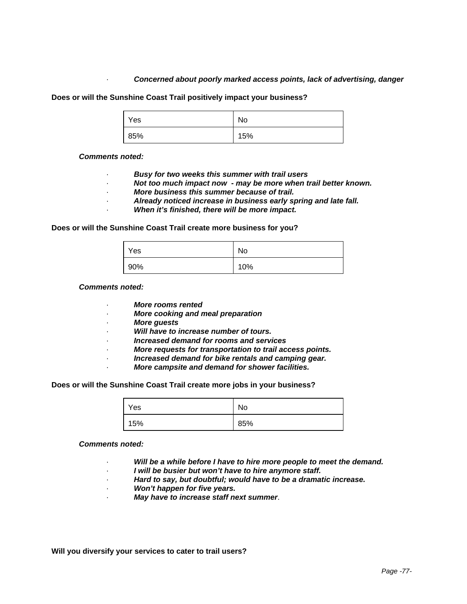#### · *Concerned about poorly marked access points, lack of advertising, danger*

**Does or will the Sunshine Coast Trail positively impact your business?**

| Yes | No  |
|-----|-----|
| 85% | 15% |

#### *Comments noted:*

- · *Busy for two weeks this summer with trail users*
- · *Not too much impact now may be more when trail better known.*
- · *More business this summer because of trail.*
- · *Already noticed increase in business early spring and late fall.*
- When it's finished, there will be more impact.

#### **Does or will the Sunshine Coast Trail create more business for you?**

| Yes | No  |
|-----|-----|
| 90% | 10% |

#### *Comments noted:*

- · *More rooms rented*
- · *More cooking and meal preparation*
- · *More guests*
- · *Will have to increase number of tours.*
- · *Increased demand for rooms and services*
- · *More requests for transportation to trail access points.*
- · *Increased demand for bike rentals and camping gear.*
- · *More campsite and demand for shower facilities.*

#### **Does or will the Sunshine Coast Trail create more jobs in your business?**

| Yes | No  |
|-----|-----|
| 15% | 85% |

#### *Comments noted:*

- Will be a while before I have to hire more people to meet the demand.
- · *I will be busier but won't have to hire anymore staff.*
- · *Hard to say, but doubtful; would have to be a dramatic increase.*
- · *Won't happen for five years.*
- · *May have to increase staff next summer*.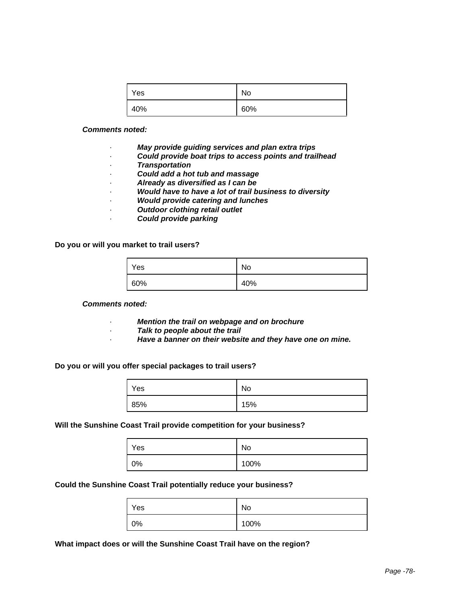| Yes | No  |
|-----|-----|
| 40% | 60% |

- · *May provide guiding services and plan extra trips*
- · *Could provide boat trips to access points and trailhead*
- · *Transportation*
- · *Could add a hot tub and massage*
- · *Already as diversified as I can be*
- · *Would have to have a lot of trail business to diversity*
- · *Would provide catering and lunches*
- · *Outdoor clothing retail outlet*
- · *Could provide parking*

**Do you or will you market to trail users?**

| Yes          | No  |
|--------------|-----|
| 60%<br>a ser | 40% |

#### *Comments noted:*

- · *Mention the trail on webpage and on brochure*
- · *Talk to people about the trail*
- · *Have a banner on their website and they have one on mine.*

#### **Do you or will you offer special packages to trail users?**

| Yes           | No  |
|---------------|-----|
| 85%<br>a kara | 15% |

#### **Will the Sunshine Coast Trail provide competition for your business?**

| Yes | No   |
|-----|------|
| 0%  | 100% |

#### **Could the Sunshine Coast Trail potentially reduce your business?**

| Yes | No   |
|-----|------|
| 0%  | 100% |

**What impact does or will the Sunshine Coast Trail have on the region?**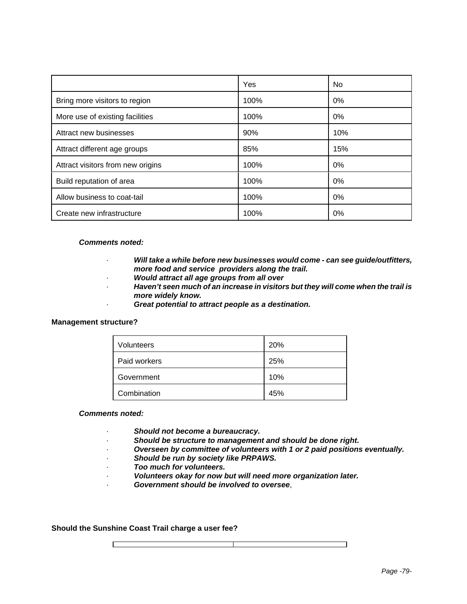|                                   | Yes  | No.   |
|-----------------------------------|------|-------|
| Bring more visitors to region     | 100% | $0\%$ |
| More use of existing facilities   | 100% | $0\%$ |
| Attract new businesses            | 90%  | 10%   |
| Attract different age groups      | 85%  | 15%   |
| Attract visitors from new origins | 100% | $0\%$ |
| Build reputation of area          | 100% | $0\%$ |
| Allow business to coat-tail       | 100% | $0\%$ |
| Create new infrastructure         | 100% | 0%    |

- · *Will take a while before new businesses would come can see guide/outfitters, more food and service providers along the trail.*
- · *Would attract all age groups from all over*
- · *Haven't seen much of an increase in visitors but they will come when the trail is more widely know.*
	- Great potential to attract people as a destination.

#### **Management structure?**

| Volunteers   | 20% |
|--------------|-----|
| Paid workers | 25% |
| Government   | 10% |
| Combination  | 45% |

#### *Comments noted:*

- · *Should not become a bureaucracy.*
- · *Should be structure to management and should be done right.*
- · *Overseen by committee of volunteers with 1 or 2 paid positions eventually.*
- · *Should be run by society like PRPAWS.*
- · *Too much for volunteers.*
- · *Volunteers okay for now but will need more organization later.*
- · *Government should be involved to oversee*,

#### **Should the Sunshine Coast Trail charge a user fee?**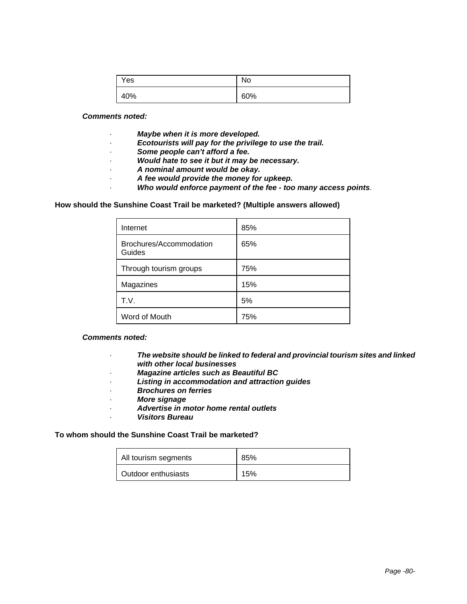| Yes | No  |
|-----|-----|
| 40% | 60% |

- · *Maybe when it is more developed.*
- Ecotourists will pay for the privilege to use the trail.
- · *Some people can't afford a fee.*
- · *Would hate to see it but it may be necessary.*
- · *A nominal amount would be okay.*
- · *A fee would provide the money for upkeep.*
	- · *Who would enforce payment of the fee too many access points*.

#### **How should the Sunshine Coast Trail be marketed? (Multiple answers allowed)**

| Internet                          | 85% |
|-----------------------------------|-----|
| Brochures/Accommodation<br>Guides | 65% |
| Through tourism groups            | 75% |
| Magazines                         | 15% |
| T.V.                              | 5%  |
| Word of Mouth                     | 75% |

#### *Comments noted:*

- · *The website should be linked to federal and provincial tourism sites and linked with other local businesses*
- · *Magazine articles such as Beautiful BC*
- · *Listing in accommodation and attraction guides*
- · *Brochures on ferries*
- · *More signage*
- · *Advertise in motor home rental outlets*
	- · *Visitors Bureau*

#### **To whom should the Sunshine Coast Trail be marketed?**

| All tourism segments | 85% |
|----------------------|-----|
| Outdoor enthusiasts  | 15% |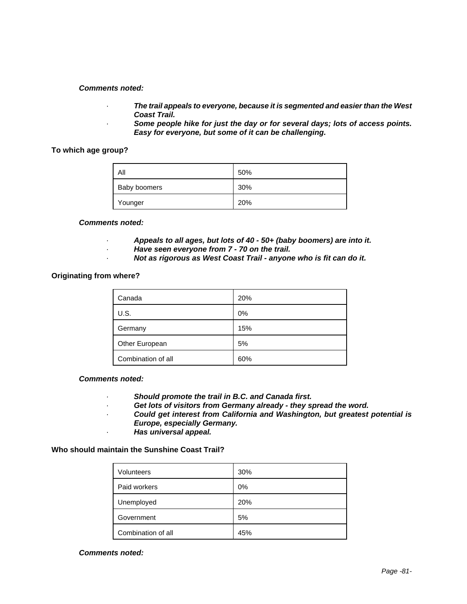- · *The trail appeals to everyone, because it is segmented and easier than the West Coast Trail.*
- · *Some people hike for just the day or for several days; lots of access points. Easy for everyone, but some of it can be challenging.*

#### **To which age group?**

| All          | 50% |
|--------------|-----|
| Baby boomers | 30% |
| Younger      | 20% |

#### *Comments noted:*

- · *Appeals to all ages, but lots of 40 50+ (baby boomers) are into it.*
- · *Have seen everyone from 7 70 on the trail.*
- · *Not as rigorous as West Coast Trail anyone who is fit can do it.*

#### **Originating from where?**

| Canada             | 20% |
|--------------------|-----|
| U.S.               | 0%  |
| Germany            | 15% |
| Other European     | 5%  |
| Combination of all | 60% |

#### *Comments noted:*

- · *Should promote the trail in B.C. and Canada first.*
- · *Get lots of visitors from Germany already they spread the word.*
- · *Could get interest from California and Washington, but greatest potential is Europe, especially Germany.*
- · *Has universal appeal.*

### **Who should maintain the Sunshine Coast Trail?**

| <b>Volunteers</b>  | 30% |
|--------------------|-----|
| Paid workers       | 0%  |
| Unemployed         | 20% |
| Government         | 5%  |
| Combination of all | 45% |

#### *Comments noted:*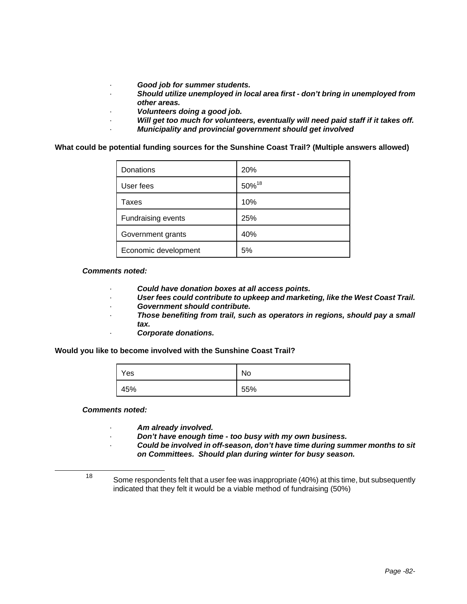- · *Good job for summer students.*
- · *Should utilize unemployed in local area first don't bring in unemployed from other areas.*
- · *Volunteers doing a good job.*
- · *Will get too much for volunteers, eventually will need paid staff if it takes off.*
- · *Municipality and provincial government should get involved*

**What could be potential funding sources for the Sunshine Coast Trail? (Multiple answers allowed)**

| Donations            | 20%               |
|----------------------|-------------------|
| User fees            | 50% <sup>18</sup> |
| Taxes                | 10%               |
| Fundraising events   | 25%               |
| Government grants    | 40%               |
| Economic development | 5%                |

#### *Comments noted:*

- · *Could have donation boxes at all access points.*
- · *User fees could contribute to upkeep and marketing, like the West Coast Trail.*
- · *Government should contribute.*
- · *Those benefiting from trail, such as operators in regions, should pay a small tax.*
	- · *Corporate donations.*

**Would you like to become involved with the Sunshine Coast Trail?**

| Yes | No  |
|-----|-----|
| 45% | 55% |

*Comments noted:*

- · *Am already involved.*
- · *Don't have enough time too busy with my own business.*
- · *Could be involved in off-season, don't have time during summer months to sit on Committees. Should plan during winter for busy season.*

1

<sup>&</sup>lt;sup>18</sup> Some respondents felt that a user fee was inappropriate (40%) at this time, but subsequently indicated that they felt it would be a viable method of fundraising (50%)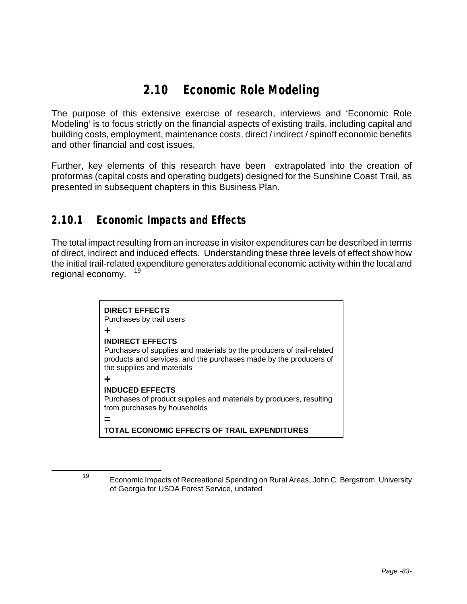## **2.10 Economic Role Modeling**

The purpose of this extensive exercise of research, interviews and 'Economic Role Modeling' is to focus strictly on the financial aspects of existing trails, including capital and building costs, employment, maintenance costs, direct / indirect / spinoff economic benefits and other financial and cost issues.

Further, key elements of this research have been extrapolated into the creation of proformas (capital costs and operating budgets) designed for the Sunshine Coast Trail, as presented in subsequent chapters in this Business Plan.

### **2.10.1 Economic Impacts and Effects**

The total impact resulting from an increase in visitor expenditures can be described in terms of direct, indirect and induced effects. Understanding these three levels of effect show how the initial trail-related expenditure generates additional economic activity within the local and regional economy.



<sup>19</sup> Economic Impacts of Recreational Spending on Rural Areas, John C. Bergstrom, University of Georgia for USDA Forest Service, undated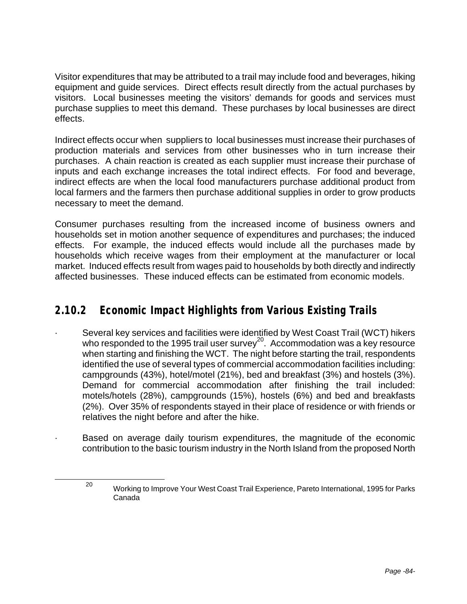Visitor expenditures that may be attributed to a trail may include food and beverages, hiking equipment and guide services. Direct effects result directly from the actual purchases by visitors. Local businesses meeting the visitors' demands for goods and services must purchase supplies to meet this demand. These purchases by local businesses are direct effects.

Indirect effects occur when suppliers to local businesses must increase their purchases of production materials and services from other businesses who in turn increase their purchases. A chain reaction is created as each supplier must increase their purchase of inputs and each exchange increases the total indirect effects. For food and beverage, indirect effects are when the local food manufacturers purchase additional product from local farmers and the farmers then purchase additional supplies in order to grow products necessary to meet the demand.

Consumer purchases resulting from the increased income of business owners and households set in motion another sequence of expenditures and purchases; the induced effects. For example, the induced effects would include all the purchases made by households which receive wages from their employment at the manufacturer or local market. Induced effects result from wages paid to households by both directly and indirectly affected businesses. These induced effects can be estimated from economic models.

## **2.10.2 Economic Impact Highlights from Various Existing Trails**

- Several key services and facilities were identified by West Coast Trail (WCT) hikers who responded to the 1995 trail user survey<sup>20</sup>. Accommodation was a key resource when starting and finishing the WCT. The night before starting the trail, respondents identified the use of several types of commercial accommodation facilities including: campgrounds (43%), hotel/motel (21%), bed and breakfast (3%) and hostels (3%). Demand for commercial accommodation after finishing the trail included: motels/hotels (28%), campgrounds (15%), hostels (6%) and bed and breakfasts (2%). Over 35% of respondents stayed in their place of residence or with friends or relatives the night before and after the hike.
- Based on average daily tourism expenditures, the magnitude of the economic contribution to the basic tourism industry in the North Island from the proposed North

<sup>&</sup>lt;sup>20</sup> Working to Improve Your West Coast Trail Experience, Pareto International, 1995 for Parks Canada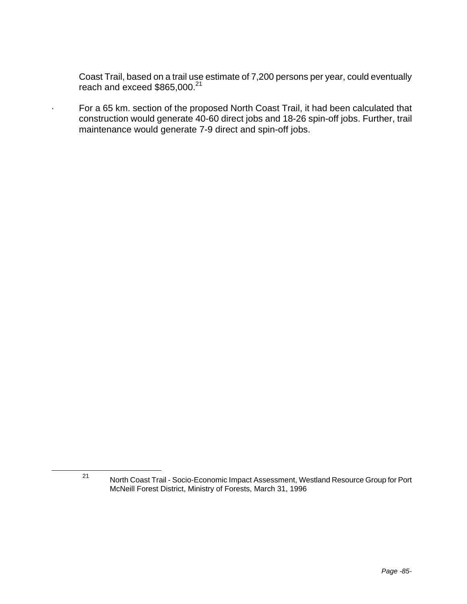Coast Trail, based on a trail use estimate of 7,200 persons per year, could eventually reach and exceed \$865,000.<sup>21</sup>

· For a 65 km. section of the proposed North Coast Trail, it had been calculated that construction would generate 40-60 direct jobs and 18-26 spin-off jobs. Further, trail maintenance would generate 7-9 direct and spin-off jobs.

<sup>21</sup> North Coast Trail - Socio-Economic Impact Assessment, Westland Resource Group for Port McNeill Forest District, Ministry of Forests, March 31, 1996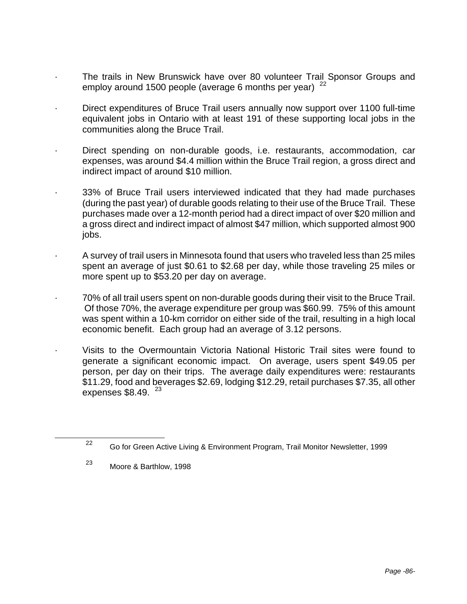- The trails in New Brunswick have over 80 volunteer Trail Sponsor Groups and employ around 1500 people (average 6 months per year)  $22$
- · Direct expenditures of Bruce Trail users annually now support over 1100 full-time equivalent jobs in Ontario with at least 191 of these supporting local jobs in the communities along the Bruce Trail.
- Direct spending on non-durable goods, i.e. restaurants, accommodation, car expenses, was around \$4.4 million within the Bruce Trail region, a gross direct and indirect impact of around \$10 million.
- · 33% of Bruce Trail users interviewed indicated that they had made purchases (during the past year) of durable goods relating to their use of the Bruce Trail. These purchases made over a 12-month period had a direct impact of over \$20 million and a gross direct and indirect impact of almost \$47 million, which supported almost 900 jobs.
- · A survey of trail users in Minnesota found that users who traveled less than 25 miles spent an average of just \$0.61 to \$2.68 per day, while those traveling 25 miles or more spent up to \$53.20 per day on average.
- · 70% of all trail users spent on non-durable goods during their visit to the Bruce Trail. Of those 70%, the average expenditure per group was \$60.99. 75% of this amount was spent within a 10-km corridor on either side of the trail, resulting in a high local economic benefit. Each group had an average of 3.12 persons.
- · Visits to the Overmountain Victoria National Historic Trail sites were found to generate a significant economic impact. On average, users spent \$49.05 per person, per day on their trips. The average daily expenditures were: restaurants \$11.29, food and beverages \$2.69, lodging \$12.29, retail purchases \$7.35, all other expenses  $$8.49.$   $^{23}$

<sup>23</sup> Moore & Barthlow, 1998

<sup>&</sup>lt;sup>22</sup> Go for Green Active Living & Environment Program, Trail Monitor Newsletter, 1999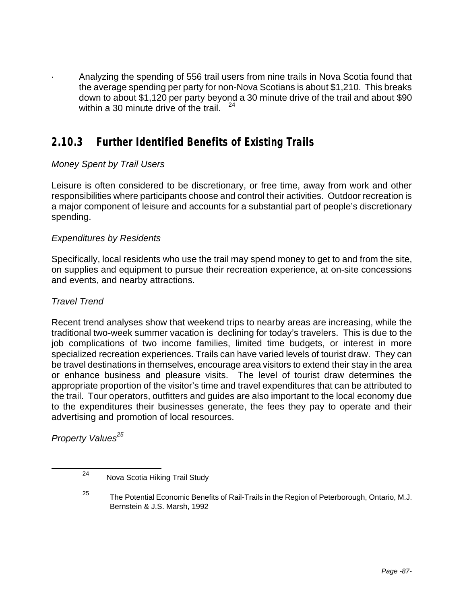· Analyzing the spending of 556 trail users from nine trails in Nova Scotia found that the average spending per party for non-Nova Scotians is about \$1,210. This breaks down to about \$1,120 per party beyond a 30 minute drive of the trail and about \$90 within a 30 minute drive of the trail.

## **2.10.3 Further Identified Benefits of Existing Trails**

### *Money Spent by Trail Users*

Leisure is often considered to be discretionary, or free time, away from work and other responsibilities where participants choose and control their activities. Outdoor recreation is a major component of leisure and accounts for a substantial part of people's discretionary spending.

### *Expenditures by Residents*

Specifically, local residents who use the trail may spend money to get to and from the site, on supplies and equipment to pursue their recreation experience, at on-site concessions and events, and nearby attractions.

### *Travel Trend*

Recent trend analyses show that weekend trips to nearby areas are increasing, while the traditional two-week summer vacation is declining for today's travelers. This is due to the job complications of two income families, limited time budgets, or interest in more specialized recreation experiences. Trails can have varied levels of tourist draw. They can be travel destinations in themselves, encourage area visitors to extend their stay in the area or enhance business and pleasure visits. The level of tourist draw determines the appropriate proportion of the visitor's time and travel expenditures that can be attributed to the trail. Tour operators, outfitters and guides are also important to the local economy due to the expenditures their businesses generate, the fees they pay to operate and their advertising and promotion of local resources.

*Property Values<sup>25</sup>*

<sup>24</sup> Nova Scotia Hiking Trail Study

<sup>&</sup>lt;sup>25</sup> The Potential Economic Benefits of Rail-Trails in the Region of Peterborough, Ontario, M.J. Bernstein & J.S. Marsh, 1992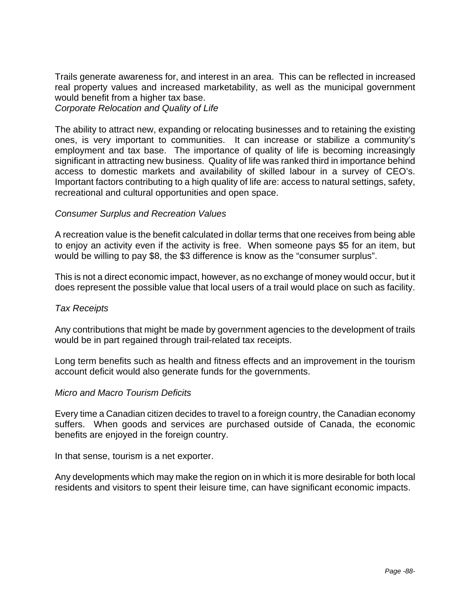Trails generate awareness for, and interest in an area. This can be reflected in increased real property values and increased marketability, as well as the municipal government would benefit from a higher tax base. *Corporate Relocation and Quality of Life*

The ability to attract new, expanding or relocating businesses and to retaining the existing ones, is very important to communities. It can increase or stabilize a community's employment and tax base. The importance of quality of life is becoming increasingly significant in attracting new business. Quality of life was ranked third in importance behind access to domestic markets and availability of skilled labour in a survey of CEO's. Important factors contributing to a high quality of life are: access to natural settings, safety, recreational and cultural opportunities and open space.

### *Consumer Surplus and Recreation Values*

A recreation value is the benefit calculated in dollar terms that one receives from being able to enjoy an activity even if the activity is free. When someone pays \$5 for an item, but would be willing to pay \$8, the \$3 difference is know as the "consumer surplus".

This is not a direct economic impact, however, as no exchange of money would occur, but it does represent the possible value that local users of a trail would place on such as facility.

### *Tax Receipts*

Any contributions that might be made by government agencies to the development of trails would be in part regained through trail-related tax receipts.

Long term benefits such as health and fitness effects and an improvement in the tourism account deficit would also generate funds for the governments.

### *Micro and Macro Tourism Deficits*

Every time a Canadian citizen decides to travel to a foreign country, the Canadian economy suffers. When goods and services are purchased outside of Canada, the economic benefits are enjoyed in the foreign country.

In that sense, tourism is a net exporter.

Any developments which may make the region on in which it is more desirable for both local residents and visitors to spent their leisure time, can have significant economic impacts.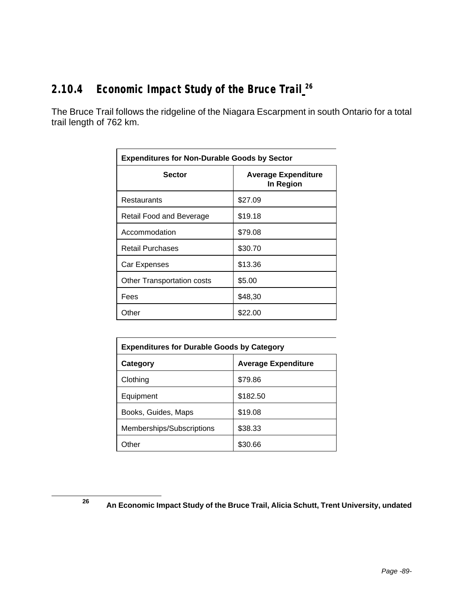## **2.10.4 Economic Impact Study of the Bruce Trail <sup>26</sup>**

The Bruce Trail follows the ridgeline of the Niagara Escarpment in south Ontario for a total trail length of 762 km.

| <b>Expenditures for Non-Durable Goods by Sector</b> |                                         |  |  |  |
|-----------------------------------------------------|-----------------------------------------|--|--|--|
| <b>Sector</b>                                       | <b>Average Expenditure</b><br>In Region |  |  |  |
| Restaurants                                         | \$27.09                                 |  |  |  |
| Retail Food and Beverage                            | \$19.18                                 |  |  |  |
| Accommodation                                       | \$79.08                                 |  |  |  |
| <b>Retail Purchases</b>                             | \$30.70                                 |  |  |  |
| Car Expenses                                        | \$13.36                                 |  |  |  |
| Other Transportation costs                          | \$5.00                                  |  |  |  |
| Fees                                                | \$48,30                                 |  |  |  |
| Other                                               | \$22.00                                 |  |  |  |

| <b>Expenditures for Durable Goods by Category</b> |          |  |  |  |
|---------------------------------------------------|----------|--|--|--|
| <b>Average Expenditure</b><br>Category            |          |  |  |  |
| Clothing                                          | \$79.86  |  |  |  |
| Equipment                                         | \$182.50 |  |  |  |
| Books, Guides, Maps                               | \$19.08  |  |  |  |
| Memberships/Subscriptions                         | \$38.33  |  |  |  |
| Other                                             | \$30.66  |  |  |  |

**<sup>26</sup> An Economic Impact Study of the Bruce Trail, Alicia Schutt, Trent University, undated**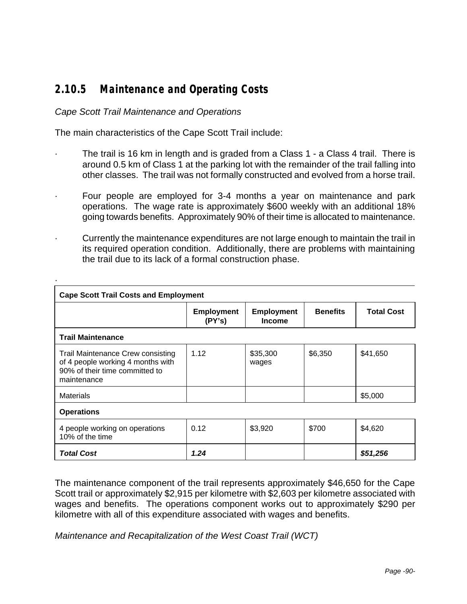## **2.10.5 Maintenance and Operating Costs**

### *Cape Scott Trail Maintenance and Operations*

·

The main characteristics of the Cape Scott Trail include:

- The trail is 16 km in length and is graded from a Class 1 a Class 4 trail. There is around 0.5 km of Class 1 at the parking lot with the remainder of the trail falling into other classes. The trail was not formally constructed and evolved from a horse trail.
- Four people are employed for 3-4 months a year on maintenance and park operations. The wage rate is approximately \$600 weekly with an additional 18% going towards benefits. Approximately 90% of their time is allocated to maintenance.
- Currently the maintenance expenditures are not large enough to maintain the trail in its required operation condition. Additionally, there are problems with maintaining the trail due to its lack of a formal construction phase.

| <b>Cape Scott Trail Costs and Employment</b>                                                                            |                             |                                    |                 |                   |  |  |
|-------------------------------------------------------------------------------------------------------------------------|-----------------------------|------------------------------------|-----------------|-------------------|--|--|
|                                                                                                                         | <b>Employment</b><br>(PY's) | <b>Employment</b><br><b>Income</b> | <b>Benefits</b> | <b>Total Cost</b> |  |  |
| <b>Trail Maintenance</b>                                                                                                |                             |                                    |                 |                   |  |  |
| Trail Maintenance Crew consisting<br>of 4 people working 4 months with<br>90% of their time committed to<br>maintenance | 1.12                        | \$35,300<br>wages                  | \$6,350         | \$41,650          |  |  |
| <b>Materials</b>                                                                                                        |                             |                                    |                 | \$5,000           |  |  |
| <b>Operations</b>                                                                                                       |                             |                                    |                 |                   |  |  |
| 4 people working on operations<br>10% of the time                                                                       | 0.12                        | \$3,920                            | \$700           | \$4,620           |  |  |
| <b>Total Cost</b>                                                                                                       | 1.24                        |                                    |                 | \$51,256          |  |  |

The maintenance component of the trail represents approximately \$46,650 for the Cape Scott trail or approximately \$2,915 per kilometre with \$2,603 per kilometre associated with wages and benefits. The operations component works out to approximately \$290 per kilometre with all of this expenditure associated with wages and benefits.

*Maintenance and Recapitalization of the West Coast Trail (WCT)*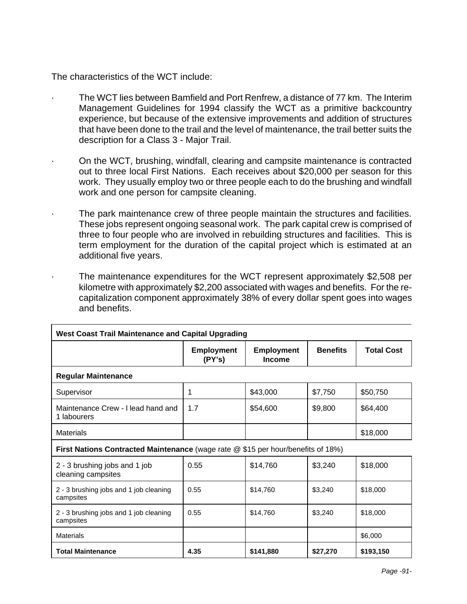The characteristics of the WCT include:

- The WCT lies between Bamfield and Port Renfrew, a distance of 77 km. The Interim Management Guidelines for 1994 classify the WCT as a primitive backcountry experience, but because of the extensive improvements and addition of structures that have been done to the trail and the level of maintenance, the trail better suits the description for a Class 3 - Major Trail.
- · On the WCT, brushing, windfall, clearing and campsite maintenance is contracted out to three local First Nations. Each receives about \$20,000 per season for this work. They usually employ two or three people each to do the brushing and windfall work and one person for campsite cleaning.
	- The park maintenance crew of three people maintain the structures and facilities. These jobs represent ongoing seasonal work. The park capital crew is comprised of three to four people who are involved in rebuilding structures and facilities. This is term employment for the duration of the capital project which is estimated at an additional five years.
	- The maintenance expenditures for the WCT represent approximately \$2,508 per kilometre with approximately \$2,200 associated with wages and benefits. For the recapitalization component approximately 38% of every dollar spent goes into wages and benefits.

| <b>West Coast Trail Maintenance and Capital Upgrading</b>                               |                             |                                    |                 |                   |  |
|-----------------------------------------------------------------------------------------|-----------------------------|------------------------------------|-----------------|-------------------|--|
|                                                                                         | <b>Employment</b><br>(PY's) | <b>Employment</b><br><b>Income</b> | <b>Benefits</b> | <b>Total Cost</b> |  |
| <b>Regular Maintenance</b>                                                              |                             |                                    |                 |                   |  |
| Supervisor                                                                              | 1                           | \$43,000                           | \$7,750         | \$50,750          |  |
| Maintenance Crew - I lead hand and<br>1 labourers                                       | 1.7                         | \$54,600                           | \$9,800         | \$64,400          |  |
| Materials                                                                               |                             |                                    |                 | \$18,000          |  |
| <b>First Nations Contracted Maintenance</b> (wage rate @ \$15 per hour/benefits of 18%) |                             |                                    |                 |                   |  |
| 2 - 3 brushing jobs and 1 job<br>cleaning campsites                                     | 0.55                        | \$14,760                           | \$3,240         | \$18,000          |  |
| 2 - 3 brushing jobs and 1 job cleaning<br>campsites                                     | 0.55                        | \$14,760                           | \$3,240         | \$18,000          |  |
| 2 - 3 brushing jobs and 1 job cleaning<br>campsites                                     | 0.55                        | \$14,760                           | \$3,240         | \$18,000          |  |
| Materials                                                                               |                             |                                    |                 | \$6,000           |  |
| <b>Total Maintenance</b>                                                                | 4.35                        | \$141,880                          | \$27,270        | \$193,150         |  |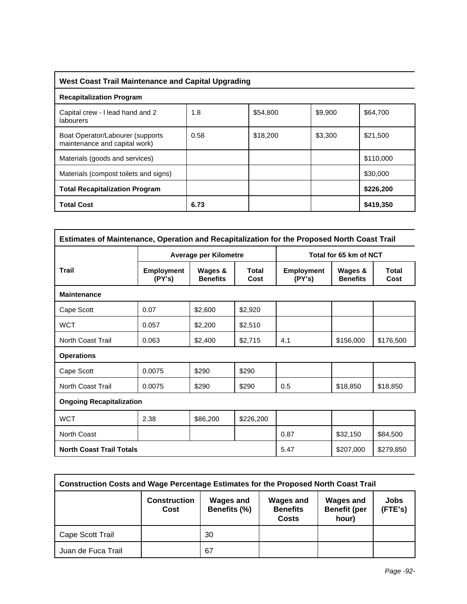### **West Coast Trail Maintenance and Capital Upgrading**

| <b>Recapitalization Program</b>                                    |      |          |         |           |  |  |
|--------------------------------------------------------------------|------|----------|---------|-----------|--|--|
| Capital crew - I lead hand and 2<br>labourers                      | 1.8  | \$54,800 | \$9,900 | \$64,700  |  |  |
| Boat Operator/Labourer (supports)<br>maintenance and capital work) | 0.58 | \$18,200 | \$3,300 | \$21,500  |  |  |
| Materials (goods and services)                                     |      |          |         | \$110,000 |  |  |
| Materials (compost toilets and signs)                              |      |          |         | \$30,000  |  |  |
| <b>Total Recapitalization Program</b>                              |      |          |         | \$226,200 |  |  |
| <b>Total Cost</b>                                                  | 6.73 |          |         | \$419,350 |  |  |

| Estimates of Maintenance, Operation and Recapitalization for the Proposed North Coast Trail |                             |                            |               |                             |                            |                      |  |
|---------------------------------------------------------------------------------------------|-----------------------------|----------------------------|---------------|-----------------------------|----------------------------|----------------------|--|
|                                                                                             |                             | Average per Kilometre      |               |                             | Total for 65 km of NCT     |                      |  |
| <b>Trail</b>                                                                                | <b>Employment</b><br>(PY's) | Wages &<br><b>Benefits</b> | Total<br>Cost | <b>Employment</b><br>(PY's) | Wages &<br><b>Benefits</b> | <b>Total</b><br>Cost |  |
| <b>Maintenance</b>                                                                          |                             |                            |               |                             |                            |                      |  |
| Cape Scott                                                                                  | 0.07                        | \$2,600                    | \$2,920       |                             |                            |                      |  |
| <b>WCT</b>                                                                                  | 0.057                       | \$2,200                    | \$2,510       |                             |                            |                      |  |
| <b>North Coast Trail</b>                                                                    | 0.063                       | \$2,400                    | \$2,715       | 4.1                         | \$156,000                  | \$176,500            |  |
| <b>Operations</b>                                                                           |                             |                            |               |                             |                            |                      |  |
| Cape Scott                                                                                  | 0.0075                      | \$290                      | \$290         |                             |                            |                      |  |
| <b>North Coast Trail</b>                                                                    | 0.0075                      | \$290                      | \$290         | 0.5                         | \$18,850                   | \$18,850             |  |
| <b>Ongoing Recapitalization</b>                                                             |                             |                            |               |                             |                            |                      |  |
| <b>WCT</b>                                                                                  | 2.38                        | \$86,200                   | \$226,200     |                             |                            |                      |  |
| North Coast                                                                                 |                             |                            |               | 0.87                        | \$32,150                   | \$84,500             |  |
| <b>North Coast Trail Totals</b>                                                             |                             |                            |               | 5.47                        | \$207,000                  | \$279,850            |  |

| <b>Construction Costs and Wage Percentage Estimates for the Proposed North Coast Trail</b> |                             |                                  |                                                     |                                                  |                 |
|--------------------------------------------------------------------------------------------|-----------------------------|----------------------------------|-----------------------------------------------------|--------------------------------------------------|-----------------|
|                                                                                            | <b>Construction</b><br>Cost | <b>Wages and</b><br>Benefits (%) | <b>Wages and</b><br><b>Benefits</b><br><b>Costs</b> | <b>Wages and</b><br><b>Benefit (per</b><br>hour) | Jobs<br>(FTE's) |
| Cape Scott Trail                                                                           |                             | 30                               |                                                     |                                                  |                 |
| Juan de Fuca Trail                                                                         |                             | 67                               |                                                     |                                                  |                 |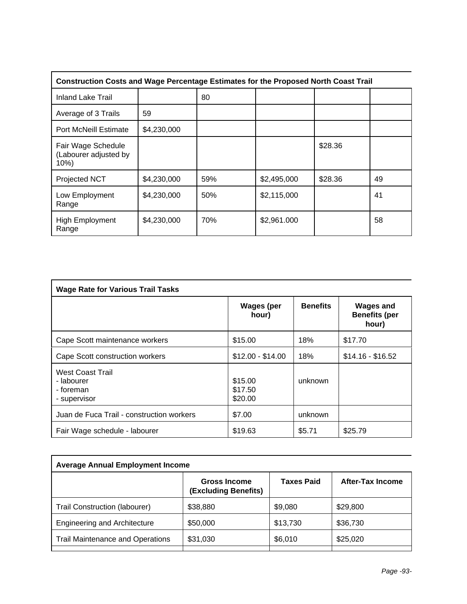| <b>Construction Costs and Wage Percentage Estimates for the Proposed North Coast Trail</b> |             |     |             |         |    |  |
|--------------------------------------------------------------------------------------------|-------------|-----|-------------|---------|----|--|
| <b>Inland Lake Trail</b>                                                                   |             | 80  |             |         |    |  |
| Average of 3 Trails                                                                        | 59          |     |             |         |    |  |
| <b>Port McNeill Estimate</b>                                                               | \$4,230,000 |     |             |         |    |  |
| Fair Wage Schedule<br>(Labourer adjusted by<br>10%                                         |             |     |             | \$28.36 |    |  |
| <b>Projected NCT</b>                                                                       | \$4,230,000 | 59% | \$2,495,000 | \$28.36 | 49 |  |
| Low Employment<br>Range                                                                    | \$4,230,000 | 50% | \$2,115,000 |         | 41 |  |
| <b>High Employment</b><br>Range                                                            | \$4,230,000 | 70% | \$2,961.000 |         | 58 |  |

| <b>Wage Rate for Various Trail Tasks</b>                           |                               |                 |                                                   |  |  |
|--------------------------------------------------------------------|-------------------------------|-----------------|---------------------------------------------------|--|--|
|                                                                    | <b>Wages (per</b><br>hour)    | <b>Benefits</b> | <b>Wages and</b><br><b>Benefits (per</b><br>hour) |  |  |
| Cape Scott maintenance workers                                     | \$15.00                       | 18%             | \$17.70                                           |  |  |
| Cape Scott construction workers                                    | $$12.00 - $14.00$             | 18%             | $$14.16 - $16.52$                                 |  |  |
| <b>West Coast Trail</b><br>- labourer<br>- foreman<br>- supervisor | \$15.00<br>\$17.50<br>\$20.00 | unknown         |                                                   |  |  |
| Juan de Fuca Trail - construction workers                          | \$7.00                        | unknown         |                                                   |  |  |
| Fair Wage schedule - labourer                                      | \$19.63                       | \$5.71          | \$25.79                                           |  |  |

| <b>Average Annual Employment Income</b> |                                             |                   |                  |  |  |  |
|-----------------------------------------|---------------------------------------------|-------------------|------------------|--|--|--|
|                                         | <b>Gross Income</b><br>(Excluding Benefits) | <b>Taxes Paid</b> | After-Tax Income |  |  |  |
| Trail Construction (labourer)           | \$38,880                                    | \$9,080           | \$29,800         |  |  |  |
| <b>Engineering and Architecture</b>     | \$50,000                                    | \$13,730          | \$36,730         |  |  |  |
| <b>Trail Maintenance and Operations</b> | \$31,030                                    | \$6,010           | \$25,020         |  |  |  |
|                                         |                                             |                   |                  |  |  |  |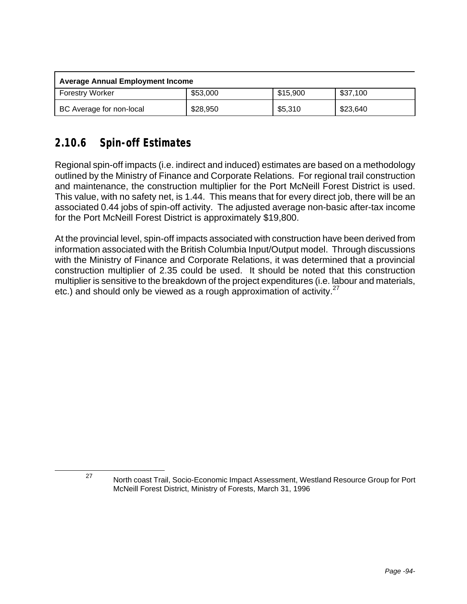| Average Annual Employment Income |          |          |          |  |  |  |
|----------------------------------|----------|----------|----------|--|--|--|
| <b>Forestry Worker</b>           | \$53,000 | \$15,900 | \$37,100 |  |  |  |
| BC Average for non-local         | \$28,950 | \$5,310  | \$23,640 |  |  |  |

## **2.10.6 Spin-off Estimates**

Regional spin-off impacts (i.e. indirect and induced) estimates are based on a methodology outlined by the Ministry of Finance and Corporate Relations. For regional trail construction and maintenance, the construction multiplier for the Port McNeill Forest District is used. This value, with no safety net, is 1.44. This means that for every direct job, there will be an associated 0.44 jobs of spin-off activity. The adjusted average non-basic after-tax income for the Port McNeill Forest District is approximately \$19,800.

At the provincial level, spin-off impacts associated with construction have been derived from information associated with the British Columbia Input/Output model. Through discussions with the Ministry of Finance and Corporate Relations, it was determined that a provincial construction multiplier of 2.35 could be used. It should be noted that this construction multiplier is sensitive to the breakdown of the project expenditures (i.e. labour and materials, etc.) and should only be viewed as a rough approximation of activity. $27$ 

<sup>27</sup> North coast Trail, Socio-Economic Impact Assessment, Westland Resource Group for Port McNeill Forest District, Ministry of Forests, March 31, 1996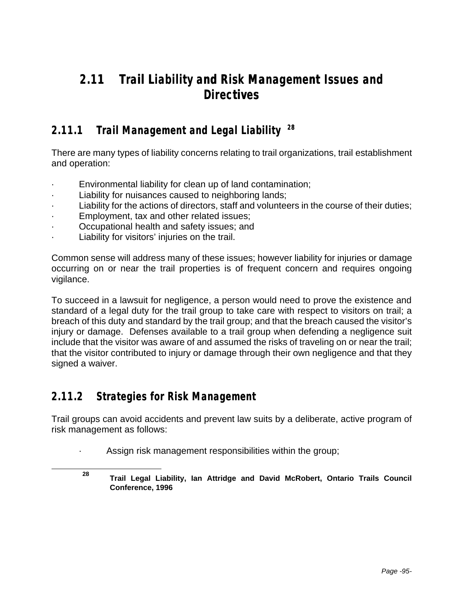## **2.11 Trail Liability and Risk Management Issues and Directives**

## **2.11.1 Trail Management and Legal Liability <sup>28</sup>**

There are many types of liability concerns relating to trail organizations, trail establishment and operation:

- · Environmental liability for clean up of land contamination;
- Liability for nuisances caused to neighboring lands;
- Liability for the actions of directors, staff and volunteers in the course of their duties;
- Employment, tax and other related issues;
- Occupational health and safety issues; and
- Liability for visitors' injuries on the trail.

Common sense will address many of these issues; however liability for injuries or damage occurring on or near the trail properties is of frequent concern and requires ongoing vigilance.

To succeed in a lawsuit for negligence, a person would need to prove the existence and standard of a legal duty for the trail group to take care with respect to visitors on trail; a breach of this duty and standard by the trail group; and that the breach caused the visitor's injury or damage. Defenses available to a trail group when defending a negligence suit include that the visitor was aware of and assumed the risks of traveling on or near the trail; that the visitor contributed to injury or damage through their own negligence and that they signed a waiver.

### **2.11.2 Strategies for Risk Management**

l

Trail groups can avoid accidents and prevent law suits by a deliberate, active program of risk management as follows:

Assign risk management responsibilities within the group;

**<sup>28</sup> Trail Legal Liability, Ian Attridge and David McRobert, Ontario Trails Council Conference, 1996**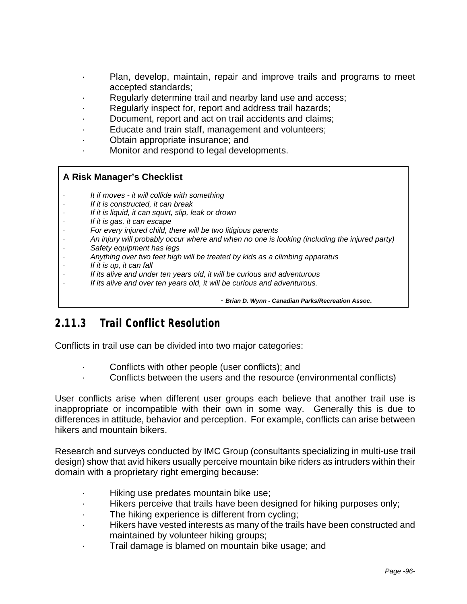- Plan, develop, maintain, repair and improve trails and programs to meet accepted standards;
- · Regularly determine trail and nearby land use and access;
- Regularly inspect for, report and address trail hazards;
- Document, report and act on trail accidents and claims;
- · Educate and train staff, management and volunteers;
- · Obtain appropriate insurance; and
- · Monitor and respond to legal developments.

### **A Risk Manager's Checklist**

- · *It if moves it will collide with something*
- · *If it is constructed, it can break*
- If it is liquid, it can squirt, slip, leak or drown
- · *If it is gas, it can escape*
- · *For every injured child, there will be two litigious parents*
- · *An injury will probably occur where and when no one is looking (including the injured party)*
- · *Safety equipment has legs*
- · *Anything over two feet high will be treated by kids as a climbing apparatus*
- · *If it is up, it can fall*
- · *If its alive and under ten years old, it will be curious and adventurous*
- If its alive and over ten years old, it will be curious and adventurous.

- *Brian D. Wynn - Canadian Parks/Recreation Assoc***.**

## **2.11.3 Trail Conflict Resolution**

Conflicts in trail use can be divided into two major categories:

- Conflicts with other people (user conflicts); and
- Conflicts between the users and the resource (environmental conflicts)

User conflicts arise when different user groups each believe that another trail use is inappropriate or incompatible with their own in some way. Generally this is due to differences in attitude, behavior and perception. For example, conflicts can arise between hikers and mountain bikers.

Research and surveys conducted by IMC Group (consultants specializing in multi-use trail design) show that avid hikers usually perceive mountain bike riders as intruders within their domain with a proprietary right emerging because:

- · Hiking use predates mountain bike use;
- Hikers perceive that trails have been designed for hiking purposes only;
- The hiking experience is different from cycling;
- · Hikers have vested interests as many of the trails have been constructed and maintained by volunteer hiking groups;
- Trail damage is blamed on mountain bike usage; and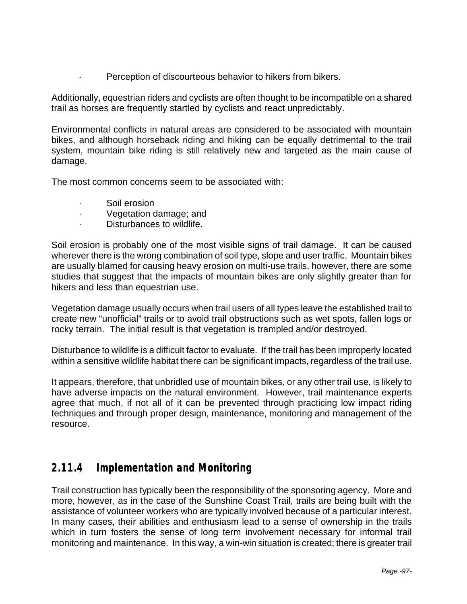Perception of discourteous behavior to hikers from bikers.

Additionally, equestrian riders and cyclists are often thought to be incompatible on a shared trail as horses are frequently startled by cyclists and react unpredictably.

Environmental conflicts in natural areas are considered to be associated with mountain bikes, and although horseback riding and hiking can be equally detrimental to the trail system, mountain bike riding is still relatively new and targeted as the main cause of damage.

The most common concerns seem to be associated with:

- · Soil erosion
- Vegetation damage; and
- Disturbances to wildlife.

Soil erosion is probably one of the most visible signs of trail damage. It can be caused wherever there is the wrong combination of soil type, slope and user traffic. Mountain bikes are usually blamed for causing heavy erosion on multi-use trails, however, there are some studies that suggest that the impacts of mountain bikes are only slightly greater than for hikers and less than equestrian use.

Vegetation damage usually occurs when trail users of all types leave the established trail to create new "unofficial" trails or to avoid trail obstructions such as wet spots, fallen logs or rocky terrain. The initial result is that vegetation is trampled and/or destroyed.

Disturbance to wildlife is a difficult factor to evaluate. If the trail has been improperly located within a sensitive wildlife habitat there can be significant impacts, regardless of the trail use.

It appears, therefore, that unbridled use of mountain bikes, or any other trail use, is likely to have adverse impacts on the natural environment. However, trail maintenance experts agree that much, if not all of it can be prevented through practicing low impact riding techniques and through proper design, maintenance, monitoring and management of the resource.

### **2.11.4 Implementation and Monitoring**

Trail construction has typically been the responsibility of the sponsoring agency. More and more, however, as in the case of the Sunshine Coast Trail, trails are being built with the assistance of volunteer workers who are typically involved because of a particular interest. In many cases, their abilities and enthusiasm lead to a sense of ownership in the trails which in turn fosters the sense of long term involvement necessary for informal trail monitoring and maintenance. In this way, a win-win situation is created; there is greater trail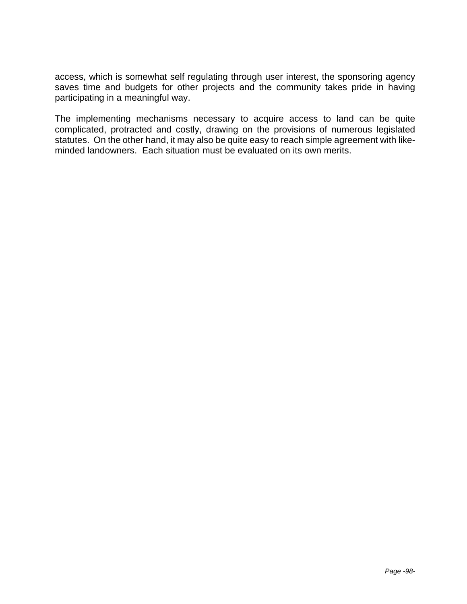access, which is somewhat self regulating through user interest, the sponsoring agency saves time and budgets for other projects and the community takes pride in having participating in a meaningful way.

The implementing mechanisms necessary to acquire access to land can be quite complicated, protracted and costly, drawing on the provisions of numerous legislated statutes. On the other hand, it may also be quite easy to reach simple agreement with likeminded landowners. Each situation must be evaluated on its own merits.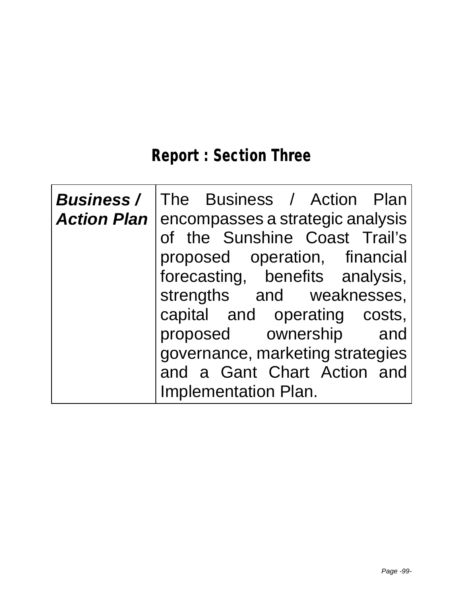# **Report : Section Three**

| <b>Action Plan  </b> | <b>Business /   The Business / Action Plan</b><br>encompasses a strategic analysis<br>of the Sunshine Coast Trail's<br>proposed operation, financial<br>forecasting, benefits analysis, |
|----------------------|-----------------------------------------------------------------------------------------------------------------------------------------------------------------------------------------|
|                      | strengths and weaknesses,<br>capital and operating costs,<br>proposed ownership and<br>governance, marketing strategies<br>and a Gant Chart Action and<br><b>Implementation Plan.</b>   |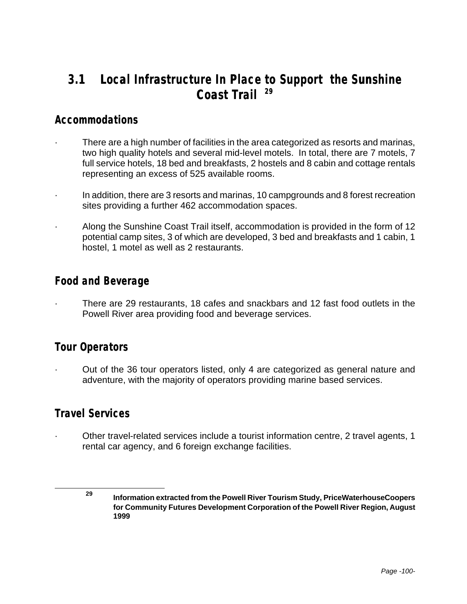## **3.1 Local Infrastructure In Place to Support the Sunshine Coast Trail <sup>29</sup>**

### **Accommodations**

- There are a high number of facilities in the area categorized as resorts and marinas, two high quality hotels and several mid-level motels. In total, there are 7 motels, 7 full service hotels, 18 bed and breakfasts, 2 hostels and 8 cabin and cottage rentals representing an excess of 525 available rooms.
- · In addition, there are 3 resorts and marinas, 10 campgrounds and 8 forest recreation sites providing a further 462 accommodation spaces.
- · Along the Sunshine Coast Trail itself, accommodation is provided in the form of 12 potential camp sites, 3 of which are developed, 3 bed and breakfasts and 1 cabin, 1 hostel, 1 motel as well as 2 restaurants.

### **Food and Beverage**

· There are 29 restaurants, 18 cafes and snackbars and 12 fast food outlets in the Powell River area providing food and beverage services.

### **Tour Operators**

· Out of the 36 tour operators listed, only 4 are categorized as general nature and adventure, with the majority of operators providing marine based services.

### **Travel Services**

Other travel-related services include a tourist information centre, 2 travel agents, 1 rental car agency, and 6 foreign exchange facilities.

**<sup>29</sup> Information extracted from the Powell River Tourism Study, PriceWaterhouseCoopers for Community Futures Development Corporation of the Powell River Region, August 1999**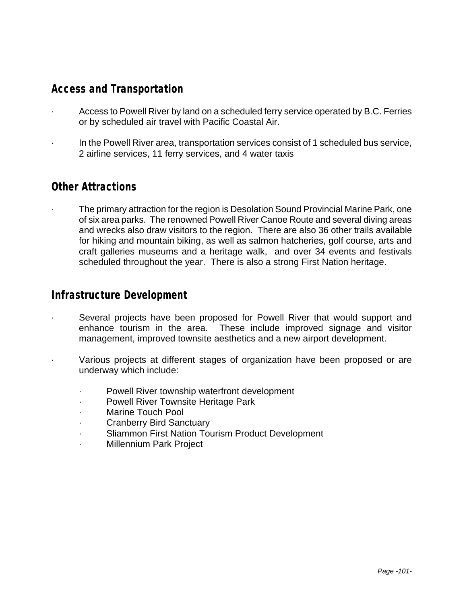## **Access and Transportation**

- Access to Powell River by land on a scheduled ferry service operated by B.C. Ferries or by scheduled air travel with Pacific Coastal Air.
- · In the Powell River area, transportation services consist of 1 scheduled bus service, 2 airline services, 11 ferry services, and 4 water taxis

### **Other Attractions**

The primary attraction for the region is Desolation Sound Provincial Marine Park, one of six area parks. The renowned Powell River Canoe Route and several diving areas and wrecks also draw visitors to the region. There are also 36 other trails available for hiking and mountain biking, as well as salmon hatcheries, golf course, arts and craft galleries museums and a heritage walk, and over 34 events and festivals scheduled throughout the year. There is also a strong First Nation heritage.

### **Infrastructure Development**

- Several projects have been proposed for Powell River that would support and enhance tourism in the area. These include improved signage and visitor management, improved townsite aesthetics and a new airport development.
- Various projects at different stages of organization have been proposed or are underway which include:
	- Powell River township waterfront development
	- Powell River Townsite Heritage Park
	- Marine Touch Pool
	- · Cranberry Bird Sanctuary
	- Sliammon First Nation Tourism Product Development
	- · Millennium Park Project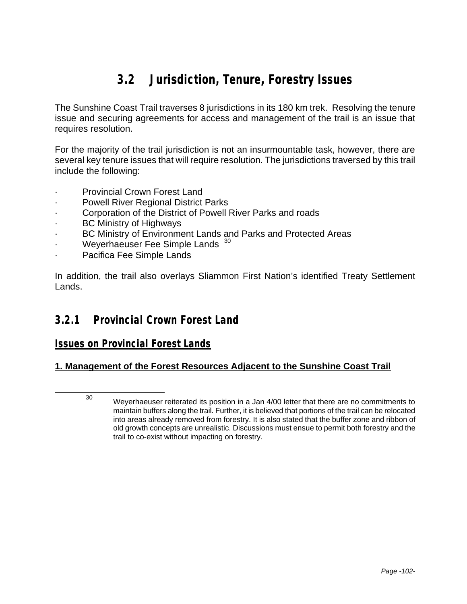# **3.2 Jurisdiction, Tenure, Forestry Issues**

The Sunshine Coast Trail traverses 8 jurisdictions in its 180 km trek. Resolving the tenure issue and securing agreements for access and management of the trail is an issue that requires resolution.

For the majority of the trail jurisdiction is not an insurmountable task, however, there are several key tenure issues that will require resolution. The jurisdictions traversed by this trail include the following:

- Provincial Crown Forest Land
- Powell River Regional District Parks
- Corporation of the District of Powell River Parks and roads
- BC Ministry of Highways
- BC Ministry of Environment Lands and Parks and Protected Areas
- Weyerhaeuser Fee Simple Lands 30
- · Pacifica Fee Simple Lands

In addition, the trail also overlays Sliammon First Nation's identified Treaty Settlement Lands.

### **3.2.1 Provincial Crown Forest Land**

#### *Issues on Provincial Forest Lands*

#### **1. Management of the Forest Resources Adjacent to the Sunshine Coast Trail**

l

<sup>30</sup> Weyerhaeuser reiterated its position in a Jan 4/00 letter that there are no commitments to maintain buffers along the trail. Further, it is believed that portions of the trail can be relocated into areas already removed from forestry. It is also stated that the buffer zone and ribbon of old growth concepts are unrealistic. Discussions must ensue to permit both forestry and the trail to co-exist without impacting on forestry.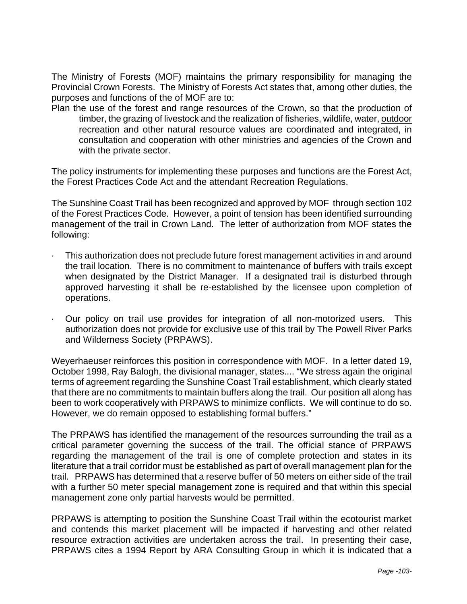The Ministry of Forests (MOF) maintains the primary responsibility for managing the Provincial Crown Forests. The Ministry of Forests Act states that, among other duties, the purposes and functions of the of MOF are to:

Plan the use of the forest and range resources of the Crown, so that the production of timber, the grazing of livestock and the realization of fisheries, wildlife, water, outdoor recreation and other natural resource values are coordinated and integrated, in consultation and cooperation with other ministries and agencies of the Crown and with the private sector.

The policy instruments for implementing these purposes and functions are the Forest Act, the Forest Practices Code Act and the attendant Recreation Regulations.

The Sunshine Coast Trail has been recognized and approved by MOF through section 102 of the Forest Practices Code. However, a point of tension has been identified surrounding management of the trail in Crown Land. The letter of authorization from MOF states the following:

- · This authorization does not preclude future forest management activities in and around the trail location. There is no commitment to maintenance of buffers with trails except when designated by the District Manager. If a designated trail is disturbed through approved harvesting it shall be re-established by the licensee upon completion of operations.
- · Our policy on trail use provides for integration of all non-motorized users. This authorization does not provide for exclusive use of this trail by The Powell River Parks and Wilderness Society (PRPAWS).

Weyerhaeuser reinforces this position in correspondence with MOF. In a letter dated 19, October 1998, Ray Balogh, the divisional manager, states.... "We stress again the original terms of agreement regarding the Sunshine Coast Trail establishment, which clearly stated that there are no commitments to maintain buffers along the trail. Our position all along has been to work cooperatively with PRPAWS to minimize conflicts. We will continue to do so. However, we do remain opposed to establishing formal buffers."

The PRPAWS has identified the management of the resources surrounding the trail as a critical parameter governing the success of the trail. The official stance of PRPAWS regarding the management of the trail is one of complete protection and states in its literature that a trail corridor must be established as part of overall management plan for the trail. PRPAWS has determined that a reserve buffer of 50 meters on either side of the trail with a further 50 meter special management zone is required and that within this special management zone only partial harvests would be permitted.

PRPAWS is attempting to position the Sunshine Coast Trail within the ecotourist market and contends this market placement will be impacted if harvesting and other related resource extraction activities are undertaken across the trail. In presenting their case, PRPAWS cites a 1994 Report by ARA Consulting Group in which it is indicated that a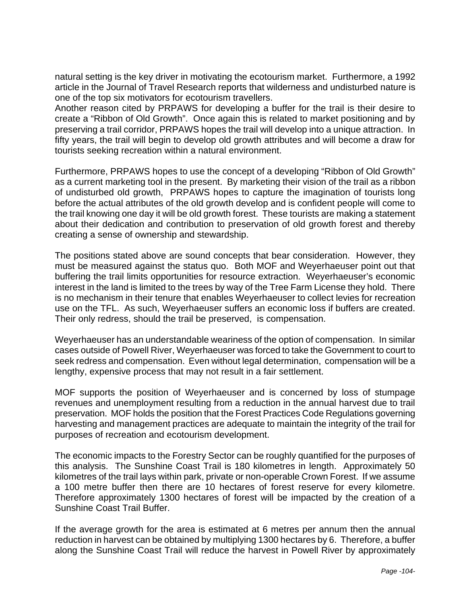natural setting is the key driver in motivating the ecotourism market. Furthermore, a 1992 article in the Journal of Travel Research reports that wilderness and undisturbed nature is one of the top six motivators for ecotourism travellers.

Another reason cited by PRPAWS for developing a buffer for the trail is their desire to create a "Ribbon of Old Growth". Once again this is related to market positioning and by preserving a trail corridor, PRPAWS hopes the trail will develop into a unique attraction. In fifty years, the trail will begin to develop old growth attributes and will become a draw for tourists seeking recreation within a natural environment.

Furthermore, PRPAWS hopes to use the concept of a developing "Ribbon of Old Growth" as a current marketing tool in the present. By marketing their vision of the trail as a ribbon of undisturbed old growth, PRPAWS hopes to capture the imagination of tourists long before the actual attributes of the old growth develop and is confident people will come to the trail knowing one day it will be old growth forest. These tourists are making a statement about their dedication and contribution to preservation of old growth forest and thereby creating a sense of ownership and stewardship.

The positions stated above are sound concepts that bear consideration. However, they must be measured against the status quo. Both MOF and Weyerhaeuser point out that buffering the trail limits opportunities for resource extraction. Weyerhaeuser's economic interest in the land is limited to the trees by way of the Tree Farm License they hold. There is no mechanism in their tenure that enables Weyerhaeuser to collect levies for recreation use on the TFL. As such, Weyerhaeuser suffers an economic loss if buffers are created. Their only redress, should the trail be preserved, is compensation.

Weyerhaeuser has an understandable weariness of the option of compensation. In similar cases outside of Powell River, Weyerhaeuser was forced to take the Government to court to seek redress and compensation. Even without legal determination, compensation will be a lengthy, expensive process that may not result in a fair settlement.

MOF supports the position of Weyerhaeuser and is concerned by loss of stumpage revenues and unemployment resulting from a reduction in the annual harvest due to trail preservation. MOF holds the position that the Forest Practices Code Regulations governing harvesting and management practices are adequate to maintain the integrity of the trail for purposes of recreation and ecotourism development.

The economic impacts to the Forestry Sector can be roughly quantified for the purposes of this analysis. The Sunshine Coast Trail is 180 kilometres in length. Approximately 50 kilometres of the trail lays within park, private or non-operable Crown Forest. If we assume a 100 metre buffer then there are 10 hectares of forest reserve for every kilometre. Therefore approximately 1300 hectares of forest will be impacted by the creation of a Sunshine Coast Trail Buffer.

If the average growth for the area is estimated at 6 metres per annum then the annual reduction in harvest can be obtained by multiplying 1300 hectares by 6. Therefore, a buffer along the Sunshine Coast Trail will reduce the harvest in Powell River by approximately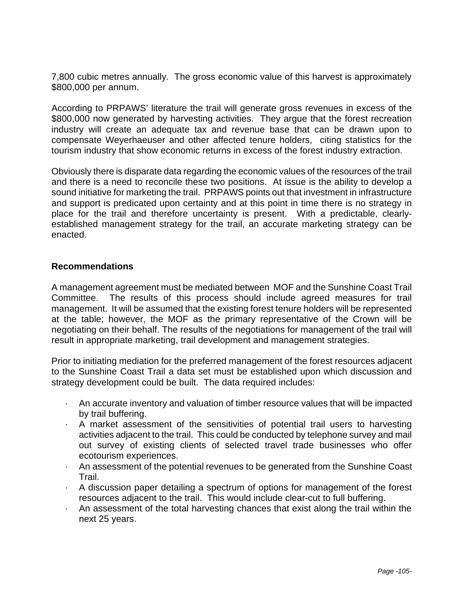7,800 cubic metres annually. The gross economic value of this harvest is approximately \$800,000 per annum.

According to PRPAWS' literature the trail will generate gross revenues in excess of the \$800,000 now generated by harvesting activities. They argue that the forest recreation industry will create an adequate tax and revenue base that can be drawn upon to compensate Weyerhaeuser and other affected tenure holders, citing statistics for the tourism industry that show economic returns in excess of the forest industry extraction.

Obviously there is disparate data regarding the economic values of the resources of the trail and there is a need to reconcile these two positions. At issue is the ability to develop a sound initiative for marketing the trail. PRPAWS points out that investment in infrastructure and support is predicated upon certainty and at this point in time there is no strategy in place for the trail and therefore uncertainty is present. With a predictable, clearlyestablished management strategy for the trail, an accurate marketing strategy can be enacted.

#### **Recommendations**

A management agreement must be mediated between MOF and the Sunshine Coast Trail Committee. The results of this process should include agreed measures for trail management. It will be assumed that the existing forest tenure holders will be represented at the table; however, the MOF as the primary representative of the Crown will be negotiating on their behalf. The results of the negotiations for management of the trail will result in appropriate marketing, trail development and management strategies.

Prior to initiating mediation for the preferred management of the forest resources adjacent to the Sunshine Coast Trail a data set must be established upon which discussion and strategy development could be built. The data required includes:

- · An accurate inventory and valuation of timber resource values that will be impacted by trail buffering.
- · A market assessment of the sensitivities of potential trail users to harvesting activities adjacent to the trail. This could be conducted by telephone survey and mail out survey of existing clients of selected travel trade businesses who offer ecotourism experiences.
- · An assessment of the potential revenues to be generated from the Sunshine Coast Trail.
- · A discussion paper detailing a spectrum of options for management of the forest resources adjacent to the trail. This would include clear-cut to full buffering.
- · An assessment of the total harvesting chances that exist along the trail within the next 25 years.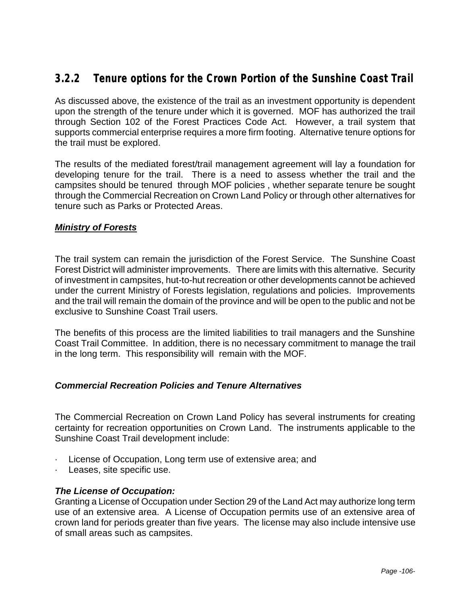# **3.2.2 Tenure options for the Crown Portion of the Sunshine Coast Trail**

As discussed above, the existence of the trail as an investment opportunity is dependent upon the strength of the tenure under which it is governed. MOF has authorized the trail through Section 102 of the Forest Practices Code Act. However, a trail system that supports commercial enterprise requires a more firm footing. Alternative tenure options for the trail must be explored.

The results of the mediated forest/trail management agreement will lay a foundation for developing tenure for the trail. There is a need to assess whether the trail and the campsites should be tenured through MOF policies , whether separate tenure be sought through the Commercial Recreation on Crown Land Policy or through other alternatives for tenure such as Parks or Protected Areas.

#### *Ministry of Forests*

The trail system can remain the jurisdiction of the Forest Service. The Sunshine Coast Forest District will administer improvements. There are limits with this alternative. Security of investment in campsites, hut-to-hut recreation or other developments cannot be achieved under the current Ministry of Forests legislation, regulations and policies. Improvements and the trail will remain the domain of the province and will be open to the public and not be exclusive to Sunshine Coast Trail users.

The benefits of this process are the limited liabilities to trail managers and the Sunshine Coast Trail Committee. In addition, there is no necessary commitment to manage the trail in the long term. This responsibility will remain with the MOF.

#### *Commercial Recreation Policies and Tenure Alternatives*

The Commercial Recreation on Crown Land Policy has several instruments for creating certainty for recreation opportunities on Crown Land. The instruments applicable to the Sunshine Coast Trail development include:

- · License of Occupation, Long term use of extensive area; and
- Leases, site specific use.

#### *The License of Occupation:*

Granting a License of Occupation under Section 29 of the Land Act may authorize long term use of an extensive area. A License of Occupation permits use of an extensive area of crown land for periods greater than five years. The license may also include intensive use of small areas such as campsites.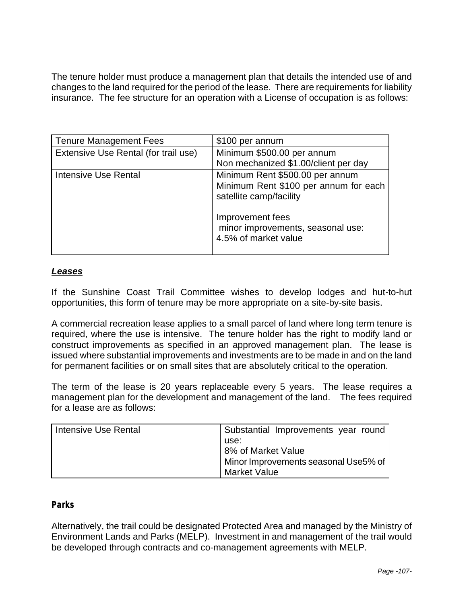The tenure holder must produce a management plan that details the intended use of and changes to the land required for the period of the lease. There are requirements for liability insurance. The fee structure for an operation with a License of occupation is as follows:

| <b>Tenure Management Fees</b>        | \$100 per annum                                                                                     |
|--------------------------------------|-----------------------------------------------------------------------------------------------------|
| Extensive Use Rental (for trail use) | Minimum \$500.00 per annum                                                                          |
|                                      | Non mechanized \$1.00/client per day                                                                |
| <b>Intensive Use Rental</b>          | Minimum Rent \$500.00 per annum<br>Minimum Rent \$100 per annum for each<br>satellite camp/facility |
|                                      | Improvement fees<br>minor improvements, seasonal use:<br>4.5% of market value                       |

#### *Leases*

If the Sunshine Coast Trail Committee wishes to develop lodges and hut-to-hut opportunities, this form of tenure may be more appropriate on a site-by-site basis.

A commercial recreation lease applies to a small parcel of land where long term tenure is required, where the use is intensive. The tenure holder has the right to modify land or construct improvements as specified in an approved management plan. The lease is issued where substantial improvements and investments are to be made in and on the land for permanent facilities or on small sites that are absolutely critical to the operation.

The term of the lease is 20 years replaceable every 5 years. The lease requires a management plan for the development and management of the land. The fees required for a lease are as follows:

| Intensive Use Rental | Substantial Improvements year round  |
|----------------------|--------------------------------------|
|                      | use:                                 |
|                      | 8% of Market Value                   |
|                      | Minor Improvements seasonal Use5% of |
|                      | Market Value                         |

#### *Parks*

Alternatively, the trail could be designated Protected Area and managed by the Ministry of Environment Lands and Parks (MELP). Investment in and management of the trail would be developed through contracts and co-management agreements with MELP.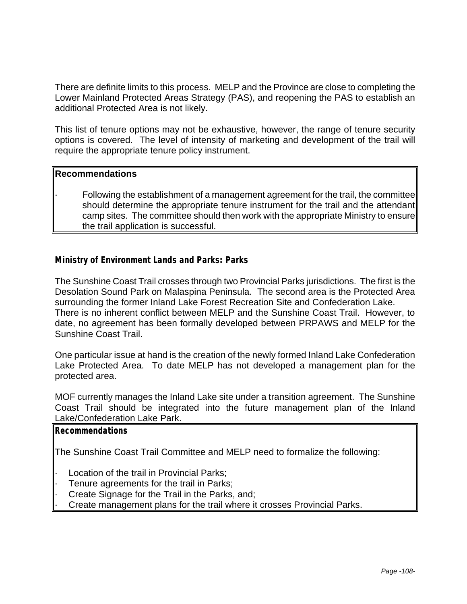There are definite limits to this process. MELP and the Province are close to completing the Lower Mainland Protected Areas Strategy (PAS), and reopening the PAS to establish an additional Protected Area is not likely.

This list of tenure options may not be exhaustive, however, the range of tenure security options is covered. The level of intensity of marketing and development of the trail will require the appropriate tenure policy instrument.

#### **Recommendations**

· Following the establishment of a management agreement for the trail, the committee should determine the appropriate tenure instrument for the trail and the attendant camp sites. The committee should then work with the appropriate Ministry to ensure the trail application is successful.

#### *Ministry of Environment Lands and Parks: Parks*

The Sunshine Coast Trail crosses through two Provincial Parks jurisdictions. The first is the Desolation Sound Park on Malaspina Peninsula. The second area is the Protected Area surrounding the former Inland Lake Forest Recreation Site and Confederation Lake. There is no inherent conflict between MELP and the Sunshine Coast Trail. However, to date, no agreement has been formally developed between PRPAWS and MELP for the Sunshine Coast Trail.

One particular issue at hand is the creation of the newly formed Inland Lake Confederation Lake Protected Area. To date MELP has not developed a management plan for the protected area.

MOF currently manages the Inland Lake site under a transition agreement. The Sunshine Coast Trail should be integrated into the future management plan of the Inland Lake/Confederation Lake Park.

#### **Recommendations**

The Sunshine Coast Trail Committee and MELP need to formalize the following:

- Location of the trail in Provincial Parks;
- Tenure agreements for the trail in Parks;
- Create Signage for the Trail in the Parks, and;
- · Create management plans for the trail where it crosses Provincial Parks.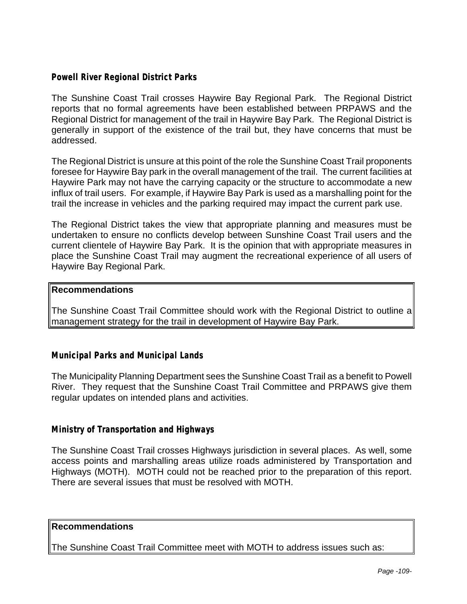#### *Powell River Regional District Parks*

The Sunshine Coast Trail crosses Haywire Bay Regional Park. The Regional District reports that no formal agreements have been established between PRPAWS and the Regional District for management of the trail in Haywire Bay Park. The Regional District is generally in support of the existence of the trail but, they have concerns that must be addressed.

The Regional District is unsure at this point of the role the Sunshine Coast Trail proponents foresee for Haywire Bay park in the overall management of the trail. The current facilities at Haywire Park may not have the carrying capacity or the structure to accommodate a new influx of trail users. For example, if Haywire Bay Park is used as a marshalling point for the trail the increase in vehicles and the parking required may impact the current park use.

The Regional District takes the view that appropriate planning and measures must be undertaken to ensure no conflicts develop between Sunshine Coast Trail users and the current clientele of Haywire Bay Park. It is the opinion that with appropriate measures in place the Sunshine Coast Trail may augment the recreational experience of all users of Haywire Bay Regional Park.

#### **Recommendations**

The Sunshine Coast Trail Committee should work with the Regional District to outline a management strategy for the trail in development of Haywire Bay Park.

#### *Municipal Parks and Municipal Lands*

The Municipality Planning Department sees the Sunshine Coast Trail as a benefit to Powell River. They request that the Sunshine Coast Trail Committee and PRPAWS give them regular updates on intended plans and activities.

#### *Ministry of Transportation and Highways*

The Sunshine Coast Trail crosses Highways jurisdiction in several places. As well, some access points and marshalling areas utilize roads administered by Transportation and Highways (MOTH). MOTH could not be reached prior to the preparation of this report. There are several issues that must be resolved with MOTH.

#### **Recommendations**

The Sunshine Coast Trail Committee meet with MOTH to address issues such as: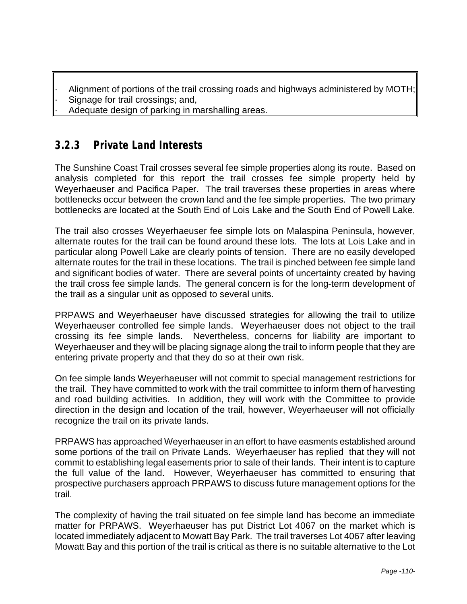- Alignment of portions of the trail crossing roads and highways administered by MOTH;
- Signage for trail crossings; and,
- Adequate design of parking in marshalling areas.

## **3.2.3 Private Land Interests**

The Sunshine Coast Trail crosses several fee simple properties along its route. Based on analysis completed for this report the trail crosses fee simple property held by Weyerhaeuser and Pacifica Paper. The trail traverses these properties in areas where bottlenecks occur between the crown land and the fee simple properties. The two primary bottlenecks are located at the South End of Lois Lake and the South End of Powell Lake.

The trail also crosses Weyerhaeuser fee simple lots on Malaspina Peninsula, however, alternate routes for the trail can be found around these lots. The lots at Lois Lake and in particular along Powell Lake are clearly points of tension. There are no easily developed alternate routes for the trail in these locations. The trail is pinched between fee simple land and significant bodies of water. There are several points of uncertainty created by having the trail cross fee simple lands. The general concern is for the long-term development of the trail as a singular unit as opposed to several units.

PRPAWS and Weyerhaeuser have discussed strategies for allowing the trail to utilize Weyerhaeuser controlled fee simple lands. Weyerhaeuser does not object to the trail crossing its fee simple lands. Nevertheless, concerns for liability are important to Weyerhaeuser and they will be placing signage along the trail to inform people that they are entering private property and that they do so at their own risk.

On fee simple lands Weyerhaeuser will not commit to special management restrictions for the trail. They have committed to work with the trail committee to inform them of harvesting and road building activities. In addition, they will work with the Committee to provide direction in the design and location of the trail, however, Weyerhaeuser will not officially recognize the trail on its private lands.

PRPAWS has approached Weyerhaeuser in an effort to have easments established around some portions of the trail on Private Lands. Weyerhaeuser has replied that they will not commit to establishing legal easements prior to sale of their lands. Their intent is to capture the full value of the land. However, Weyerhaeuser has committed to ensuring that prospective purchasers approach PRPAWS to discuss future management options for the trail.

The complexity of having the trail situated on fee simple land has become an immediate matter for PRPAWS. Weyerhaeuser has put District Lot 4067 on the market which is located immediately adjacent to Mowatt Bay Park. The trail traverses Lot 4067 after leaving Mowatt Bay and this portion of the trail is critical as there is no suitable alternative to the Lot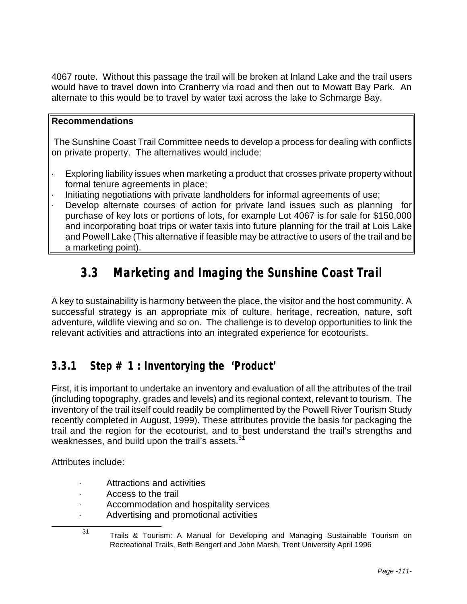4067 route. Without this passage the trail will be broken at Inland Lake and the trail users would have to travel down into Cranberry via road and then out to Mowatt Bay Park. An alternate to this would be to travel by water taxi across the lake to Schmarge Bay.

#### **Recommendations**

 The Sunshine Coast Trail Committee needs to develop a process for dealing with conflicts on private property. The alternatives would include:

- Exploring liability issues when marketing a product that crosses private property without formal tenure agreements in place;
- · Initiating negotiations with private landholders for informal agreements of use;
- Develop alternate courses of action for private land issues such as planning for purchase of key lots or portions of lots, for example Lot 4067 is for sale for \$150,000 and incorporating boat trips or water taxis into future planning for the trail at Lois Lake and Powell Lake (This alternative if feasible may be attractive to users of the trail and be a marketing point).

# **3.3 Marketing and Imaging the Sunshine Coast Trail**

A key to sustainability is harmony between the place, the visitor and the host community. A successful strategy is an appropriate mix of culture, heritage, recreation, nature, soft adventure, wildlife viewing and so on. The challenge is to develop opportunities to link the relevant activities and attractions into an integrated experience for ecotourists.

# **3.3.1 Step # 1 : Inventorying the 'Product'**

First, it is important to undertake an inventory and evaluation of all the attributes of the trail (including topography, grades and levels) and its regional context, relevant to tourism. The inventory of the trail itself could readily be complimented by the Powell River Tourism Study recently completed in August, 1999). These attributes provide the basis for packaging the trail and the region for the ecotourist, and to best understand the trail's strengths and weaknesses, and build upon the trail's assets.  $31$ 

Attributes include:

- Attractions and activities
- · Access to the trail
- Accommodation and hospitality services
- · Advertising and promotional activities

l

<sup>31</sup> Trails & Tourism: A Manual for Developing and Managing Sustainable Tourism on Recreational Trails, Beth Bengert and John Marsh, Trent University April 1996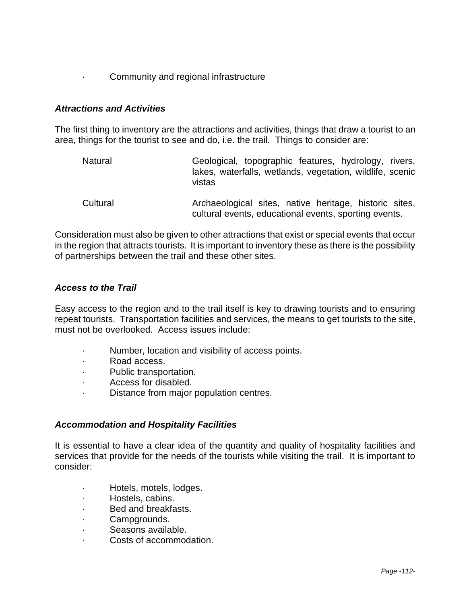#### · Community and regional infrastructure

#### *Attractions and Activities*

The first thing to inventory are the attractions and activities, things that draw a tourist to an area, things for the tourist to see and do, i.e. the trail. Things to consider are:

Natural Geological, topographic features, hydrology, rivers, lakes, waterfalls, wetlands, vegetation, wildlife, scenic vistas Cultural **Archaeological sites, native heritage, historic sites,** cultural events, educational events, sporting events.

Consideration must also be given to other attractions that exist or special events that occur in the region that attracts tourists. It is important to inventory these as there is the possibility of partnerships between the trail and these other sites.

#### *Access to the Trail*

Easy access to the region and to the trail itself is key to drawing tourists and to ensuring repeat tourists. Transportation facilities and services, the means to get tourists to the site, must not be overlooked. Access issues include:

- Number, location and visibility of access points.
- · Road access.
- · Public transportation.
- · Access for disabled.
- Distance from major population centres.

#### *Accommodation and Hospitality Facilities*

It is essential to have a clear idea of the quantity and quality of hospitality facilities and services that provide for the needs of the tourists while visiting the trail. It is important to consider:

- · Hotels, motels, lodges.
- · Hostels, cabins.
- · Bed and breakfasts.
- Campgrounds.
- · Seasons available.
- Costs of accommodation.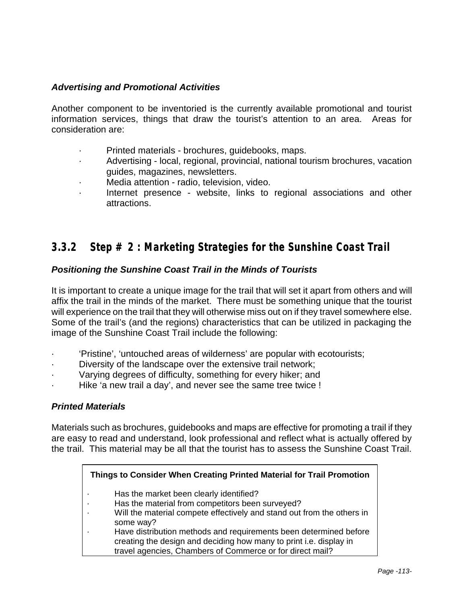#### *Advertising and Promotional Activities*

Another component to be inventoried is the currently available promotional and tourist information services, things that draw the tourist's attention to an area. Areas for consideration are:

- · Printed materials brochures, guidebooks, maps.
- Advertising local, regional, provincial, national tourism brochures, vacation guides, magazines, newsletters.
- · Media attention radio, television, video.
- Internet presence website, links to regional associations and other attractions.

## **3.3.2 Step # 2 : Marketing Strategies for the Sunshine Coast Trail**

#### *Positioning the Sunshine Coast Trail in the Minds of Tourists*

It is important to create a unique image for the trail that will set it apart from others and will affix the trail in the minds of the market. There must be something unique that the tourist will experience on the trail that they will otherwise miss out on if they travel somewhere else. Some of the trail's (and the regions) characteristics that can be utilized in packaging the image of the Sunshine Coast Trail include the following:

- · 'Pristine', 'untouched areas of wilderness' are popular with ecotourists;
- Diversity of the landscape over the extensive trail network;
- Varying degrees of difficulty, something for every hiker; and
- Hike 'a new trail a day', and never see the same tree twice !

#### *Printed Materials*

Materials such as brochures, guidebooks and maps are effective for promoting a trail if they are easy to read and understand, look professional and reflect what is actually offered by the trail. This material may be all that the tourist has to assess the Sunshine Coast Trail.

#### **Things to Consider When Creating Printed Material for Trail Promotion**

- · Has the market been clearly identified?
- Has the material from competitors been surveyed?
- Will the material compete effectively and stand out from the others in some way?
- Have distribution methods and requirements been determined before creating the design and deciding how many to print i.e. display in travel agencies, Chambers of Commerce or for direct mail?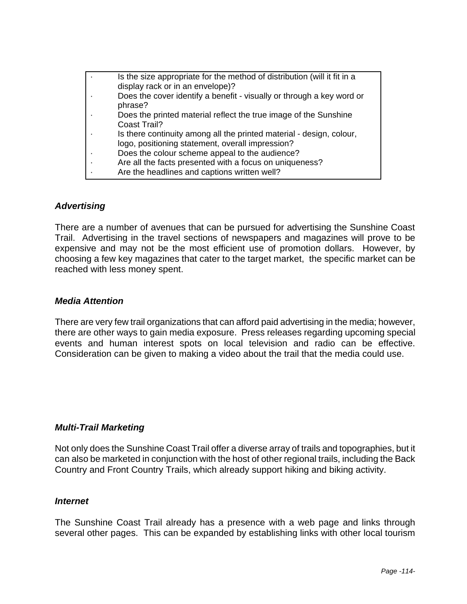| Is the size appropriate for the method of distribution (will it fit in a<br>display rack or in an envelope)?             |
|--------------------------------------------------------------------------------------------------------------------------|
| Does the cover identify a benefit - visually or through a key word or<br>phrase?                                         |
| Does the printed material reflect the true image of the Sunshine<br><b>Coast Trail?</b>                                  |
| Is there continuity among all the printed material - design, colour,<br>logo, positioning statement, overall impression? |
| Does the colour scheme appeal to the audience?                                                                           |
| Are all the facts presented with a focus on uniqueness?                                                                  |
| Are the headlines and captions written well?                                                                             |

#### *Advertising*

There are a number of avenues that can be pursued for advertising the Sunshine Coast Trail. Advertising in the travel sections of newspapers and magazines will prove to be expensive and may not be the most efficient use of promotion dollars. However, by choosing a few key magazines that cater to the target market, the specific market can be reached with less money spent.

#### *Media Attention*

There are very few trail organizations that can afford paid advertising in the media; however, there are other ways to gain media exposure. Press releases regarding upcoming special events and human interest spots on local television and radio can be effective. Consideration can be given to making a video about the trail that the media could use.

#### *Multi-Trail Marketing*

Not only does the Sunshine Coast Trail offer a diverse array of trails and topographies, but it can also be marketed in conjunction with the host of other regional trails, including the Back Country and Front Country Trails, which already support hiking and biking activity.

#### *Internet*

The Sunshine Coast Trail already has a presence with a web page and links through several other pages. This can be expanded by establishing links with other local tourism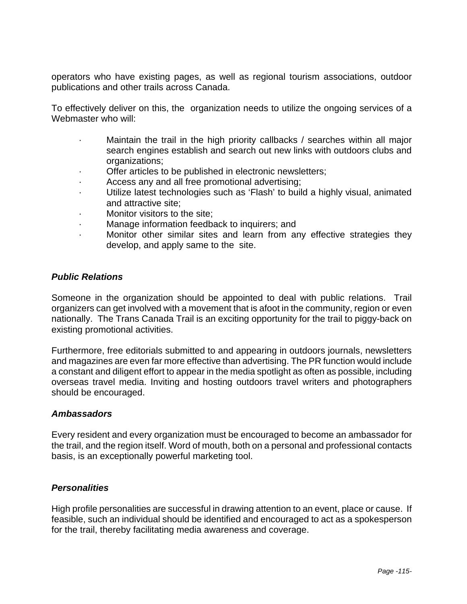operators who have existing pages, as well as regional tourism associations, outdoor publications and other trails across Canada.

To effectively deliver on this, the organization needs to utilize the ongoing services of a Webmaster who will:

- Maintain the trail in the high priority callbacks / searches within all major search engines establish and search out new links with outdoors clubs and organizations;
- Offer articles to be published in electronic newsletters;
- · Access any and all free promotional advertising;
- · Utilize latest technologies such as 'Flash' to build a highly visual, animated and attractive site;
- Monitor visitors to the site:
- Manage information feedback to inquirers; and
- · Monitor other similar sites and learn from any effective strategies they develop, and apply same to the site.

#### *Public Relations*

Someone in the organization should be appointed to deal with public relations. Trail organizers can get involved with a movement that is afoot in the community, region or even nationally. The Trans Canada Trail is an exciting opportunity for the trail to piggy-back on existing promotional activities.

Furthermore, free editorials submitted to and appearing in outdoors journals, newsletters and magazines are even far more effective than advertising. The PR function would include a constant and diligent effort to appear in the media spotlight as often as possible, including overseas travel media. Inviting and hosting outdoors travel writers and photographers should be encouraged.

#### *Ambassadors*

Every resident and every organization must be encouraged to become an ambassador for the trail, and the region itself. Word of mouth, both on a personal and professional contacts basis, is an exceptionally powerful marketing tool.

#### *Personalities*

High profile personalities are successful in drawing attention to an event, place or cause. If feasible, such an individual should be identified and encouraged to act as a spokesperson for the trail, thereby facilitating media awareness and coverage.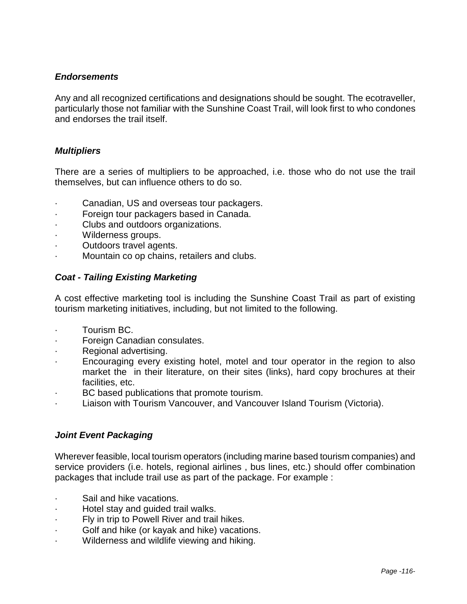#### *Endorsements*

Any and all recognized certifications and designations should be sought. The ecotraveller, particularly those not familiar with the Sunshine Coast Trail, will look first to who condones and endorses the trail itself.

#### *Multipliers*

There are a series of multipliers to be approached, i.e. those who do not use the trail themselves, but can influence others to do so.

- Canadian, US and overseas tour packagers.
- · Foreign tour packagers based in Canada.
- Clubs and outdoors organizations.
- Wilderness groups.
- Outdoors travel agents.
- Mountain co op chains, retailers and clubs.

#### *Coat - Tailing Existing Marketing*

A cost effective marketing tool is including the Sunshine Coast Trail as part of existing tourism marketing initiatives, including, but not limited to the following.

- · Tourism BC.
- Foreign Canadian consulates.
- Regional advertising.
- Encouraging every existing hotel, motel and tour operator in the region to also market the in their literature, on their sites (links), hard copy brochures at their facilities, etc.
- · BC based publications that promote tourism.
- Liaison with Tourism Vancouver, and Vancouver Island Tourism (Victoria).

#### *Joint Event Packaging*

Wherever feasible, local tourism operators (including marine based tourism companies) and service providers (i.e. hotels, regional airlines , bus lines, etc.) should offer combination packages that include trail use as part of the package. For example :

- Sail and hike vacations.
- · Hotel stay and guided trail walks.
- Fly in trip to Powell River and trail hikes.
- Golf and hike (or kayak and hike) vacations.
- Wilderness and wildlife viewing and hiking.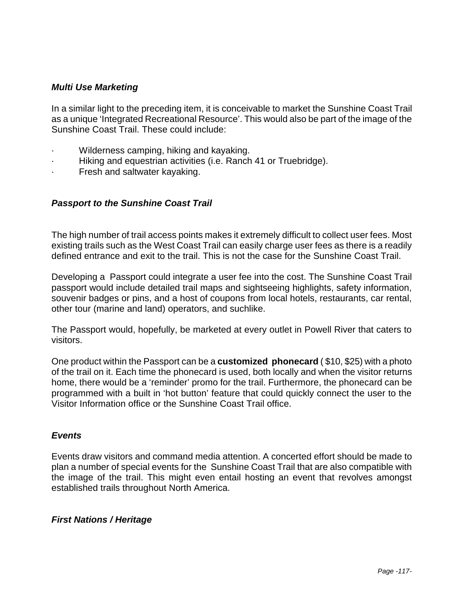#### *Multi Use Marketing*

In a similar light to the preceding item, it is conceivable to market the Sunshine Coast Trail as a unique 'Integrated Recreational Resource'. This would also be part of the image of the Sunshine Coast Trail. These could include:

- · Wilderness camping, hiking and kayaking.
- Hiking and equestrian activities (i.e. Ranch 41 or Truebridge).
- Fresh and saltwater kayaking.

#### *Passport to the Sunshine Coast Trail*

The high number of trail access points makes it extremely difficult to collect user fees. Most existing trails such as the West Coast Trail can easily charge user fees as there is a readily defined entrance and exit to the trail. This is not the case for the Sunshine Coast Trail.

Developing a Passport could integrate a user fee into the cost. The Sunshine Coast Trail passport would include detailed trail maps and sightseeing highlights, safety information, souvenir badges or pins, and a host of coupons from local hotels, restaurants, car rental, other tour (marine and land) operators, and suchlike.

The Passport would, hopefully, be marketed at every outlet in Powell River that caters to visitors.

One product within the Passport can be a **customized phonecard** ( \$10, \$25) with a photo of the trail on it. Each time the phonecard is used, both locally and when the visitor returns home, there would be a 'reminder' promo for the trail. Furthermore, the phonecard can be programmed with a built in 'hot button' feature that could quickly connect the user to the Visitor Information office or the Sunshine Coast Trail office.

#### *Events*

Events draw visitors and command media attention. A concerted effort should be made to plan a number of special events for the Sunshine Coast Trail that are also compatible with the image of the trail. This might even entail hosting an event that revolves amongst established trails throughout North America.

#### *First Nations / Heritage*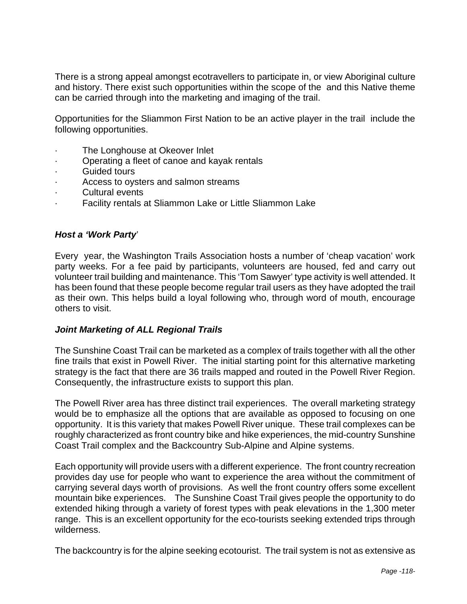There is a strong appeal amongst ecotravellers to participate in, or view Aboriginal culture and history. There exist such opportunities within the scope of the and this Native theme can be carried through into the marketing and imaging of the trail.

Opportunities for the Sliammon First Nation to be an active player in the trail include the following opportunities.

- · The Longhouse at Okeover Inlet
- · Operating a fleet of canoe and kayak rentals
- Guided tours
- Access to oysters and salmon streams
- Cultural events
- Facility rentals at Sliammon Lake or Little Sliammon Lake

#### *Host a 'Work Party*'

Every year, the Washington Trails Association hosts a number of 'cheap vacation' work party weeks. For a fee paid by participants, volunteers are housed, fed and carry out volunteer trail building and maintenance. This 'Tom Sawyer' type activity is well attended. It has been found that these people become regular trail users as they have adopted the trail as their own. This helps build a loyal following who, through word of mouth, encourage others to visit.

#### *Joint Marketing of ALL Regional Trails*

The Sunshine Coast Trail can be marketed as a complex of trails together with all the other fine trails that exist in Powell River. The initial starting point for this alternative marketing strategy is the fact that there are 36 trails mapped and routed in the Powell River Region. Consequently, the infrastructure exists to support this plan.

The Powell River area has three distinct trail experiences. The overall marketing strategy would be to emphasize all the options that are available as opposed to focusing on one opportunity. It is this variety that makes Powell River unique. These trail complexes can be roughly characterized as front country bike and hike experiences, the mid-country Sunshine Coast Trail complex and the Backcountry Sub-Alpine and Alpine systems.

Each opportunity will provide users with a different experience. The front country recreation provides day use for people who want to experience the area without the commitment of carrying several days worth of provisions. As well the front country offers some excellent mountain bike experiences. The Sunshine Coast Trail gives people the opportunity to do extended hiking through a variety of forest types with peak elevations in the 1,300 meter range. This is an excellent opportunity for the eco-tourists seeking extended trips through wilderness.

The backcountry is for the alpine seeking ecotourist. The trail system is not as extensive as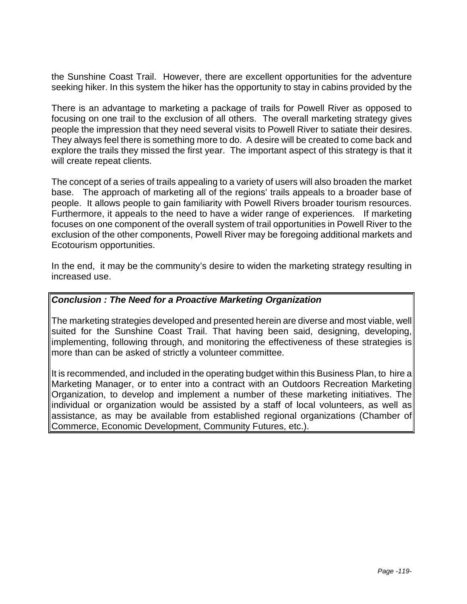the Sunshine Coast Trail. However, there are excellent opportunities for the adventure seeking hiker. In this system the hiker has the opportunity to stay in cabins provided by the

There is an advantage to marketing a package of trails for Powell River as opposed to focusing on one trail to the exclusion of all others. The overall marketing strategy gives people the impression that they need several visits to Powell River to satiate their desires. They always feel there is something more to do. A desire will be created to come back and explore the trails they missed the first year. The important aspect of this strategy is that it will create repeat clients.

The concept of a series of trails appealing to a variety of users will also broaden the market base. The approach of marketing all of the regions' trails appeals to a broader base of people. It allows people to gain familiarity with Powell Rivers broader tourism resources. Furthermore, it appeals to the need to have a wider range of experiences. If marketing focuses on one component of the overall system of trail opportunities in Powell River to the exclusion of the other components, Powell River may be foregoing additional markets and Ecotourism opportunities.

In the end, it may be the community's desire to widen the marketing strategy resulting in increased use.

#### *Conclusion : The Need for a Proactive Marketing Organization*

The marketing strategies developed and presented herein are diverse and most viable, well suited for the Sunshine Coast Trail. That having been said, designing, developing, implementing, following through, and monitoring the effectiveness of these strategies is more than can be asked of strictly a volunteer committee.

It is recommended, and included in the operating budget within this Business Plan, to hire a Marketing Manager, or to enter into a contract with an Outdoors Recreation Marketing Organization, to develop and implement a number of these marketing initiatives. The individual or organization would be assisted by a staff of local volunteers, as well as assistance, as may be available from established regional organizations (Chamber of Commerce, Economic Development, Community Futures, etc.).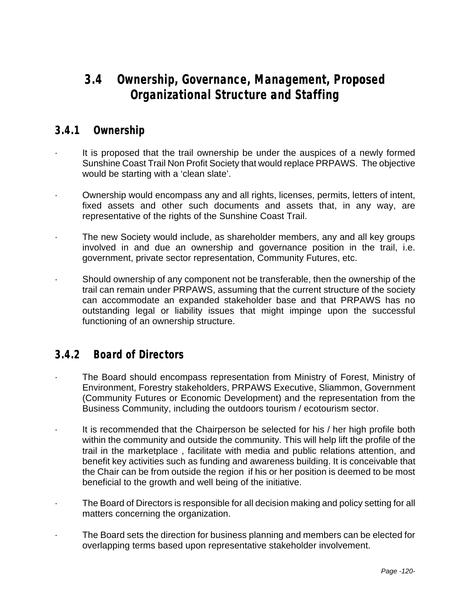# **3.4 Ownership, Governance, Management, Proposed Organizational Structure and Staffing**

### **3.4.1 Ownership**

- It is proposed that the trail ownership be under the auspices of a newly formed Sunshine Coast Trail Non Profit Society that would replace PRPAWS. The objective would be starting with a 'clean slate'.
- · Ownership would encompass any and all rights, licenses, permits, letters of intent, fixed assets and other such documents and assets that, in any way, are representative of the rights of the Sunshine Coast Trail.
- · The new Society would include, as shareholder members, any and all key groups involved in and due an ownership and governance position in the trail, i.e. government, private sector representation, Community Futures, etc.
- · Should ownership of any component not be transferable, then the ownership of the trail can remain under PRPAWS, assuming that the current structure of the society can accommodate an expanded stakeholder base and that PRPAWS has no outstanding legal or liability issues that might impinge upon the successful functioning of an ownership structure.

## **3.4.2 Board of Directors**

- The Board should encompass representation from Ministry of Forest, Ministry of Environment, Forestry stakeholders, PRPAWS Executive, Sliammon, Government (Community Futures or Economic Development) and the representation from the Business Community, including the outdoors tourism / ecotourism sector.
- It is recommended that the Chairperson be selected for his / her high profile both within the community and outside the community. This will help lift the profile of the trail in the marketplace , facilitate with media and public relations attention, and benefit key activities such as funding and awareness building. It is conceivable that the Chair can be from outside the region if his or her position is deemed to be most beneficial to the growth and well being of the initiative.
- The Board of Directors is responsible for all decision making and policy setting for all matters concerning the organization.
- The Board sets the direction for business planning and members can be elected for overlapping terms based upon representative stakeholder involvement.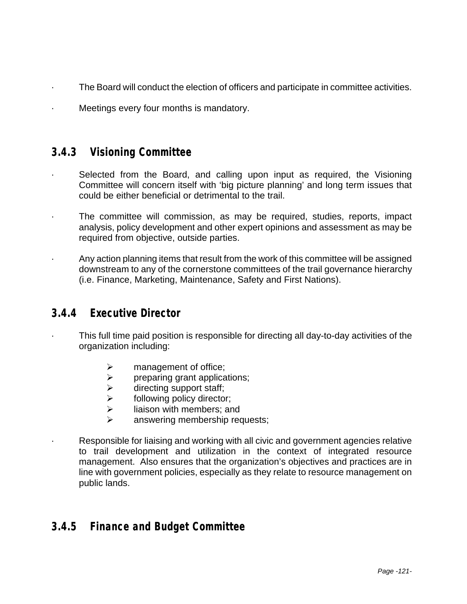- The Board will conduct the election of officers and participate in committee activities.
- Meetings every four months is mandatory.

### **3.4.3 Visioning Committee**

- · Selected from the Board, and calling upon input as required, the Visioning Committee will concern itself with 'big picture planning' and long term issues that could be either beneficial or detrimental to the trail.
- The committee will commission, as may be required, studies, reports, impact analysis, policy development and other expert opinions and assessment as may be required from objective, outside parties.
- · Any action planning items that result from the work of this committee will be assigned downstream to any of the cornerstone committees of the trail governance hierarchy (i.e. Finance, Marketing, Maintenance, Safety and First Nations).

### **3.4.4 Executive Director**

- This full time paid position is responsible for directing all day-to-day activities of the organization including:
	- $\triangleright$  management of office;
	- $\ge$  preparing grant applications;<br>  $\ge$  directing support staff;
	- directing support staff;
	- $\triangleright$  following policy director;
	- $\triangleright$  liaison with members; and
	- answering membership requests;
	- Responsible for liaising and working with all civic and government agencies relative to trail development and utilization in the context of integrated resource management. Also ensures that the organization's objectives and practices are in line with government policies, especially as they relate to resource management on public lands.

### **3.4.5 Finance and Budget Committee**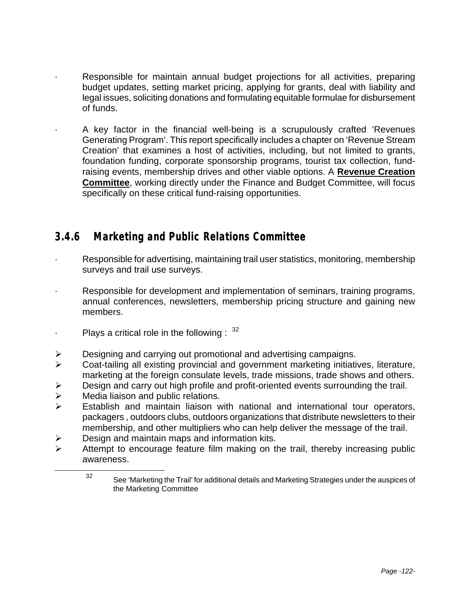- Responsible for maintain annual budget projections for all activities, preparing budget updates, setting market pricing, applying for grants, deal with liability and legal issues, soliciting donations and formulating equitable formulae for disbursement of funds.
	- A key factor in the financial well-being is a scrupulously crafted 'Revenues Generating Program'. This report specifically includes a chapter on 'Revenue Stream Creation' that examines a host of activities, including, but not limited to grants, foundation funding, corporate sponsorship programs, tourist tax collection, fundraising events, membership drives and other viable options. A **Revenue Creation Committee**, working directly under the Finance and Budget Committee, will focus specifically on these critical fund-raising opportunities.

## **3.4.6 Marketing and Public Relations Committee**

- Responsible for advertising, maintaining trail user statistics, monitoring, membership surveys and trail use surveys.
- Responsible for development and implementation of seminars, training programs, annual conferences, newsletters, membership pricing structure and gaining new members.
- Plays a critical role in the following :  $32$
- $\triangleright$  Designing and carrying out promotional and advertising campaigns.
- $\triangleright$  Coat-tailing all existing provincial and government marketing initiatives, literature, marketing at the foreign consulate levels, trade missions, trade shows and others.
- $\triangleright$  Design and carry out high profile and profit-oriented events surrounding the trail.
- $\triangleright$  Media liaison and public relations.

1

- $\triangleright$  Establish and maintain liaison with national and international tour operators, packagers , outdoors clubs, outdoors organizations that distribute newsletters to their membership, and other multipliers who can help deliver the message of the trail.
- $\triangleright$  Design and maintain maps and information kits.
- $\triangleright$  Attempt to encourage feature film making on the trail, thereby increasing public awareness.

<sup>32</sup> See 'Marketing the Trail' for additional details and Marketing Strategies under the auspices of the Marketing Committee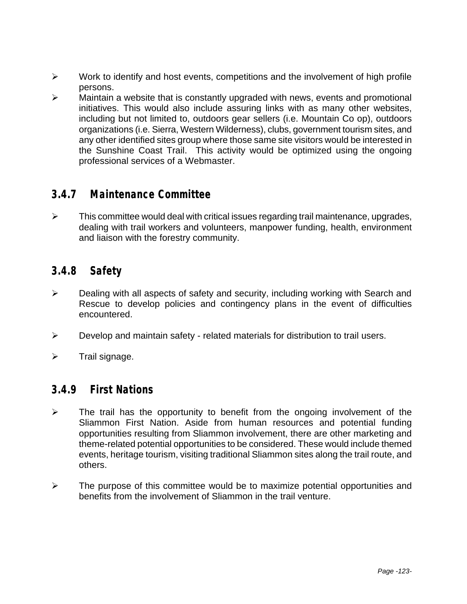- $\triangleright$  Work to identify and host events, competitions and the involvement of high profile persons.
- $\triangleright$  Maintain a website that is constantly upgraded with news, events and promotional initiatives. This would also include assuring links with as many other websites, including but not limited to, outdoors gear sellers (i.e. Mountain Co op), outdoors organizations (i.e. Sierra, Western Wilderness), clubs, government tourism sites, and any other identified sites group where those same site visitors would be interested in the Sunshine Coast Trail. This activity would be optimized using the ongoing professional services of a Webmaster.

### **3.4.7 Maintenance Committee**

 $\triangleright$  This committee would deal with critical issues regarding trail maintenance, upgrades, dealing with trail workers and volunteers, manpower funding, health, environment and liaison with the forestry community.

### **3.4.8 Safety**

- $\triangleright$  Dealing with all aspects of safety and security, including working with Search and Rescue to develop policies and contingency plans in the event of difficulties encountered.
- $\triangleright$  Develop and maintain safety related materials for distribution to trail users.
- $\triangleright$  Trail signage.

### **3.4.9 First Nations**

- $\triangleright$  The trail has the opportunity to benefit from the ongoing involvement of the Sliammon First Nation. Aside from human resources and potential funding opportunities resulting from Sliammon involvement, there are other marketing and theme-related potential opportunities to be considered. These would include themed events, heritage tourism, visiting traditional Sliammon sites along the trail route, and others.
- $\triangleright$  The purpose of this committee would be to maximize potential opportunities and benefits from the involvement of Sliammon in the trail venture.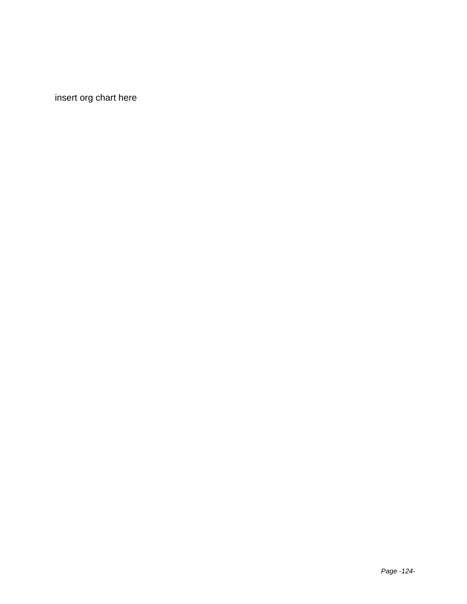insert org chart here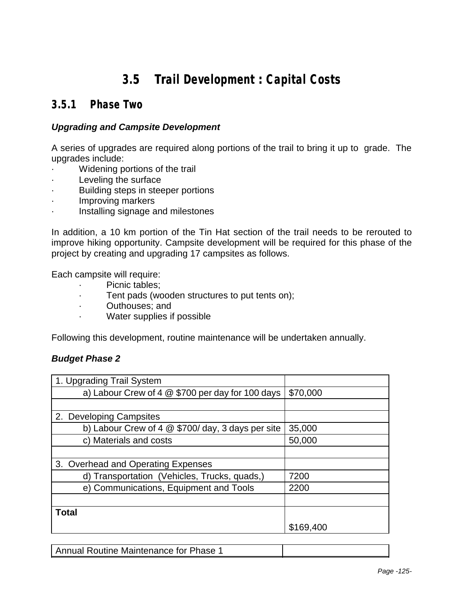# **3.5 Trail Development : Capital Costs**

## **3.5.1 Phase Two**

#### *Upgrading and Campsite Development*

A series of upgrades are required along portions of the trail to bring it up to grade. The upgrades include:

- Widening portions of the trail
- Leveling the surface
- Building steps in steeper portions
- · Improving markers
- Installing signage and milestones

In addition, a 10 km portion of the Tin Hat section of the trail needs to be rerouted to improve hiking opportunity. Campsite development will be required for this phase of the project by creating and upgrading 17 campsites as follows.

Each campsite will require:

- · Picnic tables;
- · Tent pads (wooden structures to put tents on);
- Outhouses; and
- Water supplies if possible

Following this development, routine maintenance will be undertaken annually.

#### *Budget Phase 2*

| 1. Upgrading Trail System                          |           |
|----------------------------------------------------|-----------|
| a) Labour Crew of 4 $@$ \$700 per day for 100 days | \$70,000  |
|                                                    |           |
| 2. Developing Campsites                            |           |
| b) Labour Crew of 4 $@$ \$700/day, 3 days per site | 35,000    |
| c) Materials and costs                             | 50,000    |
|                                                    |           |
| 3. Overhead and Operating Expenses                 |           |
| d) Transportation (Vehicles, Trucks, quads,)       | 7200      |
| e) Communications, Equipment and Tools             | 2200      |
|                                                    |           |
| <b>Total</b>                                       |           |
|                                                    | \$169,400 |

Annual Routine Maintenance for Phase 1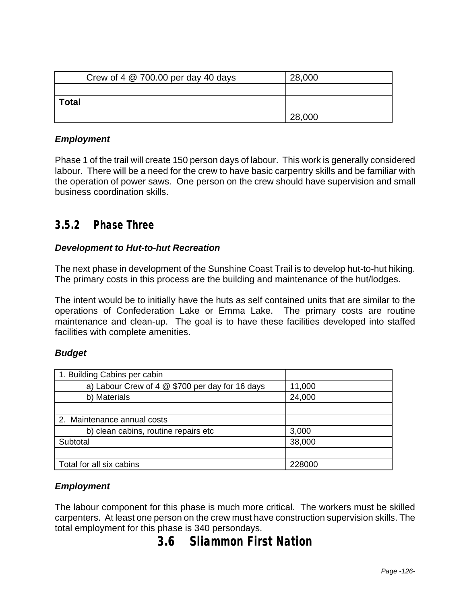| Crew of 4 $@$ 700.00 per day 40 days | 28,000 |
|--------------------------------------|--------|
|                                      |        |
| <b>Total</b>                         |        |
|                                      | 28,000 |

#### *Employment*

Phase 1 of the trail will create 150 person days of labour. This work is generally considered labour. There will be a need for the crew to have basic carpentry skills and be familiar with the operation of power saws. One person on the crew should have supervision and small business coordination skills.

### **3.5.2 Phase Three**

#### *Development to Hut-to-hut Recreation*

The next phase in development of the Sunshine Coast Trail is to develop hut-to-hut hiking. The primary costs in this process are the building and maintenance of the hut/lodges.

The intent would be to initially have the huts as self contained units that are similar to the operations of Confederation Lake or Emma Lake. The primary costs are routine maintenance and clean-up. The goal is to have these facilities developed into staffed facilities with complete amenities.

#### *Budget*

| 1. Building Cabins per cabin                    |        |
|-------------------------------------------------|--------|
| a) Labour Crew of 4 @ \$700 per day for 16 days | 11,000 |
| b) Materials                                    | 24,000 |
|                                                 |        |
| 2. Maintenance annual costs                     |        |
| b) clean cabins, routine repairs etc            | 3,000  |
| Subtotal                                        | 38,000 |
|                                                 |        |
| Total for all six cabins                        | 228000 |

#### *Employment*

The labour component for this phase is much more critical. The workers must be skilled carpenters. At least one person on the crew must have construction supervision skills. The total employment for this phase is 340 persondays.

# **3.6 Sliammon First Nation**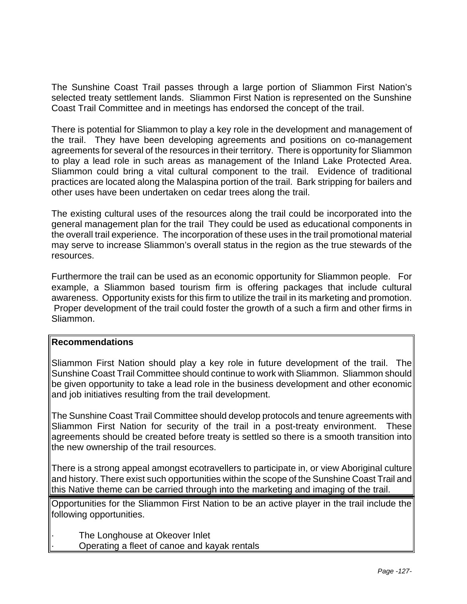The Sunshine Coast Trail passes through a large portion of Sliammon First Nation's selected treaty settlement lands. Sliammon First Nation is represented on the Sunshine Coast Trail Committee and in meetings has endorsed the concept of the trail.

There is potential for Sliammon to play a key role in the development and management of the trail. They have been developing agreements and positions on co-management agreements for several of the resources in their territory. There is opportunity for Sliammon to play a lead role in such areas as management of the Inland Lake Protected Area. Sliammon could bring a vital cultural component to the trail. Evidence of traditional practices are located along the Malaspina portion of the trail. Bark stripping for bailers and other uses have been undertaken on cedar trees along the trail.

The existing cultural uses of the resources along the trail could be incorporated into the general management plan for the trail They could be used as educational components in the overall trail experience. The incorporation of these uses in the trail promotional material may serve to increase Sliammon's overall status in the region as the true stewards of the resources.

Furthermore the trail can be used as an economic opportunity for Sliammon people. For example, a Sliammon based tourism firm is offering packages that include cultural awareness. Opportunity exists for this firm to utilize the trail in its marketing and promotion. Proper development of the trail could foster the growth of a such a firm and other firms in Sliammon.

#### **Recommendations**

Sliammon First Nation should play a key role in future development of the trail. The Sunshine Coast Trail Committee should continue to work with Sliammon. Sliammon should be given opportunity to take a lead role in the business development and other economic and job initiatives resulting from the trail development.

The Sunshine Coast Trail Committee should develop protocols and tenure agreements with Sliammon First Nation for security of the trail in a post-treaty environment. These agreements should be created before treaty is settled so there is a smooth transition into the new ownership of the trail resources.

There is a strong appeal amongst ecotravellers to participate in, or view Aboriginal culture and history. There exist such opportunities within the scope of the Sunshine Coast Trail and this Native theme can be carried through into the marketing and imaging of the trail.

Opportunities for the Sliammon First Nation to be an active player in the trail include the following opportunities.

The Longhouse at Okeover Inlet

· Operating a fleet of canoe and kayak rentals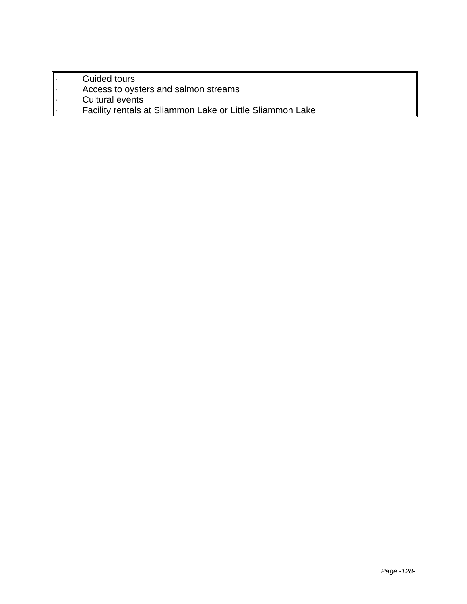- Guided tours
- Access to oysters and salmon streams
- Cultural events
	- Facility rentals at Sliammon Lake or Little Sliammon Lake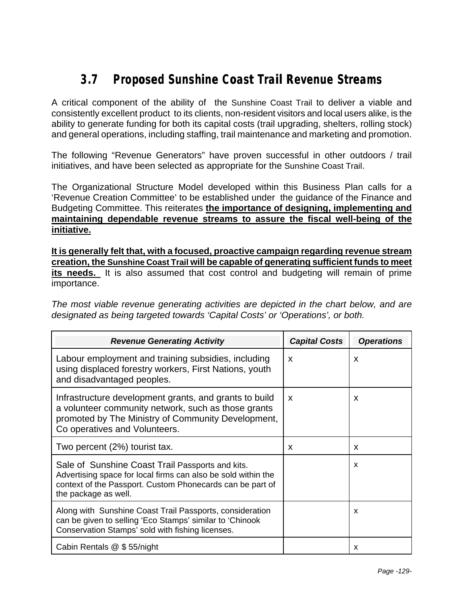# **3.7 Proposed Sunshine Coast Trail Revenue Streams**

A critical component of the ability of the Sunshine Coast Trail to deliver a viable and consistently excellent product to its clients, non-resident visitors and local users alike, is the ability to generate funding for both its capital costs (trail upgrading, shelters, rolling stock) and general operations, including staffing, trail maintenance and marketing and promotion.

The following "Revenue Generators" have proven successful in other outdoors / trail initiatives, and have been selected as appropriate for the Sunshine Coast Trail.

The Organizational Structure Model developed within this Business Plan calls for a 'Revenue Creation Committee' to be established under the guidance of the Finance and Budgeting Committee. This reiterates **the importance of designing, implementing and maintaining dependable revenue streams to assure the fiscal well-being of the initiative.** 

**It is generally felt that, with a focused, proactive campaign regarding revenue stream creation, the Sunshine Coast Trail will be capable of generating sufficient funds to meet its needs.** It is also assumed that cost control and budgeting will remain of prime importance.

*The most viable revenue generating activities are depicted in the chart below, and are designated as being targeted towards 'Capital Costs' or 'Operations', or both.*

| <b>Revenue Generating Activity</b>                                                                                                                                                                     | <b>Capital Costs</b>      | <b>Operations</b> |
|--------------------------------------------------------------------------------------------------------------------------------------------------------------------------------------------------------|---------------------------|-------------------|
| Labour employment and training subsidies, including<br>using displaced forestry workers, First Nations, youth<br>and disadvantaged peoples.                                                            | X                         | X                 |
| Infrastructure development grants, and grants to build<br>a volunteer community network, such as those grants<br>promoted by The Ministry of Community Development,<br>Co operatives and Volunteers.   | $\boldsymbol{\mathsf{x}}$ | X                 |
| Two percent (2%) tourist tax.                                                                                                                                                                          | X                         | X                 |
| Sale of Sunshine Coast Trail Passports and kits.<br>Advertising space for local firms can also be sold within the<br>context of the Passport. Custom Phonecards can be part of<br>the package as well. |                           | x                 |
| Along with Sunshine Coast Trail Passports, consideration<br>can be given to selling 'Eco Stamps' similar to 'Chinook<br>Conservation Stamps' sold with fishing licenses.                               |                           | x                 |
| Cabin Rentals @ \$55/night                                                                                                                                                                             |                           | x                 |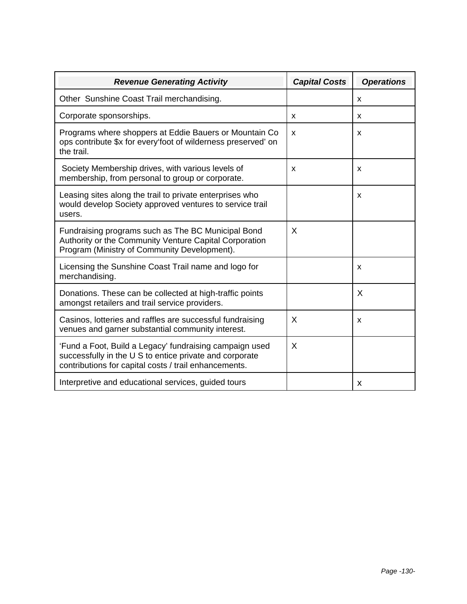| <b>Revenue Generating Activity</b>                                                                                                                                          | <b>Capital Costs</b> | <b>Operations</b> |
|-----------------------------------------------------------------------------------------------------------------------------------------------------------------------------|----------------------|-------------------|
| Other Sunshine Coast Trail merchandising.                                                                                                                                   |                      | x                 |
| Corporate sponsorships.                                                                                                                                                     | X                    | x                 |
| Programs where shoppers at Eddie Bauers or Mountain Co<br>ops contribute \$x for every foot of wilderness preserved' on<br>the trail.                                       | X                    | x                 |
| Society Membership drives, with various levels of<br>membership, from personal to group or corporate.                                                                       | X                    | X                 |
| Leasing sites along the trail to private enterprises who<br>would develop Society approved ventures to service trail<br>users.                                              |                      | X                 |
| Fundraising programs such as The BC Municipal Bond<br>Authority or the Community Venture Capital Corporation<br>Program (Ministry of Community Development).                | X                    |                   |
| Licensing the Sunshine Coast Trail name and logo for<br>merchandising.                                                                                                      |                      | X                 |
| Donations. These can be collected at high-traffic points<br>amongst retailers and trail service providers.                                                                  |                      | X                 |
| Casinos, lotteries and raffles are successful fundraising<br>venues and garner substantial community interest.                                                              | X                    | X                 |
| 'Fund a Foot, Build a Legacy' fundraising campaign used<br>successfully in the U S to entice private and corporate<br>contributions for capital costs / trail enhancements. | X                    |                   |
| Interpretive and educational services, guided tours                                                                                                                         |                      | X                 |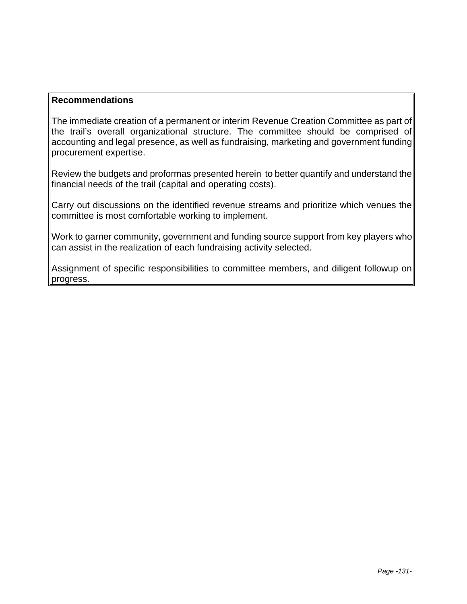#### **Recommendations**

The immediate creation of a permanent or interim Revenue Creation Committee as part of the trail's overall organizational structure. The committee should be comprised of accounting and legal presence, as well as fundraising, marketing and government funding procurement expertise.

Review the budgets and proformas presented herein to better quantify and understand the financial needs of the trail (capital and operating costs).

Carry out discussions on the identified revenue streams and prioritize which venues the committee is most comfortable working to implement.

Work to garner community, government and funding source support from key players who can assist in the realization of each fundraising activity selected.

Assignment of specific responsibilities to committee members, and diligent followup on progress.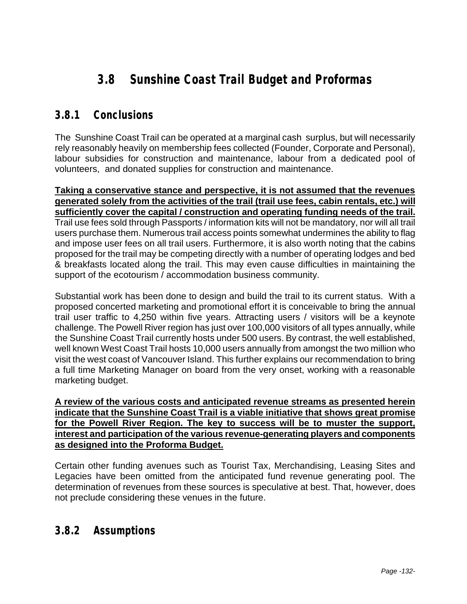# **3.8 Sunshine Coast Trail Budget and Proformas**

### **3.8.1 Conclusions**

The Sunshine Coast Trail can be operated at a marginal cash surplus, but will necessarily rely reasonably heavily on membership fees collected (Founder, Corporate and Personal), labour subsidies for construction and maintenance, labour from a dedicated pool of volunteers, and donated supplies for construction and maintenance.

**Taking a conservative stance and perspective, it is not assumed that the revenues generated solely from the activities of the trail (trail use fees, cabin rentals, etc.) will sufficiently cover the capital / construction and operating funding needs of the trail.**  Trail use fees sold through Passports / information kits will not be mandatory, nor will all trail users purchase them. Numerous trail access points somewhat undermines the ability to flag and impose user fees on all trail users. Furthermore, it is also worth noting that the cabins proposed for the trail may be competing directly with a number of operating lodges and bed & breakfasts located along the trail. This may even cause difficulties in maintaining the support of the ecotourism / accommodation business community.

Substantial work has been done to design and build the trail to its current status. With a proposed concerted marketing and promotional effort it is conceivable to bring the annual trail user traffic to 4,250 within five years. Attracting users / visitors will be a keynote challenge. The Powell River region has just over 100,000 visitors of all types annually, while the Sunshine Coast Trail currently hosts under 500 users. By contrast, the well established, well known West Coast Trail hosts 10,000 users annually from amongst the two million who visit the west coast of Vancouver Island. This further explains our recommendation to bring a full time Marketing Manager on board from the very onset, working with a reasonable marketing budget.

**A review of the various costs and anticipated revenue streams as presented herein indicate that the Sunshine Coast Trail is a viable initiative that shows great promise for the Powell River Region. The key to success will be to muster the support, interest and participation of the various revenue-generating players and components as designed into the Proforma Budget.**

Certain other funding avenues such as Tourist Tax, Merchandising, Leasing Sites and Legacies have been omitted from the anticipated fund revenue generating pool. The determination of revenues from these sources is speculative at best. That, however, does not preclude considering these venues in the future.

### **3.8.2 Assumptions**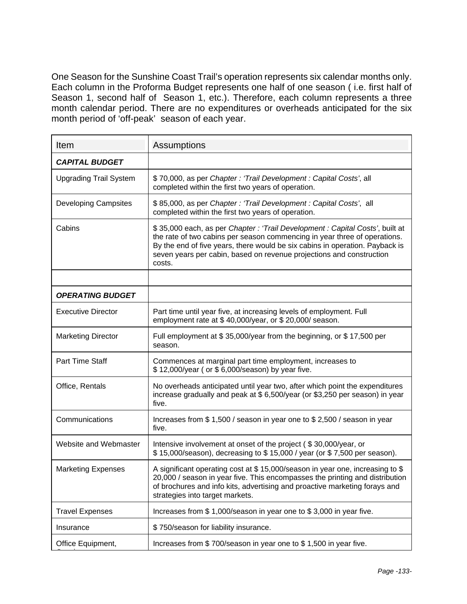One Season for the Sunshine Coast Trail's operation represents six calendar months only. Each column in the Proforma Budget represents one half of one season ( i.e. first half of Season 1, second half of Season 1, etc.). Therefore, each column represents a three month calendar period. There are no expenditures or overheads anticipated for the six month period of 'off-peak' season of each year.

| Item                          | Assumptions                                                                                                                                                                                                                                                                                                                |
|-------------------------------|----------------------------------------------------------------------------------------------------------------------------------------------------------------------------------------------------------------------------------------------------------------------------------------------------------------------------|
| <b>CAPITAL BUDGET</b>         |                                                                                                                                                                                                                                                                                                                            |
| <b>Upgrading Trail System</b> | \$70,000, as per Chapter: 'Trail Development: Capital Costs', all<br>completed within the first two years of operation.                                                                                                                                                                                                    |
| <b>Developing Campsites</b>   | \$85,000, as per Chapter: 'Trail Development: Capital Costs', all<br>completed within the first two years of operation.                                                                                                                                                                                                    |
| Cabins                        | \$35,000 each, as per Chapter: 'Trail Development: Capital Costs', built at<br>the rate of two cabins per season commencing in year three of operations.<br>By the end of five years, there would be six cabins in operation. Payback is<br>seven years per cabin, based on revenue projections and construction<br>costs. |
|                               |                                                                                                                                                                                                                                                                                                                            |
| <b>OPERATING BUDGET</b>       |                                                                                                                                                                                                                                                                                                                            |
| <b>Executive Director</b>     | Part time until year five, at increasing levels of employment. Full<br>employment rate at \$40,000/year, or \$20,000/ season.                                                                                                                                                                                              |
| <b>Marketing Director</b>     | Full employment at \$35,000/year from the beginning, or \$17,500 per<br>season.                                                                                                                                                                                                                                            |
| <b>Part Time Staff</b>        | Commences at marginal part time employment, increases to<br>\$12,000/year (or \$6,000/season) by year five.                                                                                                                                                                                                                |
| Office, Rentals               | No overheads anticipated until year two, after which point the expenditures<br>increase gradually and peak at \$6,500/year (or \$3,250 per season) in year<br>five.                                                                                                                                                        |
| Communications                | Increases from \$1,500 / season in year one to \$2,500 / season in year<br>five.                                                                                                                                                                                                                                           |
| Website and Webmaster         | Intensive involvement at onset of the project (\$30,000/year, or<br>\$15,000/season), decreasing to \$15,000 / year (or \$7,500 per season).                                                                                                                                                                               |
| <b>Marketing Expenses</b>     | A significant operating cost at \$15,000/season in year one, increasing to \$<br>20,000 / season in year five. This encompasses the printing and distribution<br>of brochures and info kits, advertising and proactive marketing forays and<br>strategies into target markets.                                             |
| <b>Travel Expenses</b>        | Increases from \$1,000/season in year one to \$3,000 in year five.                                                                                                                                                                                                                                                         |
| Insurance                     | \$750/season for liability insurance.                                                                                                                                                                                                                                                                                      |
| Office Equipment,             | Increases from \$700/season in year one to \$1,500 in year five.                                                                                                                                                                                                                                                           |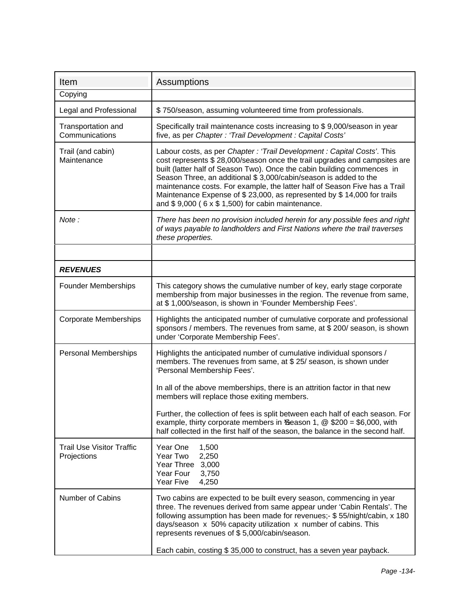| Item                                            | <b>Assumptions</b>                                                                                                                                                                                                                                                                                                                                                                                                                                                                                                      |
|-------------------------------------------------|-------------------------------------------------------------------------------------------------------------------------------------------------------------------------------------------------------------------------------------------------------------------------------------------------------------------------------------------------------------------------------------------------------------------------------------------------------------------------------------------------------------------------|
| Copying                                         |                                                                                                                                                                                                                                                                                                                                                                                                                                                                                                                         |
| Legal and Professional                          | \$750/season, assuming volunteered time from professionals.                                                                                                                                                                                                                                                                                                                                                                                                                                                             |
| Transportation and<br>Communications            | Specifically trail maintenance costs increasing to \$9,000/season in year<br>five, as per Chapter: 'Trail Development: Capital Costs'                                                                                                                                                                                                                                                                                                                                                                                   |
| Trail (and cabin)<br>Maintenance                | Labour costs, as per Chapter: 'Trail Development: Capital Costs'. This<br>cost represents \$28,000/season once the trail upgrades and campsites are<br>built (latter half of Season Two). Once the cabin building commences in<br>Season Three, an additional \$3,000/cabin/season is added to the<br>maintenance costs. For example, the latter half of Season Five has a Trail<br>Maintenance Expense of \$23,000, as represented by \$14,000 for trails<br>and $$9,000$ ( $6 \times $1,500$ ) for cabin maintenance. |
| Note:                                           | There has been no provision included herein for any possible fees and right<br>of ways payable to landholders and First Nations where the trail traverses<br>these properties.                                                                                                                                                                                                                                                                                                                                          |
|                                                 |                                                                                                                                                                                                                                                                                                                                                                                                                                                                                                                         |
| <b>REVENUES</b>                                 |                                                                                                                                                                                                                                                                                                                                                                                                                                                                                                                         |
| <b>Founder Memberships</b>                      | This category shows the cumulative number of key, early stage corporate<br>membership from major businesses in the region. The revenue from same,<br>at \$1,000/season, is shown in 'Founder Membership Fees'.                                                                                                                                                                                                                                                                                                          |
| <b>Corporate Memberships</b>                    | Highlights the anticipated number of cumulative corporate and professional<br>sponsors / members. The revenues from same, at \$ 200/ season, is shown<br>under 'Corporate Membership Fees'.                                                                                                                                                                                                                                                                                                                             |
| <b>Personal Memberships</b>                     | Highlights the anticipated number of cumulative individual sponsors /<br>members. The revenues from same, at \$ 25/ season, is shown under<br>'Personal Membership Fees'.<br>In all of the above memberships, there is an attrition factor in that new<br>members will replace those exiting members.<br>Further, the collection of fees is split between each half of each season. For<br>example, thirty corporate members in Season 1, $\textcircled{2}$ \$200 = \$6,000, with                                       |
|                                                 | half collected in the first half of the season, the balance in the second half.                                                                                                                                                                                                                                                                                                                                                                                                                                         |
| <b>Trail Use Visitor Traffic</b><br>Projections | Year One<br>1,500<br>Year Two<br>2,250<br>Year Three<br>3,000<br>Year Four<br>3,750<br>Year Five<br>4,250                                                                                                                                                                                                                                                                                                                                                                                                               |
| Number of Cabins                                | Two cabins are expected to be built every season, commencing in year<br>three. The revenues derived from same appear under 'Cabin Rentals'. The<br>following assumption has been made for revenues;- \$55/night/cabin, x 180<br>days/season x 50% capacity utilization x number of cabins. This<br>represents revenues of \$5,000/cabin/season.<br>Each cabin, costing \$35,000 to construct, has a seven year payback.                                                                                                 |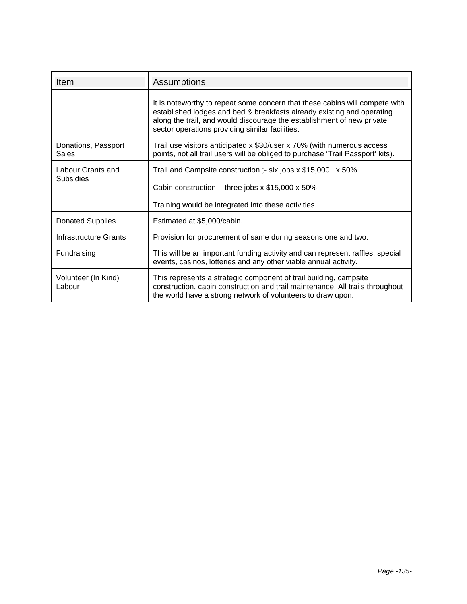| <b>Item</b>                         | Assumptions                                                                                                                                                                                                                                                                        |
|-------------------------------------|------------------------------------------------------------------------------------------------------------------------------------------------------------------------------------------------------------------------------------------------------------------------------------|
|                                     | It is noteworthy to repeat some concern that these cabins will compete with<br>established lodges and bed & breakfasts already existing and operating<br>along the trail, and would discourage the establishment of new private<br>sector operations providing similar facilities. |
| Donations, Passport<br><b>Sales</b> | Trail use visitors anticipated x \$30/user x 70% (with numerous access<br>points, not all trail users will be obliged to purchase 'Trail Passport' kits).                                                                                                                          |
| Labour Grants and                   | Trail and Campsite construction :- six jobs $x$ \$15,000 $x$ 50%                                                                                                                                                                                                                   |
| <b>Subsidies</b>                    | Cabin construction ;- three jobs x \$15,000 x 50%                                                                                                                                                                                                                                  |
|                                     | Training would be integrated into these activities.                                                                                                                                                                                                                                |
| <b>Donated Supplies</b>             | Estimated at \$5,000/cabin.                                                                                                                                                                                                                                                        |
| Infrastructure Grants               | Provision for procurement of same during seasons one and two.                                                                                                                                                                                                                      |
| Fundraising                         | This will be an important funding activity and can represent raffles, special<br>events, casinos, lotteries and any other viable annual activity.                                                                                                                                  |
| Volunteer (In Kind)<br>Labour       | This represents a strategic component of trail building, campsite<br>construction, cabin construction and trail maintenance. All trails throughout<br>the world have a strong network of volunteers to draw upon.                                                                  |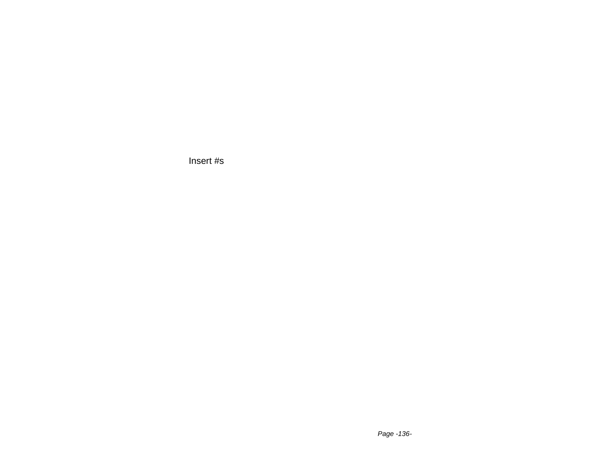Insert #s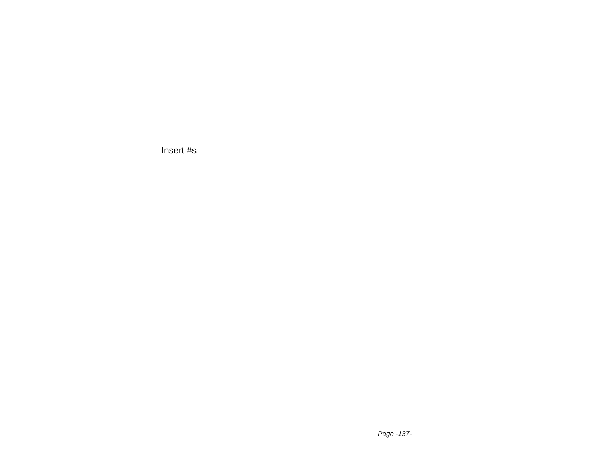Insert #s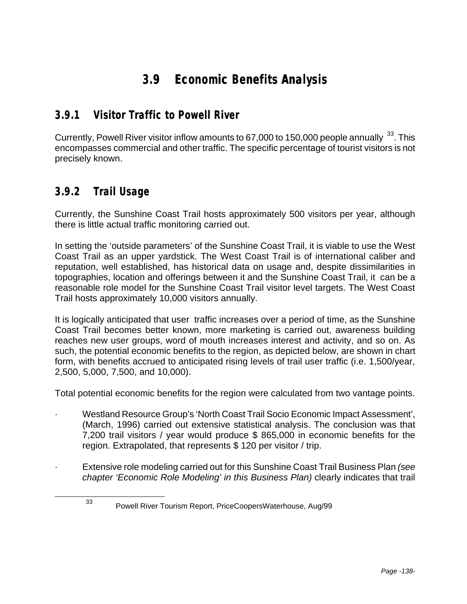# **3.9 Economic Benefits Analysis**

### **3.9.1 Visitor Traffic to Powell River**

Currently, Powell River visitor inflow amounts to 67,000 to 150,000 people annually <sup>33</sup>. This encompasses commercial and other traffic. The specific percentage of tourist visitors is not precisely known.

### **3.9.2 Trail Usage**

l

Currently, the Sunshine Coast Trail hosts approximately 500 visitors per year, although there is little actual traffic monitoring carried out.

In setting the 'outside parameters' of the Sunshine Coast Trail, it is viable to use the West Coast Trail as an upper yardstick. The West Coast Trail is of international caliber and reputation, well established, has historical data on usage and, despite dissimilarities in topographies, location and offerings between it and the Sunshine Coast Trail, it can be a reasonable role model for the Sunshine Coast Trail visitor level targets. The West Coast Trail hosts approximately 10,000 visitors annually.

It is logically anticipated that user traffic increases over a period of time, as the Sunshine Coast Trail becomes better known, more marketing is carried out, awareness building reaches new user groups, word of mouth increases interest and activity, and so on. As such, the potential economic benefits to the region, as depicted below, are shown in chart form, with benefits accrued to anticipated rising levels of trail user traffic (i.e. 1,500/year, 2,500, 5,000, 7,500, and 10,000).

Total potential economic benefits for the region were calculated from two vantage points.

- · Westland Resource Group's 'North Coast Trail Socio Economic Impact Assessment', (March, 1996) carried out extensive statistical analysis. The conclusion was that 7,200 trail visitors / year would produce \$ 865,000 in economic benefits for the region. Extrapolated, that represents \$ 120 per visitor / trip.
- · Extensive role modeling carried out for this Sunshine Coast Trail Business Plan *(see chapter 'Economic Role Modeling' in this Business Plan)* clearly indicates that trail

<sup>33</sup> Powell River Tourism Report, PriceCoopersWaterhouse, Aug/99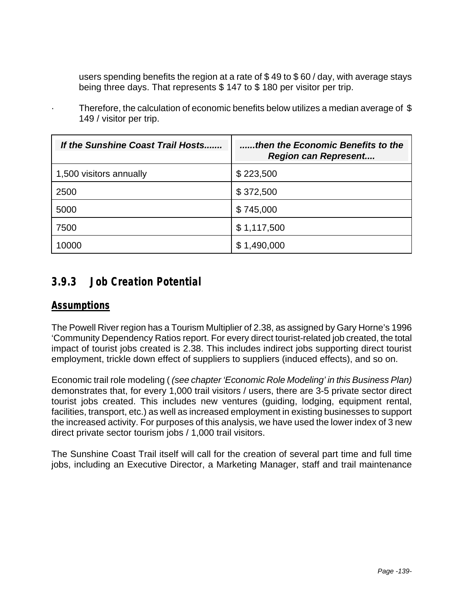users spending benefits the region at a rate of \$ 49 to \$ 60 / day, with average stays being three days. That represents \$ 147 to \$ 180 per visitor per trip.

| If the Sunshine Coast Trail Hosts | then the Economic Benefits to the<br><b>Region can Represent</b> |
|-----------------------------------|------------------------------------------------------------------|
| 1,500 visitors annually           | \$223,500                                                        |
| 2500                              | \$372,500                                                        |
| 5000                              | \$745,000                                                        |
| 7500                              | \$1,117,500                                                      |
| 0000                              | 1,490,000                                                        |

Therefore, the calculation of economic benefits below utilizes a median average of  $$$ 149 / visitor per trip.

### **3.9.3 Job Creation Potential**

#### *Assumptions*

The Powell River region has a Tourism Multiplier of 2.38, as assigned by Gary Horne's 1996 'Community Dependency Ratios report. For every direct tourist-related job created, the total impact of tourist jobs created is 2.38. This includes indirect jobs supporting direct tourist employment, trickle down effect of suppliers to suppliers (induced effects), and so on.

Economic trail role modeling ( *(see chapter 'Economic Role Modeling' in this Business Plan)* demonstrates that, for every 1,000 trail visitors / users, there are 3-5 private sector direct tourist jobs created. This includes new ventures (guiding, lodging, equipment rental, facilities, transport, etc.) as well as increased employment in existing businesses to support the increased activity. For purposes of this analysis, we have used the lower index of 3 new direct private sector tourism jobs / 1,000 trail visitors.

The Sunshine Coast Trail itself will call for the creation of several part time and full time jobs, including an Executive Director, a Marketing Manager, staff and trail maintenance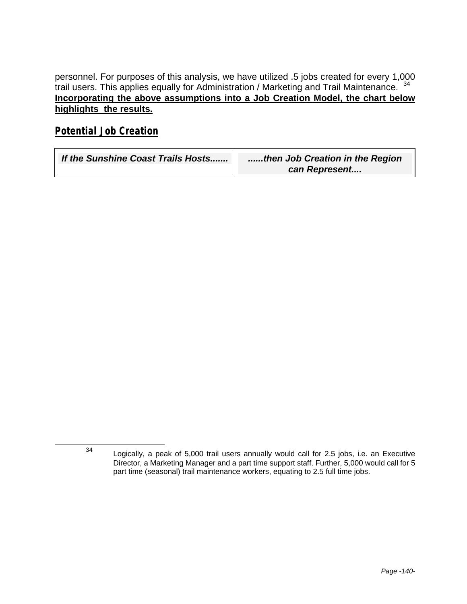personnel. For purposes of this analysis, we have utilized .5 jobs created for every 1,000 trail users. This applies equally for Administration / Marketing and Trail Maintenance. <sup>34</sup> **Incorporating the above assumptions into a Job Creation Model, the chart below highlights the results.**

#### *Potential Job Creation*

-

| If the Sunshine Coast Trails Hosts | then Job Creation in the Region |
|------------------------------------|---------------------------------|
|                                    | can Represent                   |

<sup>34</sup> Logically, a peak of 5,000 trail users annually would call for 2.5 jobs, i.e. an Executive Director, a Marketing Manager and a part time support staff. Further, 5,000 would call for 5 part time (seasonal) trail maintenance workers, equating to 2.5 full time jobs.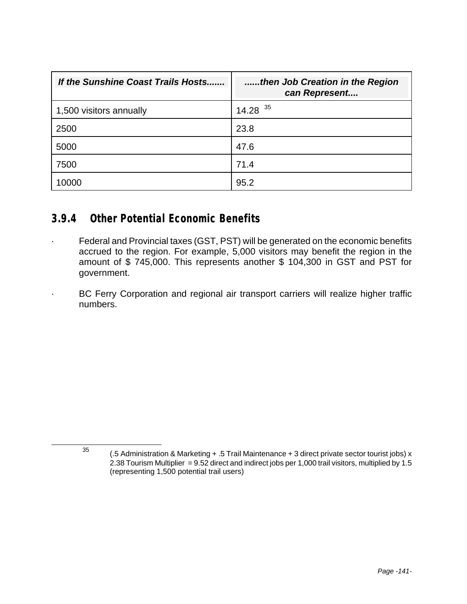| If the Sunshine Coast Trails Hosts | then Job Creation in the Region<br>can Represent |
|------------------------------------|--------------------------------------------------|
| 1,500 visitors annually            | $14.28$ <sup>35</sup>                            |
| 2500                               | 23.8                                             |
| 5000                               | 47.6                                             |
| 7500                               | 71.4                                             |
| 10000                              | 95.2                                             |

#### **3.9.4 Other Potential Economic Benefits**

l

- · Federal and Provincial taxes (GST, PST) will be generated on the economic benefits accrued to the region. For example, 5,000 visitors may benefit the region in the amount of \$ 745,000. This represents another \$ 104,300 in GST and PST for government.
	- BC Ferry Corporation and regional air transport carriers will realize higher traffic numbers.

<sup>&</sup>lt;sup>35</sup> (.5 Administration & Marketing + .5 Trail Maintenance + 3 direct private sector tourist jobs) x 2.38 Tourism Multiplier = 9.52 direct and indirect jobs per 1,000 trail visitors, multiplied by 1.5 (representing 1,500 potential trail users)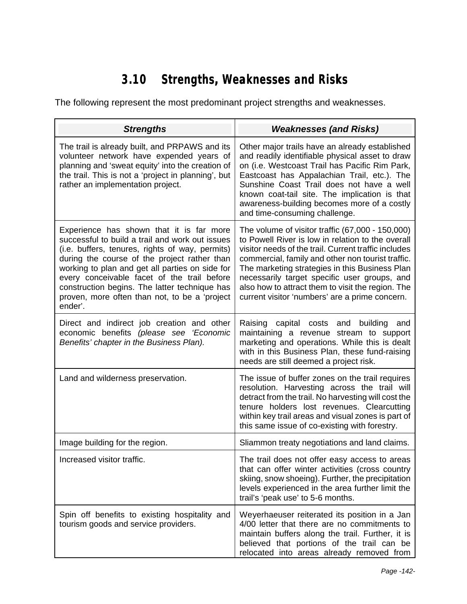# **3.10 Strengths, Weaknesses and Risks**

The following represent the most predominant project strengths and weaknesses.

| <b>Strengths</b>                                                                                                                                                                                                                                                                                                                                                                                              | <b>Weaknesses (and Risks)</b>                                                                                                                                                                                                                                                                                                                                                                                               |
|---------------------------------------------------------------------------------------------------------------------------------------------------------------------------------------------------------------------------------------------------------------------------------------------------------------------------------------------------------------------------------------------------------------|-----------------------------------------------------------------------------------------------------------------------------------------------------------------------------------------------------------------------------------------------------------------------------------------------------------------------------------------------------------------------------------------------------------------------------|
| The trail is already built, and PRPAWS and its<br>volunteer network have expended years of<br>planning and 'sweat equity' into the creation of<br>the trail. This is not a 'project in planning', but<br>rather an implementation project.                                                                                                                                                                    | Other major trails have an already established<br>and readily identifiable physical asset to draw<br>on (i.e. Westcoast Trail has Pacific Rim Park,<br>Eastcoast has Appalachian Trail, etc.). The<br>Sunshine Coast Trail does not have a well<br>known coat-tail site. The implication is that<br>awareness-building becomes more of a costly<br>and time-consuming challenge.                                            |
| Experience has shown that it is far more<br>successful to build a trail and work out issues<br>(i.e. buffers, tenures, rights of way, permits)<br>during the course of the project rather than<br>working to plan and get all parties on side for<br>every conceivable facet of the trail before<br>construction begins. The latter technique has<br>proven, more often than not, to be a 'project<br>ender'. | The volume of visitor traffic (67,000 - 150,000)<br>to Powell River is low in relation to the overall<br>visitor needs of the trail. Current traffic includes<br>commercial, family and other non tourist traffic.<br>The marketing strategies in this Business Plan<br>necessarily target specific user groups, and<br>also how to attract them to visit the region. The<br>current visitor 'numbers' are a prime concern. |
| Direct and indirect job creation and other<br>economic benefits (please see 'Economic<br>Benefits' chapter in the Business Plan).                                                                                                                                                                                                                                                                             | Raising<br>capital costs and<br>building<br>and<br>maintaining a revenue stream to support<br>marketing and operations. While this is dealt<br>with in this Business Plan, these fund-raising<br>needs are still deemed a project risk.                                                                                                                                                                                     |
| Land and wilderness preservation.                                                                                                                                                                                                                                                                                                                                                                             | The issue of buffer zones on the trail requires<br>resolution. Harvesting across the trail will<br>detract from the trail. No harvesting will cost the<br>tenure holders lost revenues. Clearcutting<br>within key trail areas and visual zones is part of<br>this same issue of co-existing with forestry.                                                                                                                 |
| Image building for the region.                                                                                                                                                                                                                                                                                                                                                                                | Sliammon treaty negotiations and land claims.                                                                                                                                                                                                                                                                                                                                                                               |
| Increased visitor traffic.                                                                                                                                                                                                                                                                                                                                                                                    | The trail does not offer easy access to areas<br>that can offer winter activities (cross country<br>skiing, snow shoeing). Further, the precipitation<br>levels experienced in the area further limit the<br>trail's 'peak use' to 5-6 months.                                                                                                                                                                              |
| Spin off benefits to existing hospitality and<br>tourism goods and service providers.                                                                                                                                                                                                                                                                                                                         | Weyerhaeuser reiterated its position in a Jan<br>4/00 letter that there are no commitments to<br>maintain buffers along the trail. Further, it is<br>believed that portions of the trail can be<br>relocated into areas already removed from                                                                                                                                                                                |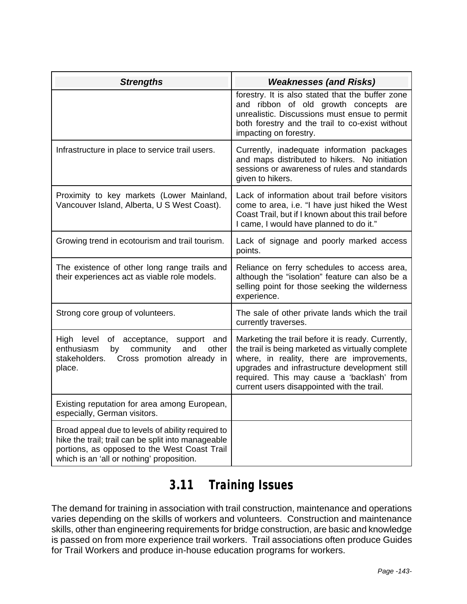| <b>Strengths</b>                                                                                                                                                                                     | <b>Weaknesses (and Risks)</b>                                                                                                                                                                                                                                                                      |
|------------------------------------------------------------------------------------------------------------------------------------------------------------------------------------------------------|----------------------------------------------------------------------------------------------------------------------------------------------------------------------------------------------------------------------------------------------------------------------------------------------------|
|                                                                                                                                                                                                      | forestry. It is also stated that the buffer zone<br>and ribbon of old growth concepts are<br>unrealistic. Discussions must ensue to permit<br>both forestry and the trail to co-exist without<br>impacting on forestry.                                                                            |
| Infrastructure in place to service trail users.                                                                                                                                                      | Currently, inadequate information packages<br>and maps distributed to hikers. No initiation<br>sessions or awareness of rules and standards<br>given to hikers.                                                                                                                                    |
| Proximity to key markets (Lower Mainland,<br>Vancouver Island, Alberta, U S West Coast).                                                                                                             | Lack of information about trail before visitors<br>come to area, i.e. "I have just hiked the West<br>Coast Trail, but if I known about this trail before<br>I came, I would have planned to do it."                                                                                                |
| Growing trend in ecotourism and trail tourism.                                                                                                                                                       | Lack of signage and poorly marked access<br>points.                                                                                                                                                                                                                                                |
| The existence of other long range trails and<br>their experiences act as viable role models.                                                                                                         | Reliance on ferry schedules to access area,<br>although the "isolation" feature can also be a<br>selling point for those seeking the wilderness<br>experience.                                                                                                                                     |
| Strong core group of volunteers.                                                                                                                                                                     | The sale of other private lands which the trail<br>currently traverses.                                                                                                                                                                                                                            |
| High level of acceptance,<br>support and<br>enthusiasm<br>other<br>community<br>by<br>and<br>stakeholders.<br>Cross promotion already in<br>place.                                                   | Marketing the trail before it is ready. Currently,<br>the trail is being marketed as virtually complete<br>where, in reality, there are improvements,<br>upgrades and infrastructure development still<br>required. This may cause a 'backlash' from<br>current users disappointed with the trail. |
| Existing reputation for area among European,<br>especially, German visitors.                                                                                                                         |                                                                                                                                                                                                                                                                                                    |
| Broad appeal due to levels of ability required to<br>hike the trail; trail can be split into manageable<br>portions, as opposed to the West Coast Trail<br>which is an 'all or nothing' proposition. |                                                                                                                                                                                                                                                                                                    |

## **3.11 Training Issues**

The demand for training in association with trail construction, maintenance and operations varies depending on the skills of workers and volunteers. Construction and maintenance skills, other than engineering requirements for bridge construction, are basic and knowledge is passed on from more experience trail workers. Trail associations often produce Guides for Trail Workers and produce in-house education programs for workers.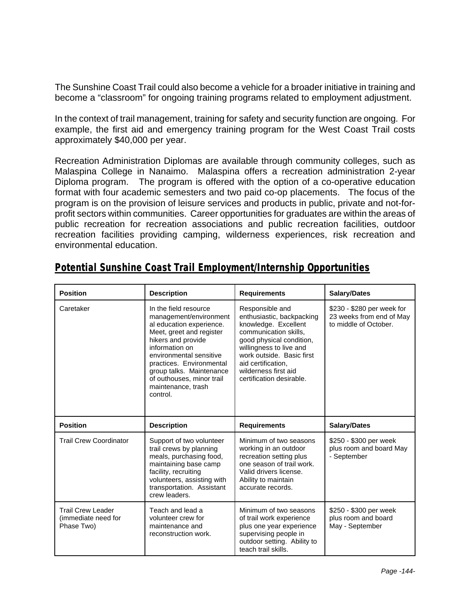The Sunshine Coast Trail could also become a vehicle for a broader initiative in training and become a "classroom" for ongoing training programs related to employment adjustment.

In the context of trail management, training for safety and security function are ongoing. For example, the first aid and emergency training program for the West Coast Trail costs approximately \$40,000 per year.

Recreation Administration Diplomas are available through community colleges, such as Malaspina College in Nanaimo. Malaspina offers a recreation administration 2-year Diploma program. The program is offered with the option of a co-operative education format with four academic semesters and two paid co-op placements. The focus of the program is on the provision of leisure services and products in public, private and not-forprofit sectors within communities. Career opportunities for graduates are within the areas of public recreation for recreation associations and public recreation facilities, outdoor recreation facilities providing camping, wilderness experiences, risk recreation and environmental education.

| <b>Position</b>                                               | <b>Description</b>                                                                                                                                                                                                                                                                                | <b>Requirements</b>                                                                                                                                                                                                                                         | <b>Salary/Dates</b>                                                             |
|---------------------------------------------------------------|---------------------------------------------------------------------------------------------------------------------------------------------------------------------------------------------------------------------------------------------------------------------------------------------------|-------------------------------------------------------------------------------------------------------------------------------------------------------------------------------------------------------------------------------------------------------------|---------------------------------------------------------------------------------|
| Caretaker                                                     | In the field resource<br>management/environment<br>al education experience.<br>Meet, greet and register<br>hikers and provide<br>information on<br>environmental sensitive<br>practices. Environmental<br>group talks. Maintenance<br>of outhouses, minor trail<br>maintenance, trash<br>control. | Responsible and<br>enthusiastic, backpacking<br>knowledge. Excellent<br>communication skills.<br>good physical condition,<br>willingness to live and<br>work outside. Basic first<br>aid certification,<br>wilderness first aid<br>certification desirable. | \$230 - \$280 per week for<br>23 weeks from end of May<br>to middle of October. |
| <b>Position</b>                                               | <b>Description</b>                                                                                                                                                                                                                                                                                | <b>Requirements</b>                                                                                                                                                                                                                                         | <b>Salary/Dates</b>                                                             |
| <b>Trail Crew Coordinator</b>                                 | Support of two volunteer<br>trail crews by planning<br>meals, purchasing food,<br>maintaining base camp<br>facility, recruiting<br>volunteers, assisting with<br>transportation. Assistant<br>crew leaders.                                                                                       | Minimum of two seasons<br>working in an outdoor<br>recreation setting plus<br>one season of trail work.<br>Valid drivers license.<br>Ability to maintain<br>accurate records.                                                                               | \$250 - \$300 per week<br>plus room and board May<br>- September                |
| <b>Trail Crew Leader</b><br>(immediate need for<br>Phase Two) | Teach and lead a<br>volunteer crew for<br>maintenance and<br>reconstruction work.                                                                                                                                                                                                                 | Minimum of two seasons<br>of trail work experience<br>plus one year experience<br>supervising people in<br>outdoor setting. Ability to<br>teach trail skills.                                                                                               | \$250 - \$300 per week<br>plus room and board<br>May - September                |

#### *Potential Sunshine Coast Trail Employment/Internship Opportunities*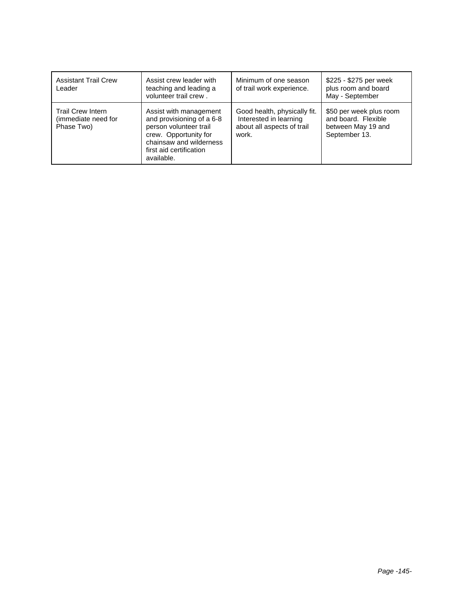| <b>Assistant Trail Crew</b><br>Leader                         | Assist crew leader with<br>teaching and leading a<br>volunteer trail crew.                                                                                                 | Minimum of one season<br>of trail work experience.                                            | \$225 - \$275 per week<br>plus room and board<br>May - September                      |
|---------------------------------------------------------------|----------------------------------------------------------------------------------------------------------------------------------------------------------------------------|-----------------------------------------------------------------------------------------------|---------------------------------------------------------------------------------------|
| <b>Trail Crew Intern</b><br>(immediate need for<br>Phase Two) | Assist with management<br>and provisioning of a 6-8<br>person volunteer trail<br>crew. Opportunity for<br>chainsaw and wilderness<br>first aid certification<br>available. | Good health, physically fit.<br>Interested in learning<br>about all aspects of trail<br>work. | \$50 per week plus room<br>and board. Flexible<br>between May 19 and<br>September 13. |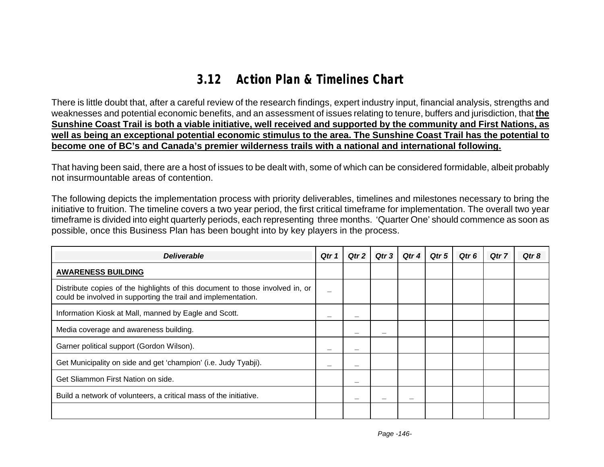# **3.12 Action Plan & Timelines Chart**

There is little doubt that, after a careful review of the research findings, expert industry input, financial analysis, strengths and weaknesses and potential economic benefits, and an assessment of issues relating to tenure, buffers and jurisdiction, that **the Sunshine Coast Trail is both a viable initiative, well received and supported by the community and First Nations, as well as being an exceptional potential economic stimulus to the area. The Sunshine Coast Trail has the potential to become one of BC's and Canada's premier wilderness trails with a national and international following.**

That having been said, there are a host of issues to be dealt with, some of which can be considered formidable, albeit probably not insurmountable areas of contention.

The following depicts the implementation process with priority deliverables, timelines and milestones necessary to bring the initiative to fruition. The timeline covers a two year period, the first critical timeframe for implementation. The overall two year timeframe is divided into eight quarterly periods, each representing three months. 'Quarter One' should commence as soon as possible, once this Business Plan has been bought into by key players in the process.

| <b>Deliverable</b>                                                                                                                             | Qtr 1 | Qtr 2 | Qtr 3 | Qtr 4 | Qtr 5 | Qtr 6 | Qtr 7 | Qtr 8 |
|------------------------------------------------------------------------------------------------------------------------------------------------|-------|-------|-------|-------|-------|-------|-------|-------|
| <b>AWARENESS BUILDING</b>                                                                                                                      |       |       |       |       |       |       |       |       |
| Distribute copies of the highlights of this document to those involved in, or<br>could be involved in supporting the trail and implementation. |       |       |       |       |       |       |       |       |
| Information Kiosk at Mall, manned by Eagle and Scott.                                                                                          |       |       |       |       |       |       |       |       |
| Media coverage and awareness building.                                                                                                         |       |       |       |       |       |       |       |       |
| Garner political support (Gordon Wilson).                                                                                                      |       |       |       |       |       |       |       |       |
| Get Municipality on side and get 'champion' (i.e. Judy Tyabji).                                                                                |       |       |       |       |       |       |       |       |
| Get Sliammon First Nation on side.                                                                                                             |       |       |       |       |       |       |       |       |
| Build a network of volunteers, a critical mass of the initiative.                                                                              |       |       |       | –     |       |       |       |       |
|                                                                                                                                                |       |       |       |       |       |       |       |       |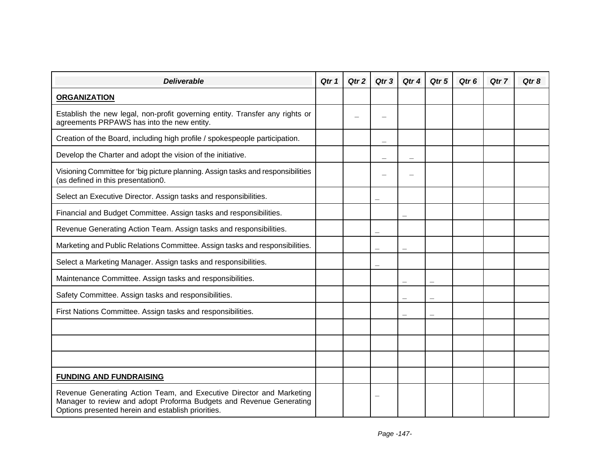| <b>Deliverable</b>                                                                                                                                                                                | Qtr 1 | Qtr 2 | Qtr 3 | Qtr 4 | Qtr 5 | Qtr 6 | Qtr 7 | Qtr 8 |
|---------------------------------------------------------------------------------------------------------------------------------------------------------------------------------------------------|-------|-------|-------|-------|-------|-------|-------|-------|
| <b>ORGANIZATION</b>                                                                                                                                                                               |       |       |       |       |       |       |       |       |
| Establish the new legal, non-profit governing entity. Transfer any rights or<br>agreements PRPAWS has into the new entity.                                                                        |       |       |       |       |       |       |       |       |
| Creation of the Board, including high profile / spokespeople participation.                                                                                                                       |       |       |       |       |       |       |       |       |
| Develop the Charter and adopt the vision of the initiative.                                                                                                                                       |       |       |       |       |       |       |       |       |
| Visioning Committee for 'big picture planning. Assign tasks and responsibilities<br>(as defined in this presentation0.                                                                            |       |       |       |       |       |       |       |       |
| Select an Executive Director. Assign tasks and responsibilities.                                                                                                                                  |       |       |       |       |       |       |       |       |
| Financial and Budget Committee. Assign tasks and responsibilities.                                                                                                                                |       |       |       |       |       |       |       |       |
| Revenue Generating Action Team. Assign tasks and responsibilities.                                                                                                                                |       |       |       |       |       |       |       |       |
| Marketing and Public Relations Committee. Assign tasks and responsibilities.                                                                                                                      |       |       |       |       |       |       |       |       |
| Select a Marketing Manager. Assign tasks and responsibilities.                                                                                                                                    |       |       | –     |       |       |       |       |       |
| Maintenance Committee. Assign tasks and responsibilities.                                                                                                                                         |       |       |       |       |       |       |       |       |
| Safety Committee. Assign tasks and responsibilities.                                                                                                                                              |       |       |       |       |       |       |       |       |
| First Nations Committee. Assign tasks and responsibilities.                                                                                                                                       |       |       |       |       |       |       |       |       |
|                                                                                                                                                                                                   |       |       |       |       |       |       |       |       |
|                                                                                                                                                                                                   |       |       |       |       |       |       |       |       |
|                                                                                                                                                                                                   |       |       |       |       |       |       |       |       |
| <b>FUNDING AND FUNDRAISING</b>                                                                                                                                                                    |       |       |       |       |       |       |       |       |
| Revenue Generating Action Team, and Executive Director and Marketing<br>Manager to review and adopt Proforma Budgets and Revenue Generating<br>Options presented herein and establish priorities. |       |       |       |       |       |       |       |       |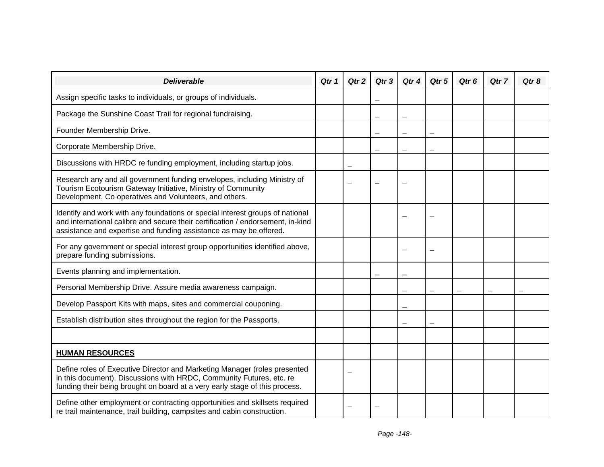| <b>Deliverable</b>                                                                                                                                                                                                                     | Qtr 1 | Qtr 2 | Qtr 3 | Qtr 4 | Qtr 5 | Qtr <sub>6</sub> | Qtr 7 | Qtr 8 |
|----------------------------------------------------------------------------------------------------------------------------------------------------------------------------------------------------------------------------------------|-------|-------|-------|-------|-------|------------------|-------|-------|
| Assign specific tasks to individuals, or groups of individuals.                                                                                                                                                                        |       |       |       |       |       |                  |       |       |
| Package the Sunshine Coast Trail for regional fundraising.                                                                                                                                                                             |       |       |       |       |       |                  |       |       |
| Founder Membership Drive.                                                                                                                                                                                                              |       |       |       |       |       |                  |       |       |
| Corporate Membership Drive.                                                                                                                                                                                                            |       |       |       |       |       |                  |       |       |
| Discussions with HRDC re funding employment, including startup jobs.                                                                                                                                                                   |       |       |       |       |       |                  |       |       |
| Research any and all government funding envelopes, including Ministry of<br>Tourism Ecotourism Gateway Initiative, Ministry of Community<br>Development, Co operatives and Volunteers, and others.                                     |       |       |       |       |       |                  |       |       |
| Identify and work with any foundations or special interest groups of national<br>and international calibre and secure their certification / endorsement, in-kind<br>assistance and expertise and funding assistance as may be offered. |       |       |       |       |       |                  |       |       |
| For any government or special interest group opportunities identified above,<br>prepare funding submissions.                                                                                                                           |       |       |       |       |       |                  |       |       |
| Events planning and implementation.                                                                                                                                                                                                    |       |       |       |       |       |                  |       |       |
| Personal Membership Drive. Assure media awareness campaign.                                                                                                                                                                            |       |       |       |       |       |                  |       |       |
| Develop Passport Kits with maps, sites and commercial couponing.                                                                                                                                                                       |       |       |       |       |       |                  |       |       |
| Establish distribution sites throughout the region for the Passports.                                                                                                                                                                  |       |       |       |       |       |                  |       |       |
|                                                                                                                                                                                                                                        |       |       |       |       |       |                  |       |       |
| <b>HUMAN RESOURCES</b>                                                                                                                                                                                                                 |       |       |       |       |       |                  |       |       |
| Define roles of Executive Director and Marketing Manager (roles presented<br>in this document). Discussions with HRDC, Community Futures, etc. re<br>funding their being brought on board at a very early stage of this process.       |       |       |       |       |       |                  |       |       |
| Define other employment or contracting opportunities and skillsets required<br>re trail maintenance, trail building, campsites and cabin construction.                                                                                 |       |       |       |       |       |                  |       |       |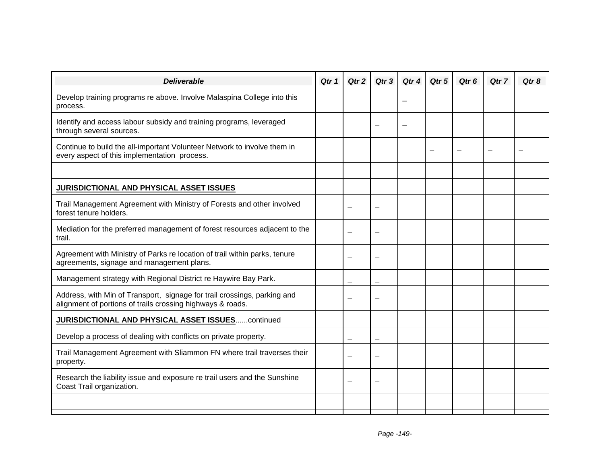| <b>Deliverable</b>                                                                                                                     | Qtr 1 | Qtr 2 | Qtr <sub>3</sub>         | Qtr 4 | Qtr 5 | Qtr <sub>6</sub> | Qtr 7 | Qtr 8 |
|----------------------------------------------------------------------------------------------------------------------------------------|-------|-------|--------------------------|-------|-------|------------------|-------|-------|
| Develop training programs re above. Involve Malaspina College into this<br>process.                                                    |       |       |                          |       |       |                  |       |       |
| Identify and access labour subsidy and training programs, leveraged<br>through several sources.                                        |       |       |                          |       |       |                  |       |       |
| Continue to build the all-important Volunteer Network to involve them in<br>every aspect of this implementation process.               |       |       |                          |       |       |                  |       |       |
|                                                                                                                                        |       |       |                          |       |       |                  |       |       |
| <b>JURISDICTIONAL AND PHYSICAL ASSET ISSUES</b>                                                                                        |       |       |                          |       |       |                  |       |       |
| Trail Management Agreement with Ministry of Forests and other involved<br>forest tenure holders.                                       |       |       | $\overline{\phantom{0}}$ |       |       |                  |       |       |
| Mediation for the preferred management of forest resources adjacent to the<br>trail.                                                   |       |       |                          |       |       |                  |       |       |
| Agreement with Ministry of Parks re location of trail within parks, tenure<br>agreements, signage and management plans.                |       |       |                          |       |       |                  |       |       |
| Management strategy with Regional District re Haywire Bay Park.                                                                        |       |       |                          |       |       |                  |       |       |
| Address, with Min of Transport, signage for trail crossings, parking and<br>alignment of portions of trails crossing highways & roads. |       |       |                          |       |       |                  |       |       |
| <b>JURISDICTIONAL AND PHYSICAL ASSET ISSUEScontinued</b>                                                                               |       |       |                          |       |       |                  |       |       |
| Develop a process of dealing with conflicts on private property.                                                                       |       |       |                          |       |       |                  |       |       |
| Trail Management Agreement with Sliammon FN where trail traverses their<br>property.                                                   |       |       |                          |       |       |                  |       |       |
| Research the liability issue and exposure re trail users and the Sunshine<br>Coast Trail organization.                                 |       |       |                          |       |       |                  |       |       |
|                                                                                                                                        |       |       |                          |       |       |                  |       |       |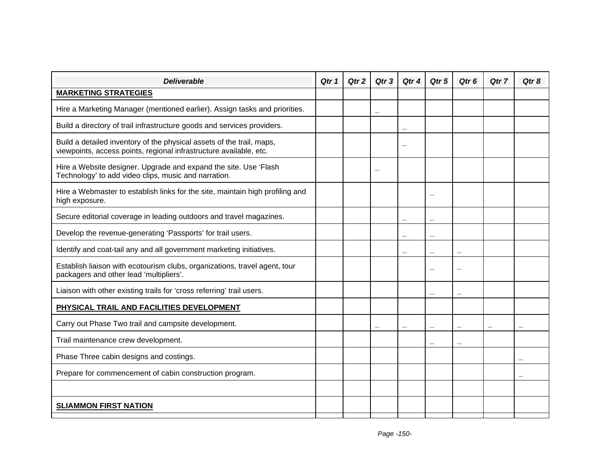| <b>Deliverable</b>                                                                                                                          | Qtr 1 | Qtr <sub>2</sub> | Qtr 3 | Qtr 4 | Qtr 5 | Qtr <sub>6</sub> | Qtr 7 | Qtr <sub>8</sub> |
|---------------------------------------------------------------------------------------------------------------------------------------------|-------|------------------|-------|-------|-------|------------------|-------|------------------|
| <b>MARKETING STRATEGIES</b>                                                                                                                 |       |                  |       |       |       |                  |       |                  |
| Hire a Marketing Manager (mentioned earlier). Assign tasks and priorities.                                                                  |       |                  |       |       |       |                  |       |                  |
| Build a directory of trail infrastructure goods and services providers.                                                                     |       |                  |       |       |       |                  |       |                  |
| Build a detailed inventory of the physical assets of the trail, maps,<br>viewpoints, access points, regional infrastructure available, etc. |       |                  |       |       |       |                  |       |                  |
| Hire a Website designer. Upgrade and expand the site. Use 'Flash<br>Technology' to add video clips, music and narration.                    |       |                  |       |       |       |                  |       |                  |
| Hire a Webmaster to establish links for the site, maintain high profiling and<br>high exposure.                                             |       |                  |       |       |       |                  |       |                  |
| Secure editorial coverage in leading outdoors and travel magazines.                                                                         |       |                  |       |       |       |                  |       |                  |
| Develop the revenue-generating 'Passports' for trail users.                                                                                 |       |                  |       |       |       |                  |       |                  |
| Identify and coat-tail any and all government marketing initiatives.                                                                        |       |                  |       |       |       |                  |       |                  |
| Establish liaison with ecotourism clubs, organizations, travel agent, tour<br>packagers and other lead 'multipliers'.                       |       |                  |       |       |       |                  |       |                  |
| Liaison with other existing trails for 'cross referring' trail users.                                                                       |       |                  |       |       |       |                  |       |                  |
| PHYSICAL TRAIL AND FACILITIES DEVELOPMENT                                                                                                   |       |                  |       |       |       |                  |       |                  |
| Carry out Phase Two trail and campsite development.                                                                                         |       |                  |       |       |       |                  |       |                  |
| Trail maintenance crew development.                                                                                                         |       |                  |       |       |       |                  |       |                  |
| Phase Three cabin designs and costings.                                                                                                     |       |                  |       |       |       |                  |       |                  |
| Prepare for commencement of cabin construction program.                                                                                     |       |                  |       |       |       |                  |       |                  |
|                                                                                                                                             |       |                  |       |       |       |                  |       |                  |
| <b>SLIAMMON FIRST NATION</b>                                                                                                                |       |                  |       |       |       |                  |       |                  |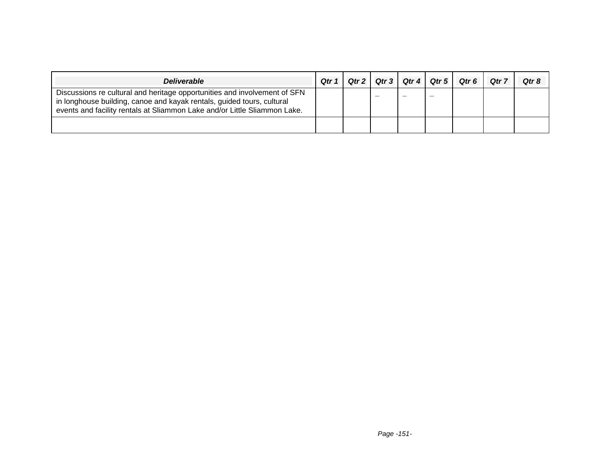| <b>Deliverable</b>                                                                                                                                                                                                               | Qtr 1 | Qtr2 | Qtr 3 | Qtr 4 | Qtr 5 | Qtr <sub>6</sub> | Qtr 7 | Qtr 8 |
|----------------------------------------------------------------------------------------------------------------------------------------------------------------------------------------------------------------------------------|-------|------|-------|-------|-------|------------------|-------|-------|
| Discussions re cultural and heritage opportunities and involvement of SFN<br>in longhouse building, canoe and kayak rentals, guided tours, cultural<br>events and facility rentals at Sliammon Lake and/or Little Sliammon Lake. |       |      |       |       |       |                  |       |       |
|                                                                                                                                                                                                                                  |       |      |       |       |       |                  |       |       |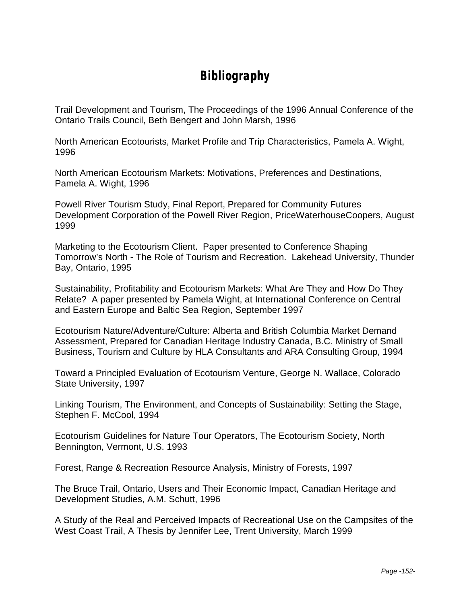### **Bibliography**

Trail Development and Tourism, The Proceedings of the 1996 Annual Conference of the Ontario Trails Council, Beth Bengert and John Marsh, 1996

North American Ecotourists, Market Profile and Trip Characteristics, Pamela A. Wight, 1996

North American Ecotourism Markets: Motivations, Preferences and Destinations, Pamela A. Wight, 1996

Powell River Tourism Study, Final Report, Prepared for Community Futures Development Corporation of the Powell River Region, PriceWaterhouseCoopers, August 1999

Marketing to the Ecotourism Client. Paper presented to Conference Shaping Tomorrow's North - The Role of Tourism and Recreation. Lakehead University, Thunder Bay, Ontario, 1995

Sustainability, Profitability and Ecotourism Markets: What Are They and How Do They Relate? A paper presented by Pamela Wight, at International Conference on Central and Eastern Europe and Baltic Sea Region, September 1997

Ecotourism Nature/Adventure/Culture: Alberta and British Columbia Market Demand Assessment, Prepared for Canadian Heritage Industry Canada, B.C. Ministry of Small Business, Tourism and Culture by HLA Consultants and ARA Consulting Group, 1994

Toward a Principled Evaluation of Ecotourism Venture, George N. Wallace, Colorado State University, 1997

Linking Tourism, The Environment, and Concepts of Sustainability: Setting the Stage, Stephen F. McCool, 1994

Ecotourism Guidelines for Nature Tour Operators, The Ecotourism Society, North Bennington, Vermont, U.S. 1993

Forest, Range & Recreation Resource Analysis, Ministry of Forests, 1997

The Bruce Trail, Ontario, Users and Their Economic Impact, Canadian Heritage and Development Studies, A.M. Schutt, 1996

A Study of the Real and Perceived Impacts of Recreational Use on the Campsites of the West Coast Trail, A Thesis by Jennifer Lee, Trent University, March 1999